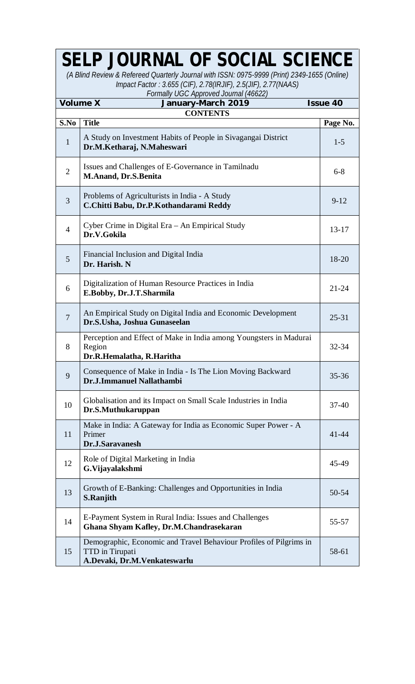|                | <b>SELP JOURNAL OF SOCIAL SCIENCE</b><br>(A Blind Review & Refereed Quarterly Journal with ISSN: 0975-9999 (Print) 2349-1655 (Online)<br>Impact Factor: 3.655 (CIF), 2.78(IRJIF), 2.5(JIF), 2.77(NAAS)<br>Formally UGC Approved Journal (46622) |                 |
|----------------|-------------------------------------------------------------------------------------------------------------------------------------------------------------------------------------------------------------------------------------------------|-----------------|
|                | <b>Volume X</b><br>January-March 2019                                                                                                                                                                                                           | <b>Issue 40</b> |
| S.No           | <b>CONTENTS</b><br><b>Title</b>                                                                                                                                                                                                                 | Page No.        |
| $\mathbf{1}$   | A Study on Investment Habits of People in Sivagangai District<br>Dr.M.Ketharaj, N.Maheswari                                                                                                                                                     | $1 - 5$         |
| $\overline{2}$ | Issues and Challenges of E-Governance in Tamilnadu<br><b>M.Anand, Dr.S.Benita</b>                                                                                                                                                               | $6 - 8$         |
| 3              | Problems of Agriculturists in India - A Study<br>C.Chitti Babu, Dr.P.Kothandarami Reddy                                                                                                                                                         | $9 - 12$        |
| $\overline{4}$ | Cyber Crime in Digital Era – An Empirical Study<br>Dr.V.Gokila                                                                                                                                                                                  | $13 - 17$       |
| 5              | Financial Inclusion and Digital India<br>Dr. Harish. N                                                                                                                                                                                          | 18-20           |
| 6              | Digitalization of Human Resource Practices in India<br>E.Bobby, Dr.J.T.Sharmila                                                                                                                                                                 | $21 - 24$       |
| $\overline{7}$ | An Empirical Study on Digital India and Economic Development<br>Dr.S.Usha, Joshua Gunaseelan                                                                                                                                                    | $25 - 31$       |
| 8              | Perception and Effect of Make in India among Youngsters in Madurai<br>Region<br>Dr.R.Hemalatha, R.Haritha                                                                                                                                       | 32-34           |
| 9              | Consequence of Make in India - Is The Lion Moving Backward<br>Dr.J.Immanuel Nallathambi                                                                                                                                                         | $35 - 36$       |
| 10             | Globalisation and its Impact on Small Scale Industries in India<br>Dr.S.Muthukaruppan                                                                                                                                                           | $37 - 40$       |
| 11             | Make in India: A Gateway for India as Economic Super Power - A<br>Primer<br>Dr.J.Saravanesh                                                                                                                                                     | $41 - 44$       |
| 12             | Role of Digital Marketing in India<br>G. Vijayalakshmi                                                                                                                                                                                          | 45-49           |
| 13             | Growth of E-Banking: Challenges and Opportunities in India<br>S.Ranjith                                                                                                                                                                         | 50-54           |
| 14             | E-Payment System in Rural India: Issues and Challenges<br>Ghana Shyam Kafley, Dr.M.Chandrasekaran                                                                                                                                               | 55-57           |
| 15             | Demographic, Economic and Travel Behaviour Profiles of Pilgrims in<br>TTD in Tirupati<br>A.Devaki, Dr.M.Venkateswarlu                                                                                                                           | 58-61           |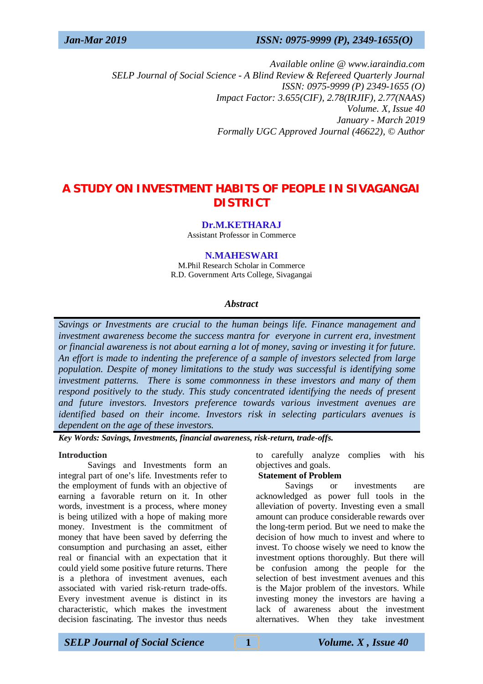# **A STUDY ON INVESTMENT HABITS OF PEOPLE IN SIVAGANGAI DISTRICT**

#### **Dr.M.KETHARAJ**

Assistant Professor in Commerce

#### **N.MAHESWARI**

M.Phil Research Scholar in Commerce R.D. Government Arts College, Sivagangai

## *Abstract*

*Savings or Investments are crucial to the human beings life. Finance management and investment awareness become the success mantra for everyone in current era, investment or financial awareness is not about earning a lot of money, saving or investing it for future. An effort is made to indenting the preference of a sample of investors selected from large population. Despite of money limitations to the study was successful is identifying some investment patterns. There is some commonness in these investors and many of them respond positively to the study. This study concentrated identifying the needs of present and future investors. Investors preference towards various investment avenues are identified based on their income. Investors risk in selecting particulars avenues is dependent on the age of these investors.*

*Key Words: Savings, Investments, financial awareness, risk-return, trade-offs.*

#### **Introduction**

Savings and Investments form an integral part of one's life. Investments refer to the employment of funds with an objective of earning a favorable return on it. In other words, investment is a process, where money is being utilized with a hope of making more money. Investment is the commitment of money that have been saved by deferring the consumption and purchasing an asset, either real or financial with an expectation that it could yield some positive future returns. There is a plethora of investment avenues, each associated with varied risk-return trade-offs. Every investment avenue is distinct in its characteristic, which makes the investment decision fascinating. The investor thus needs to carefully analyze complies with his objectives and goals.

## **Statement of Problem**

Savings or investments are acknowledged as power full tools in the alleviation of poverty. Investing even a small amount can produce considerable rewards over the long-term period. But we need to make the decision of how much to invest and where to invest. To choose wisely we need to know the investment options thoroughly. But there will be confusion among the people for the selection of best investment avenues and this is the Major problem of the investors. While investing money the investors are having a lack of awareness about the investment alternatives. When they take investment

*SELP Journal of Social Science* **1** *Volume. X , Issue 40*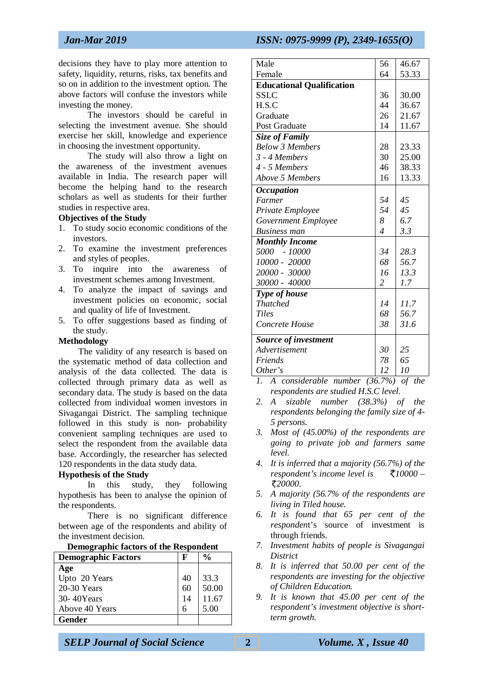decisions they have to play more attention to safety, liquidity, returns, risks, tax benefits and so on in addition to the investment option. The above factors will confuse the investors while investing the money.

The investors should be careful in selecting the investment avenue. She should exercise her skill, knowledge and experience in choosing the investment opportunity.

The study will also throw a light on the awareness of the investment avenues available in India. The research paper will become the helping hand to the research scholars as well as students for their further studies in respective area.

#### **Objectives of the Study**

- 1. To study socio economic conditions of the investors.
- 2. To examine the investment preferences and styles of peoples.
- 3. To inquire into the awareness of investment schemes among Investment.
- 4. To analyze the impact of savings and investment policies on economic, social and quality of life of Investment.
- 5. To offer suggestions based as finding of the study.

#### **Methodology**

 The validity of any research is based on the systematic method of data collection and analysis of the data collected. The data is collected through primary data as well as secondary data. The study is based on the data collected from individual women investors in Sivagangai District. The sampling technique followed in this study is non- probability convenient sampling techniques are used to select the respondent from the available data base. Accordingly, the researcher has selected 120 respondents in the data study data.

## **Hypothesis of the Study**

In this study, they following hypothesis has been to analyse the opinion of the respondents.

There is no significant difference between age of the respondents and ability of the investment decision.

| <b>Demographic Factors</b> | F  | $\frac{6}{9}$ |
|----------------------------|----|---------------|
| Age                        |    |               |
| Upto 20 Years              | 40 | 33.3          |
| $20-30$ Years              | 60 | 50.00         |
| $30 - 40$ Years            | 14 | 11.67         |
| Above 40 Years             | 6  | 5.00          |
| Gender                     |    |               |

# *Jan-Mar 2019 ISSN: 0975-9999 (P), 2349-1655(O)*

| Male                             | 56 | 46.67 |
|----------------------------------|----|-------|
| Female                           | 64 | 53.33 |
| <b>Educational Qualification</b> |    |       |
| SSLC                             | 36 | 30.00 |
| H.S.C                            | 44 | 36.67 |
| Graduate                         | 26 | 21.67 |
| Post Graduate                    | 14 | 11.67 |
| <b>Size of Family</b>            |    |       |
| <b>Below 3 Members</b>           | 28 | 23.33 |
| 3 - 4 Members                    | 30 | 25.00 |
| 4 - 5 Members                    | 46 | 38.33 |
| Above 5 Members                  | 16 | 13.33 |
| <i><b>Occupation</b></i>         |    |       |
| Farmer                           | 54 | 45    |
| Private Employee                 | 54 | 45    |
| Government Employee              | 8  | 6.7   |
| <b>Business man</b>              | 4  | 3.3   |
| <b>Monthly Income</b>            |    |       |
| 5000 - 10000                     | 34 | 28.3  |
| 10000 - 20000                    | 68 | 56.7  |
| 20000 - 30000                    | 16 | 13.3  |
| 30000 - 40000                    | 2  | 1.7   |
| Type of house                    |    |       |
| <b>Thatched</b>                  | 14 | 11.7  |
| <b>Tiles</b>                     | 68 | 56.7  |
| Concrete House                   | 38 | 31.6  |
| Source of investment             |    |       |
| Advertisement                    | 30 | 25    |
| Friends                          | 78 | 65    |
| Other's                          | 12 | 10    |

- *1. A considerable number (36.7%) of the respondents are studied H.S.C level.*
- *2. A sizable number (38.3%) of the respondents belonging the family size of 4- 5 persons.*
- *3. Most of (45.00%) of the respondents are going to private job and farmers same level.*
- *4. It is inferred that a majority (56.7%) of the respondent's income level is* ₹10000 – *20000.*
- *5. A majority (56.7% of the respondents are living in Tiled house.*
- *6. It is found that 65 per cent of the responden*t's source of investment is through friends.
- *7. Investment habits of people is Sivagangai District*
- *8. It is inferred that 50.00 per cent of the respondents are investing for the objective of Children Education.*
- *9. It is known that 45.00 per cent of the respondent's investment objective is shortterm growth.*

*SELP Journal of Social Science* **2** *Volume. X , Issue 40*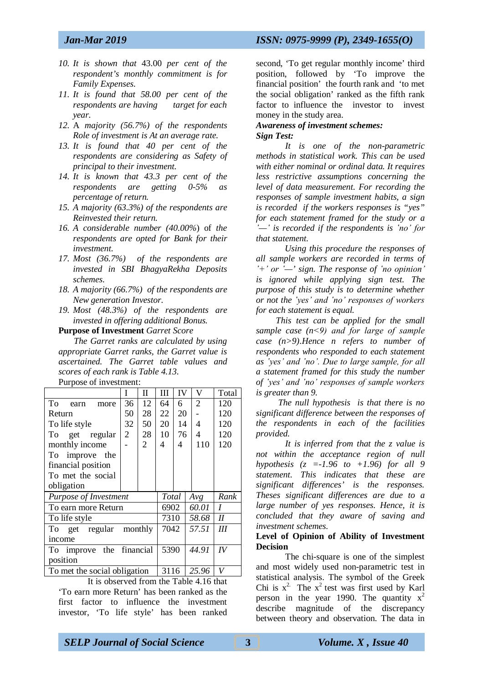- *10. It is shown that* 43.00 *per cent of the respondent's monthly commitment is for Family Expenses.*
- *11. It is found that 58.00 per cent of the respondents are having target for each year.*
- *12.* A *majority (56.7%) of the respondents Role of investment is At an average rate.*
- *13. It is found that 40 per cent of the respondents are considering as Safety of principal to their investment.*
- *14. It is known that 43.3 per cent of the respondents are getting 0-5% as percentage of return.*
- *15. A majority (63.3%) of the respondents are Reinvested their return.*
- *16. A considerable number (40.00%*) of *the respondents are opted for Bank for their investment.*
- *17. Most (36.7%) of the respondents are invested in SBI BhagyaRekha Deposits schemes.*
- *18. A majority (66.7%) of the respondents are New generation Investor.*
- *19. Most (48.3%) of the respondents are invested in offering additional Bonus.*

**Purpose of Investment** *Garret Score*

 *The Garret ranks are calculated by using appropriate Garret ranks, the Garret value is ascertained. The Garret table values and scores of each rank is Table 4.13.*  Purpose of investment:

|                              |                | П              | Ш     | IV | V              | Total  |
|------------------------------|----------------|----------------|-------|----|----------------|--------|
| To<br>earn<br>more           | 36             | 12             | 64    | 6  | $\overline{2}$ | 120    |
| Return                       | 50             | 28             | 22    | 20 |                | 120    |
| To life style                | 32             | 50             | 20    | 14 | 4              | 120    |
| To<br>get regular            | $\overline{2}$ | 28             | 10    | 76 | 4              | 120    |
| monthly income               |                | $\overline{2}$ | 4     | 4  | 110            | 120    |
| improve the<br>To            |                |                |       |    |                |        |
| financial position           |                |                |       |    |                |        |
| To met the social            |                |                |       |    |                |        |
| obligation                   |                |                |       |    |                |        |
| Purpose of Investment        |                |                | Total |    | Avg            | Rank   |
| To earn more Return          |                |                | 6902  |    | 60.01          | I      |
| To life style                |                |                | 7310  |    | 58.68          | $I\!I$ |
| get regular monthly<br>To    |                |                | 7042  |    | 57.51          | Ш      |
| income                       |                |                |       |    |                |        |
| To improve the financial     |                |                | 5390  |    | 44.91          | IV     |
| position                     |                |                |       |    |                |        |
| To met the social obligation |                |                | 3116  |    | 25.96          | V      |

It is observed from the Table 4.16 that 'To earn more Return' has been ranked as the first factor to influence the investment investor, 'To life style' has been ranked second, 'To get regular monthly income' third position, followed by 'To improve the financial position' the fourth rank and 'to met the social obligation' ranked as the fifth rank factor to influence the investor to invest money in the study area.

#### *Awareness of investment schemes: Sign Test:*

*It is one of the non-parametric methods in statistical work. This can be used with either nominal or ordinal data. It requires less restrictive assumptions concerning the level of data measurement. For recording the responses of sample investment habits, a sign is recorded if the workers responses is "yes" for each statement framed for the study or a '—' is recorded if the respondents is 'no' for that statement.*

 *Using this procedure the responses of all sample workers are recorded in terms of '+' or '—' sign. The response of 'no opinion' is ignored while applying sign test. The purpose of this study is to determine whether or not the 'yes' and 'no' responses of workers for each statement is equal.*

 *This test can be applied for the small sample case (n˂9) and for large of sample case (n>9).Hence n refers to number of respondents who responded to each statement as 'yes' and 'no'. Due to large sample, for all a statement framed for this study the number of 'yes' and 'no' responses of sample workers is greater than 9.* 

 *The null hypothesis is that there is no significant difference between the responses of the respondents in each of the facilities provided.*

*It is inferred from that the z value is not within the acceptance region of null hypothesis (z =-1.96 to +1.96) for all 9 statement. This indicates that these are significant differences' is the responses. Theses significant differences are due to a large number of yes responses. Hence, it is concluded that they aware of saving and investment schemes.*

#### **Level of Opinion of Ability of Investment Decision**

The chi-square is one of the simplest and most widely used non-parametric test in statistical analysis. The symbol of the Greek Chi is  $x^2$ . The  $x^2$  test was first used by Karl person in the year 1990. The quantity  $x^2$ describe magnitude of the discrepancy between theory and observation. The data in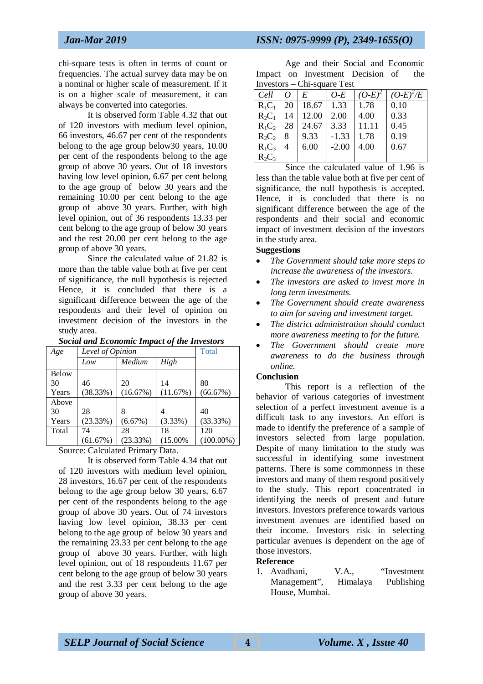## *Jan-Mar 2019 ISSN: 0975-9999 (P), 2349-1655(O)*

chi-square tests is often in terms of count or frequencies. The actual survey data may be on a nominal or higher scale of measurement. If it is on a higher scale of measurement, it can always be converted into categories.

It is observed form Table 4.32 that out of 120 investors with medium level opinion, 66 investors, 46.67 per cent of the respondents belong to the age group below30 years, 10.00 per cent of the respondents belong to the age group of above 30 years. Out of 18 investors having low level opinion, 6.67 per cent belong to the age group of below 30 years and the remaining 10.00 per cent belong to the age group of above 30 years. Further, with high level opinion, out of 36 respondents 13.33 per cent belong to the age group of below 30 years and the rest 20.00 per cent belong to the age group of above 30 years.

Since the calculated value of 21.82 is more than the table value both at five per cent of significance, the null hypothesis is rejected Hence, it is concluded that there is a significant difference between the age of the respondents and their level of opinion on investment decision of the investors in the study area.

| Age          | Level of Opinion     | Total           |            |              |
|--------------|----------------------|-----------------|------------|--------------|
|              | Low                  | Medium          | High       |              |
| <b>Below</b> |                      |                 |            |              |
| 30           | 46                   | 20              | 14         | 80           |
| Years        | (38.33%)             | (16.67%)        | (11.67%)   | (66.67%)     |
| Above        |                      |                 |            |              |
| 30           | 28                   | 8               | 4          | 40           |
| Years        | (23.33%)             | (6.67%)         | (3.33%)    | (33.33%)     |
| Total        | 74                   | 28              | 18         | 120          |
|              | (61.67%)             | (23.33%)        | $(15.00\%$ | $(100.00\%)$ |
| $\sim$       | $\sim$ $\sim$ $\sim$ | $\cdot$ $\cdot$ |            |              |

*Social and Economic Impact of the Investors*

Source: Calculated Primary Data.

It is observed form Table 4.34 that out of 120 investors with medium level opinion, 28 investors, 16.67 per cent of the respondents belong to the age group below 30 years, 6.67 per cent of the respondents belong to the age group of above 30 years. Out of 74 investors having low level opinion, 38.33 per cent belong to the age group of below 30 years and the remaining 23.33 per cent belong to the age group of above 30 years. Further, with high level opinion, out of 18 respondents 11.67 per cent belong to the age group of below 30 years and the rest 3.33 per cent belong to the age group of above 30 years.

|                                      |  | Age and their Social and Economic |  |  |
|--------------------------------------|--|-----------------------------------|--|--|
| Impact on Investment Decision of the |  |                                   |  |  |
| Investors – Chi-square Test          |  |                                   |  |  |

| Cell     | Ω  | E     | $O-E$   | $(O-E)^2$ | $(O-E)^2/E$ |
|----------|----|-------|---------|-----------|-------------|
| $R_1C_1$ | 20 | 18.67 | 1.33    | 1.78      | 0.10        |
| $R_2C_1$ | 14 | 12.00 | 2.00    | 4.00      | 0.33        |
| $R_1C_2$ | 28 | 24.67 | 3.33    | 11.11     | 0.45        |
| $R_2C_2$ | 8  | 9.33  | $-1.33$ | 1.78      | 0.19        |
| $R_1C_3$ |    | 6.00  | $-2.00$ | 4.00      | 0.67        |
| $R_2C_3$ |    |       |         |           |             |

Since the calculated value of 1.96 is less than the table value both at five per cent of significance, the null hypothesis is accepted. Hence, it is concluded that there is no significant difference between the age of the respondents and their social and economic impact of investment decision of the investors in the study area.

#### **Suggestions**

- *The Government should take more steps to increase the awareness of the investors.*
- *The investors are asked to invest more in long term investments.*
- *The Government should create awareness to aim for saving and investment target.*
- *The district administration should conduct more awareness meeting to for the future.*
- *The Government should create more awareness to do the business through online.*

#### **Conclusion**

This report is a reflection of the behavior of various categories of investment selection of a perfect investment avenue is a difficult task to any investors. An effort is made to identify the preference of a sample of investors selected from large population. Despite of many limitation to the study was successful in identifying some investment patterns. There is some commonness in these investors and many of them respond positively to the study. This report concentrated in identifying the needs of present and future investors. Investors preference towards various investment avenues are identified based on their income. Investors risk in selecting particular avenues is dependent on the age of those investors.

#### **Reference**

1. Avadhani, V.A., "Investment Management", Himalaya Publishing House, Mumbai.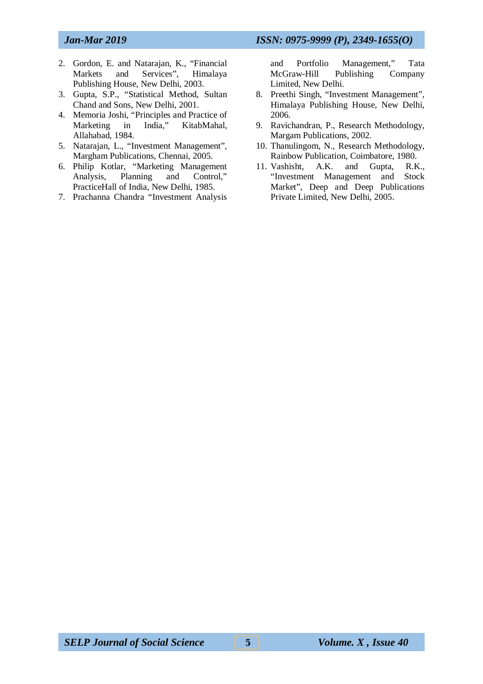- 2. Gordon, E. and Natarajan, K., "Financial Markets and Services", Himalaya Publishing House, New Delhi, 2003.
- 3. Gupta, S.P., "Statistical Method, Sultan Chand and Sons, New Delhi, 2001.
- 4. Memoria Joshi, "Principles and Practice of<br>Marketing in India." KitabMahal. Marketing in India," KitabMahal, Allahabad, 1984.
- 5. Natarajan, L., "Investment Management", Margham Publications, Chennai, 2005.
- 6. Philip Kotlar, "Marketing Management Analysis, Planning and Control," PracticeHall of India, New Delhi, 1985.
- 7. Prachanna Chandra "Investment Analysis

and Portfolio Management," Tata McGraw-Hill Publishing Company Limited, New Delhi.

- 8. Preethi Singh, "Investment Management", Himalaya Publishing House, New Delhi, 2006.
- 9. Ravichandran, P., Research Methodology, Margam Publications, 2002.
- 10. Thanulingom, N., Research Methodology, Rainbow Publication, Coimbatore, 1980.
- 11. Vashisht, A.K. and Gupta, R.K., "Investment Management and Stock Market", Deep and Deep Publications Private Limited, New Delhi, 2005.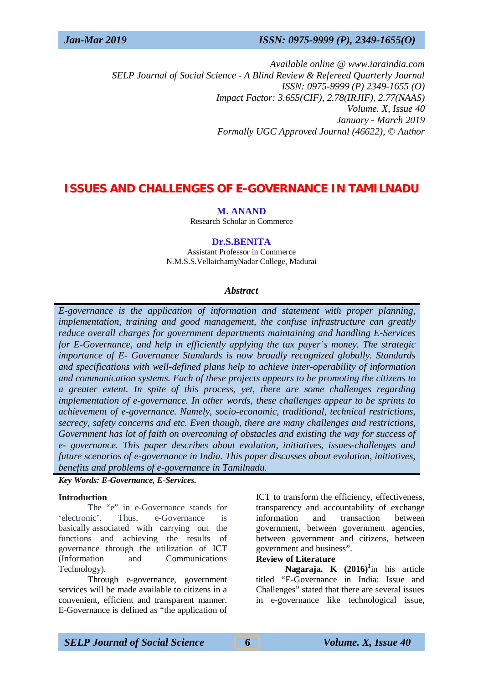# **ISSUES AND CHALLENGES OF E-GOVERNANCE IN TAMILNADU**

**M. ANAND**

Research Scholar in Commerce

#### **Dr.S.BENITA**

Assistant Professor in Commerce N.M.S.S.VellaichamyNadar College, Madurai

## *Abstract*

*E-governance is the application of information and statement with proper planning, implementation, training and good management, the confuse infrastructure can greatly reduce overall charges for government departments maintaining and handling E-Services for E-Governance, and help in efficiently applying the tax payer's money. The strategic importance of E- Governance Standards is now broadly recognized globally. Standards and specifications with well-defined plans help to achieve inter-operability of information and communication systems. Each of these projects appears to be promoting the citizens to a greater extent. In spite of this process, yet, there are some challenges regarding implementation of e-governance. In other words, these challenges appear to be sprints to achievement of e-governance. Namely, socio-economic, traditional, technical restrictions, secrecy, safety concerns and etc. Even though, there are many challenges and restrictions, Government has lot of faith on overcoming of obstacles and existing the way for success of e- governance. This paper describes about evolution, initiatives, issues-challenges and future scenarios of e-governance in India. This paper discusses about evolution, initiatives, benefits and problems of e-governance in Tamilnadu.*

*Key Words: E-Governance, E-Services.*

#### **Introduction**

The "e" in e-Governance stands for 'electronic'. Thus, e-Governance is basically associated with carrying out the functions and achieving the results of governance through the utilization of ICT (Information and Communications Technology).

Through e-governance, government services will be made available to citizens in a convenient, efficient and transparent manner. E-Governance is defined as "the application of ICT to transform the efficiency, effectiveness, transparency and accountability of exchange information and transaction between government, between government agencies, between government and citizens, between government and business".

#### **Review of Literature**

**Nagaraja. K (2016)<sup>1</sup>** in his article titled "E-Governance in India: Issue and Challenges" stated that there are several issues in e-governance like technological issue,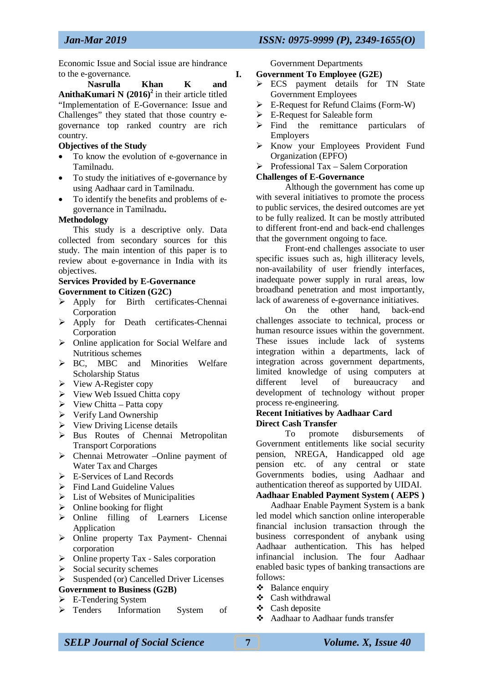Economic Issue and Social issue are hindrance to the e-governance.

**Nasrulla Khan K and AnithaKumari N (2016)<sup>2</sup>**in their article titled "Implementation of E-Governance: Issue and Challenges" they stated that those country egovernance top ranked country are rich country.

#### **Objectives of the Study**

- To know the evolution of e-governance in Tamilnadu.
- To study the initiatives of e-governance by using Aadhaar card in Tamilnadu.
- To identify the benefits and problems of egovernance in Tamilnadu**.**

### **Methodology**

This study is a descriptive only. Data collected from secondary sources for this study. The main intention of this paper is to review about e-governance in India with its objectives.

#### **Services Provided by E-Governance Government to Citizen (G2C)**

- $\triangleright$  Apply for Birth certificates-Chennai Corporation
- > Apply for Death certificates-Chennai Corporation
- $\triangleright$  Online application for Social Welfare and Nutritious schemes
- > BC, MBC and Minorities Welfare Scholarship Status
- $\triangleright$  View A-Register copy
- $\triangleright$  View Web Issued Chitta copy
- $\triangleright$  View Chitta Patta copy
- $\triangleright$  Verify Land Ownership
- $\triangleright$  View Driving License details
- Bus Routes of Chennai Metropolitan Transport Corporations
- Chennai Metrowater –Online payment of Water Tax and Charges
- $\triangleright$  E-Services of Land Records
- $\triangleright$  Find Land Guideline Values
- $\triangleright$  List of Websites of Municipalities
- $\triangleright$  Online booking for flight
- Online filling of Learners License Application
- Online property Tax Payment- Chennai corporation
- $\triangleright$  Online property Tax Sales corporation
- $\triangleright$  Social security schemes
- $\triangleright$  Suspended (or) Cancelled Driver Licenses **Government to Business (G2B)**
- 
- $\geq$  E-Tendering System<br> $\geq$  Tenders Information > Tenders Information System of

Government Departments

## **I. Government To Employee (G2E)**

- ECS payment details for TN State Government Employees
- $\triangleright$  E-Request for Refund Claims (Form-W)
- E-Request for Saleable form
- $\triangleright$  Find the remittance particulars of Employers
- Know your Employees Provident Fund Organization (EPFO)
- $\triangleright$  Professional Tax Salem Corporation

### **Challenges of E-Governance**

Although the government has come up with several initiatives to promote the process to public services, the desired outcomes are yet to be fully realized. It can be mostly attributed to different front-end and back-end challenges that the government ongoing to face.

Front-end challenges associate to user specific issues such as, high illiteracy levels, non-availability of user friendly interfaces, inadequate power supply in rural areas, low broadband penetration and most importantly, lack of awareness of e-governance initiatives.

On the other hand, back-end challenges associate to technical, process or human resource issues within the government. These issues include lack of systems integration within a departments, lack of integration across government departments, limited knowledge of using computers at different level of bureaucracy and development of technology without proper process re-engineering.

## **Recent Initiatives by Aadhaar Card Direct Cash Transfer**

To promote disbursements of Government entitlements like social security pension, NREGA, Handicapped old age pension etc. of any central or state Governments bodies, using Aadhaar and authentication thereof as supported by UIDAI.

## **Aadhaar Enabled Payment System ( AEPS )**

Aadhaar Enable Payment System is a bank led model which sanction online interoperable financial inclusion transaction through the business correspondent of anybank using Aadhaar authentication. This has helped infinancial inclusion. The four Aadhaar enabled basic types of banking transactions are follows:

- $\triangle$  Balance enquiry
- Cash withdrawal
- Cash deposite
- Aadhaar to Aadhaar funds transfer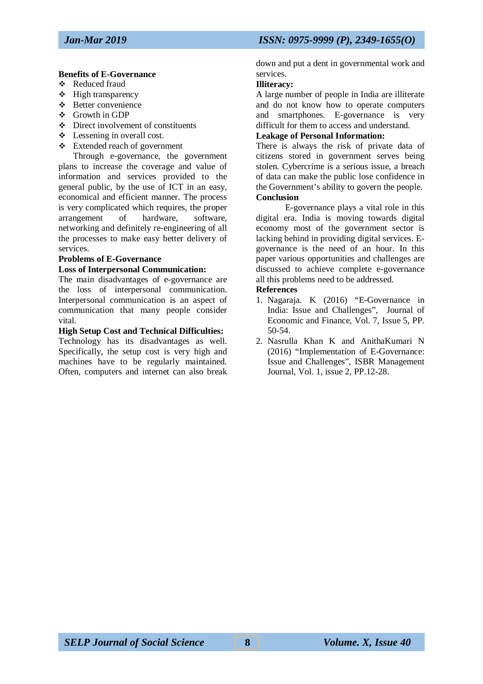## **Benefits of E-Governance**

- Reduced fraud
- $\div$  High transparency
- Better convenience
- ❖ Growth in GDP
- $\triangle$  Direct involvement of constituents
- Lessening in overall cost.
- Extended reach of government

Through e-governance, the government plans to increase the coverage and value of information and services provided to the general public, by the use of ICT in an easy, economical and efficient manner. The process is very complicated which requires, the proper arrangement of hardware, software, networking and definitely re-engineering of all the processes to make easy better delivery of services.

#### **Problems of E-Governance**

## **Loss of Interpersonal Communication:**

The main disadvantages of e-governance are the loss of interpersonal communication. Interpersonal communication is an aspect of communication that many people consider vital.

## **High Setup Cost and Technical Difficulties:**

Technology has its disadvantages as well. Specifically, the setup cost is very high and machines have to be regularly maintained. Often, computers and internet can also break

down and put a dent in governmental work and services.

## **Illiteracy:**

A large number of people in India are illiterate and do not know how to operate computers and smartphones. E-governance is very difficult for them to access and understand.

## **Leakage of Personal Information:**

There is always the risk of private data of citizens stored in government serves being stolen. Cybercrime is a serious issue, a breach of data can make the public lose confidence in the Government's ability to govern the people. **Conclusion**

E-governance plays a vital role in this digital era. India is moving towards digital economy most of the government sector is lacking behind in providing digital services. Egovernance is the need of an hour. In this paper various opportunities and challenges are discussed to achieve complete e-governance all this problems need to be addressed.

## **References**

- 1. Nagaraja. K (2016) "E-Governance in India: Issue and Challenges", Journal of Economic and Finance, Vol. 7, Issue 5, PP. 50-54.
- 2. Nasrulla Khan K and AnithaKumari N (2016) "Implementation of E-Governance: Issue and Challenges", ISBR Management Journal, Vol. 1, issue 2, PP.12-28.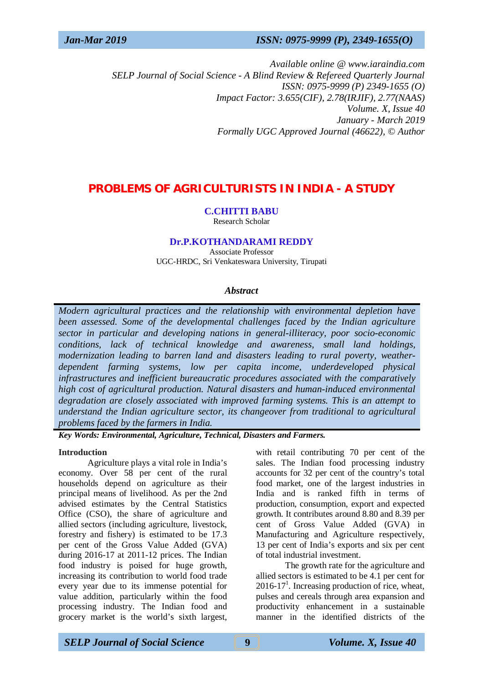# **PROBLEMS OF AGRICULTURISTS IN INDIA - A STUDY**

## **C.CHITTI BABU**

Research Scholar

#### **Dr.P.KOTHANDARAMI REDDY**

Associate Professor UGC-HRDC, Sri Venkateswara University, Tirupati

#### *Abstract*

*Modern agricultural practices and the relationship with environmental depletion have been assessed. Some of the developmental challenges faced by the Indian agriculture sector in particular and developing nations in general-illiteracy, poor socio-economic conditions, lack of technical knowledge and awareness, small land holdings, modernization leading to barren land and disasters leading to rural poverty, weatherdependent farming systems, low per capita income, underdeveloped physical infrastructures and inefficient bureaucratic procedures associated with the comparatively high cost of agricultural production. Natural disasters and human-induced environmental degradation are closely associated with improved farming systems. This is an attempt to understand the Indian agriculture sector, its changeover from traditional to agricultural problems faced by the farmers in India.*

*Key Words: Environmental, Agriculture, Technical, Disasters and Farmers.*

#### **Introduction**

Agriculture plays a vital role in India's economy. Over 58 per cent of the rural households depend on agriculture as their principal means of livelihood. As per the 2nd advised estimates by the Central Statistics Office (CSO), the share of agriculture and allied sectors (including agriculture, livestock, forestry and fishery) is estimated to be 17.3 per cent of the Gross Value Added (GVA) during 2016-17 at 2011-12 prices. The Indian food industry is poised for huge growth, increasing its contribution to world food trade every year due to its immense potential for value addition, particularly within the food processing industry. The Indian food and grocery market is the world's sixth largest,

with retail contributing 70 per cent of the sales. The Indian food processing industry accounts for 32 per cent of the country's total food market, one of the largest industries in India and is ranked fifth in terms of production, consumption, export and expected growth. It contributes around 8.80 and 8.39 per cent of Gross Value Added (GVA) in Manufacturing and Agriculture respectively, 13 per cent of India's exports and six per cent of total industrial investment.

The growth rate for the agriculture and allied sectors is estimated to be 4.1 per cent for  $2016-17<sup>1</sup>$ . Increasing production of rice, wheat, pulses and cereals through area expansion and productivity enhancement in a sustainable manner in the identified districts of the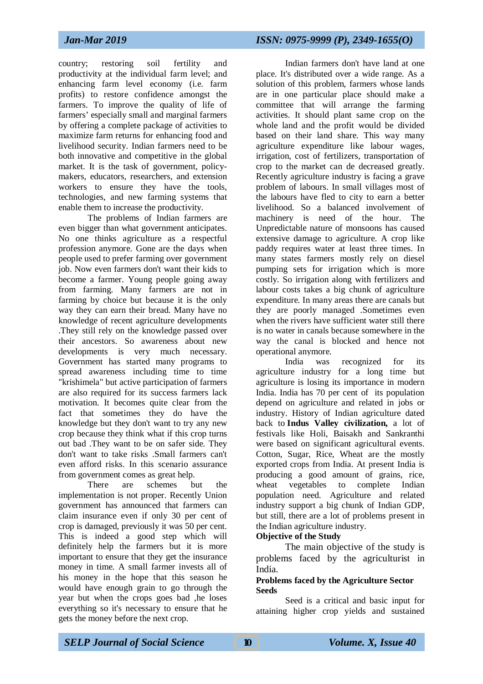country; restoring soil fertility and productivity at the individual farm level; and enhancing farm level economy (i.e. farm profits) to restore confidence amongst the farmers. To improve the quality of life of farmers' especially small and marginal farmers by offering a complete package of activities to maximize farm returns for enhancing food and livelihood security. Indian farmers need to be both innovative and competitive in the global market. It is the task of government, policymakers, educators, researchers, and extension workers to ensure they have the tools, technologies, and new farming systems that enable them to increase the productivity.

The problems of Indian farmers are even bigger than what government anticipates. No one thinks agriculture as a respectful profession anymore. Gone are the days when people used to prefer farming over government job. Now even farmers don't want their kids to become a farmer. Young people going away from farming. Many farmers are not in farming by choice but because it is the only way they can earn their bread. Many have no knowledge of recent agriculture developments .They still rely on the knowledge passed over their ancestors. So awareness about new developments is very much necessary. Government has started many programs to spread awareness including time to time "krishimela" but active participation of farmers are also required for its success farmers lack motivation. It becomes quite clear from the fact that sometimes they do have the knowledge but they don't want to try any new crop because they think what if this crop turns out bad .They want to be on safer side. They don't want to take risks .Small farmers can't even afford risks. In this scenario assurance from government comes as great help.

There are schemes but the implementation is not proper. Recently Union government has announced that farmers can claim insurance even if only 30 per cent of crop is damaged, previously it was 50 per cent. This is indeed a good step which will definitely help the farmers but it is more important to ensure that they get the insurance money in time. A small farmer invests all of his money in the hope that this season he would have enough grain to go through the year but when the crops goes bad ,he loses everything so it's necessary to ensure that he gets the money before the next crop.

Indian farmers don't have land at one place. It's distributed over a wide range. As a solution of this problem, farmers whose lands are in one particular place should make a committee that will arrange the farming activities. It should plant same crop on the whole land and the profit would be divided based on their land share. This way many agriculture expenditure like labour wages, irrigation, cost of fertilizers, transportation of crop to the market can de decreased greatly. Recently agriculture industry is facing a grave problem of labours. In small villages most of the labours have fled to city to earn a better livelihood. So a balanced involvement of machinery is need of the hour. The Unpredictable nature of monsoons has caused extensive damage to agriculture. A crop like paddy requires water at least three times. In many states farmers mostly rely on diesel pumping sets for irrigation which is more costly. So irrigation along with fertilizers and labour costs takes a big chunk of agriculture expenditure. In many areas there are canals but they are poorly managed .Sometimes even when the rivers have sufficient water still there is no water in canals because somewhere in the way the canal is blocked and hence not operational anymore.

India was recognized for its agriculture industry for a long time but agriculture is losing its importance in modern India. India has 70 per cent of its population depend on agriculture and related in jobs or industry. History of Indian agriculture dated back to **Indus Valley civilization,** a lot of festivals like Holi, Baisakh and Sankranthi were based on significant agricultural events. Cotton, Sugar, Rice, Wheat are the mostly exported crops from India. At present India is producing a good amount of grains, rice, wheat vegetables to complete Indian population need. Agriculture and related industry support a big chunk of Indian GDP, but still, there are a lot of problems present in the Indian agriculture industry.

#### **Objective of the Study**

The main objective of the study is problems faced by the agriculturist in India.

#### **Problems faced by the Agriculture Sector Seeds**

Seed is a critical and basic input for attaining higher crop yields and sustained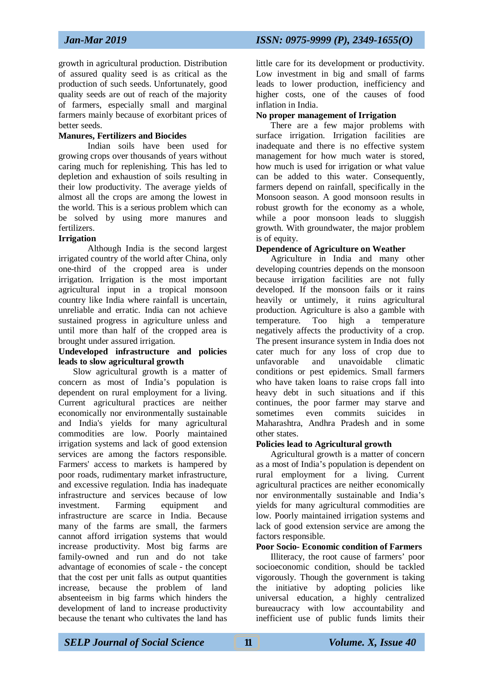growth in agricultural production. Distribution of assured quality seed is as critical as the production of such seeds. Unfortunately, good quality seeds are out of reach of the majority of farmers, especially small and marginal farmers mainly because of exorbitant prices of better seeds.

## **Manures, Fertilizers and Biocides**

Indian soils have been used for growing crops over thousands of years without caring much for replenishing. This has led to depletion and exhaustion of soils resulting in their low productivity. The average yields of almost all the crops are among the lowest in the world. This is a serious problem which can be solved by using more manures and fertilizers.

## **Irrigation**

Although India is the second largest irrigated country of the world after China, only one-third of the cropped area is under irrigation. Irrigation is the most important agricultural input in a tropical monsoon country like India where rainfall is uncertain, unreliable and erratic. India can not achieve sustained progress in agriculture unless and until more than half of the cropped area is brought under assured irrigation.

## **Undeveloped infrastructure and policies leads to slow agricultural growth**

Slow agricultural growth is a matter of concern as most of India's population is dependent on rural employment for a living. Current agricultural practices are neither economically nor environmentally sustainable and India's yields for many agricultural commodities are low. Poorly maintained irrigation systems and lack of good extension services are among the factors responsible. Farmers' access to markets is hampered by poor roads, rudimentary market infrastructure, and excessive regulation. India has inadequate infrastructure and services because of low investment. Farming equipment and infrastructure are scarce in India. Because many of the farms are small, the farmers cannot afford irrigation systems that would increase productivity. Most big farms are family-owned and run and do not take advantage of economies of scale - the concept that the cost per unit falls as output quantities increase, because the problem of land absenteeism in big farms which hinders the development of land to increase productivity because the tenant who cultivates the land has

little care for its development or productivity. Low investment in big and small of farms leads to lower production, inefficiency and higher costs, one of the causes of food inflation in India.

## **No proper management of Irrigation**

There are a few major problems with surface irrigation. Irrigation facilities are inadequate and there is no effective system management for how much water is stored, how much is used for irrigation or what value can be added to this water. Consequently, farmers depend on rainfall, specifically in the Monsoon season. A good monsoon results in robust growth for the economy as a whole, while a poor monsoon leads to sluggish growth. With groundwater, the major problem is of equity.

## **Dependence of Agriculture on Weather**

Agriculture in India and many other developing countries depends on the monsoon because irrigation facilities are not fully developed. If the monsoon fails or it rains heavily or untimely, it ruins agricultural production. Agriculture is also a gamble with temperature. Too high a temperature negatively affects the productivity of a crop. The present insurance system in India does not cater much for any loss of crop due to<br>unfavorable and unavoidable climatic and unavoidable climatic conditions or pest epidemics. Small farmers who have taken loans to raise crops fall into heavy debt in such situations and if this continues, the poor farmer may starve and sometimes even commits suicides in Maharashtra, Andhra Pradesh and in some other states.

## **Policies lead to Agricultural growth**

Agricultural growth is a matter of concern as a most of India's population is dependent on rural employment for a living. Current agricultural practices are neither economically nor environmentally sustainable and India's yields for many agricultural commodities are low. Poorly maintained irrigation systems and lack of good extension service are among the factors responsible.

## **Poor Socio- Economic condition of Farmers**

Illiteracy, the root cause of farmers' poor socioeconomic condition, should be tackled vigorously. Though the government is taking the initiative by adopting policies like universal education, a highly centralized bureaucracy with low accountability and inefficient use of public funds limits their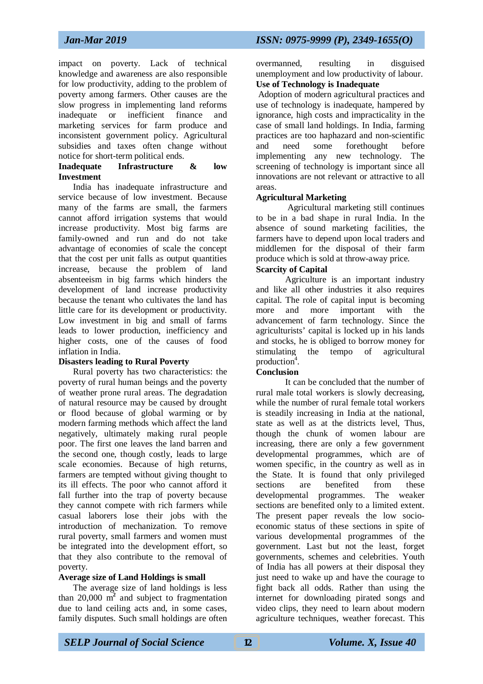impact on poverty. Lack of technical knowledge and awareness are also responsible for low productivity, adding to the problem of poverty among farmers. Other causes are the slow progress in implementing land reforms<br>inadequate or inefficient finance and inadequate or inefficient finance and marketing services for farm produce and inconsistent government policy. Agricultural subsidies and taxes often change without notice for short-term political ends.

## **Inadequate Infrastructure & low Investment**

India has inadequate infrastructure and service because of low investment. Because many of the farms are small, the farmers cannot afford irrigation systems that would increase productivity. Most big farms are family-owned and run and do not take advantage of economies of scale the concept that the cost per unit falls as output quantities increase, because the problem of land absenteeism in big farms which hinders the development of land increase productivity because the tenant who cultivates the land has little care for its development or productivity. Low investment in big and small of farms leads to lower production, inefficiency and higher costs, one of the causes of food inflation in India.

#### **Disasters leading to Rural Poverty**

Rural poverty has two characteristics: the poverty of rural human beings and the poverty of weather prone rural areas. The degradation of natural resource may be caused by drought or flood because of global warming or by modern farming methods which affect the land negatively, ultimately making rural people poor. The first one leaves the land barren and the second one, though costly, leads to large scale economies. Because of high returns, farmers are tempted without giving thought to its ill effects. The poor who cannot afford it fall further into the trap of poverty because they cannot compete with rich farmers while casual laborers lose their jobs with the introduction of mechanization. To remove rural poverty, small farmers and women must be integrated into the development effort, so that they also contribute to the removal of poverty.

## **Average size of Land Holdings is small**

The average size of land holdings is less than 20,000 m**<sup>2</sup>** and subject to fragmentation due to land ceiling acts and, in some cases, family disputes. Such small holdings are often

overmanned, resulting in disguised unemployment and low productivity of labour.

## **Use of Technology is Inadequate**

Adoption of modern agricultural practices and use of technology is inadequate, hampered by ignorance, high costs and impracticality in the case of small land holdings. In India, farming practices are too haphazard and non-scientific and need some forethought before implementing any new technology. The screening of technology is important since all innovations are not relevant or attractive to all areas.

## **Agricultural Marketing**

Agricultural marketing still continues to be in a bad shape in rural India. In the absence of sound marketing facilities, the farmers have to depend upon local traders and middlemen for the disposal of their farm produce which is sold at throw-away price.

## **Scarcity of Capital**

Agriculture is an important industry and like all other industries it also requires capital. The role of capital input is becoming more and more important with the advancement of farm technology. Since the agriculturists' capital is locked up in his lands and stocks, he is obliged to borrow money for stimulating the tempo of agricultural production<sup>4</sup>.

## **Conclusion**

It can be concluded that the number of rural male total workers is slowly decreasing, while the number of rural female total workers is steadily increasing in India at the national, state as well as at the districts level, Thus, though the chunk of women labour are increasing, there are only a few government developmental programmes, which are of women specific, in the country as well as in the State. It is found that only privileged sections are benefited from these developmental programmes. The weaker sections are benefited only to a limited extent. The present paper reveals the low socioeconomic status of these sections in spite of various developmental programmes of the government. Last but not the least, forget governments, schemes and celebrities. Youth of India has all powers at their disposal they just need to wake up and have the courage to fight back all odds. Rather than using the internet for downloading pirated songs and video clips, they need to learn about modern agriculture techniques, weather forecast. This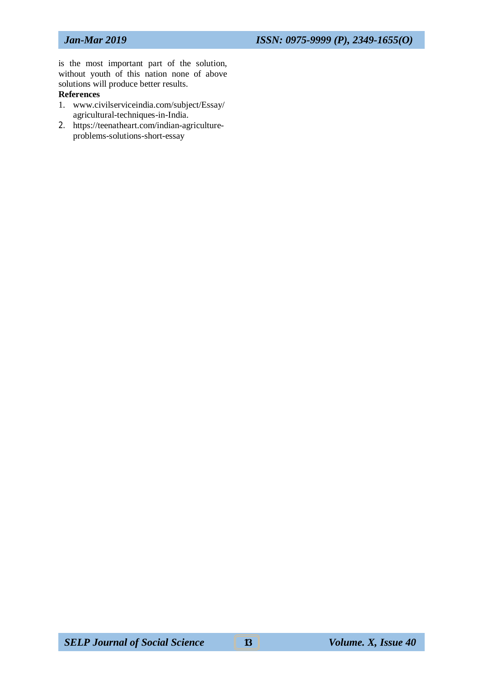is the most important part of the solution, without youth of this nation none of above solutions will produce better results.

# **References**

- 1. [www.civilserviceindia.com/subject/Essay/](http://www.civilserviceindia.com/subject/Essay/) agricultural-techniques-in-India.
- 2. [https://teenatheart.com/indian-agriculture](https://teenatheart.com/indian-agriculture-)problems-solutions-short-essay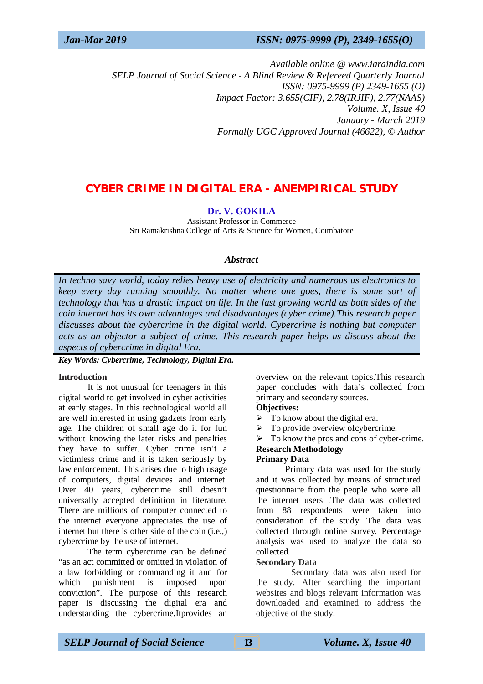# **CYBER CRIME IN DIGITAL ERA - ANEMPIRICAL STUDY**

## **Dr. V. GOKILA**

Assistant Professor in Commerce Sri Ramakrishna College of Arts & Science for Women, Coimbatore

## *Abstract*

*In techno savy world, today relies heavy use of electricity and numerous us electronics to keep every day running smoothly. No matter where one goes, there is some sort of technology that has a drastic impact on life. In the fast growing world as both sides of the coin internet has its own advantages and disadvantages (cyber crime).This research paper discusses about the cybercrime in the digital world. Cybercrime is nothing but computer acts as an objector a subject of crime. This research paper helps us discuss about the aspects of cybercrime in digital Era.*

*Key Words: Cybercrime, Technology, Digital Era.*

#### **Introduction**

It is not unusual for teenagers in this digital world to get involved in cyber activities at early stages. In this technological world all are well interested in using gadzets from early age. The children of small age do it for fun without knowing the later risks and penalties they have to suffer. Cyber crime isn't a victimless crime and it is taken seriously by law enforcement. This arises due to high usage of computers, digital devices and internet. Over 40 years, cybercrime still doesn't universally accepted definition in literature. There are millions of computer connected to the internet everyone appreciates the use of internet but there is other side of the coin (i.e.,) cybercrime by the use of internet.

The term cybercrime can be defined "as an act committed or omitted in violation of a law forbidding or commanding it and for which punishment is imposed upon conviction". The purpose of this research paper is discussing the digital era and understanding the cybercrime.Itprovides an

overview on the relevant topics.This research paper concludes with data's collected from primary and secondary sources.

#### **Objectives:**

- $\triangleright$  To know about the digital era.
- $\triangleright$  To provide overview of cybercrime.

 $\triangleright$  To know the pros and cons of cyber-crime. **Research Methodology**

## **Primary Data**

Primary data was used for the study and it was collected by means of structured questionnaire from the people who were all the internet users .The data was collected from 88 respondents were taken into consideration of the study .The data was collected through online survey. Percentage analysis was used to analyze the data so collected.

#### **Secondary Data**

Secondary data was also used for the study. After searching the important websites and blogs relevant information was downloaded and examined to address the objective of the study.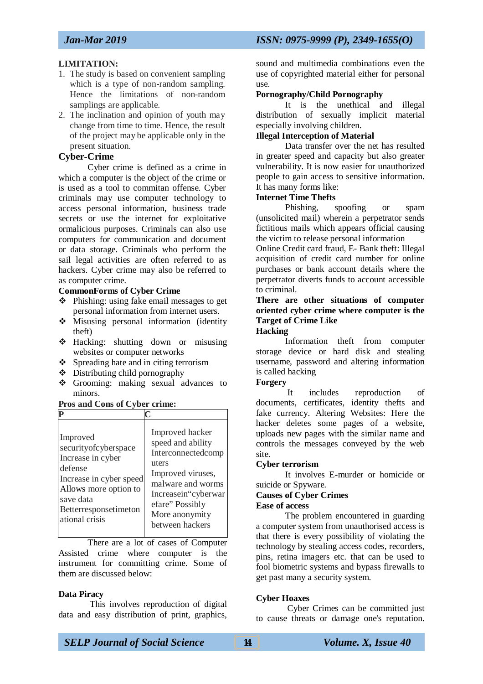## **LIMITATION:**

- 1. The study is based on convenient sampling which is a type of non-random sampling. Hence the limitations of non-random samplings are applicable.
- 2. The inclination and opinion of youth may change from time to time. Hence, the result of the project may be applicable only in the present situation.

## **Cyber-Crime**

Cyber crime is defined as a crime in which a computer is the object of the crime or is used as a tool to commitan offense. Cyber criminals may use computer technology to access personal information, business trade secrets or use the internet for exploitative ormalicious purposes. Criminals can also use computers for communication and document or data storage. Criminals who perform the sail legal activities are often referred to as hackers. Cyber crime may also be referred to as computer crime.

## **CommonForms of Cyber Crime**

- Phishing: using fake email messages to get personal information from internet users.
- Misusing personal information (identity theft)
- Hacking: shutting down or misusing websites or computer networks
- $\div$  Spreading hate and in citing terrorism
- $\triangleq$  Distributing child pornography
- Grooming: making sexual advances to minors.

## **Pros and Cons of Cyber crime:**

| Improved<br>securityofcyberspace<br>Increase in cyber<br>defense<br>Increase in cyber speed<br>Allows more option to<br>save data<br>Betterresponsetimeton<br>ational crisis | Improved hacker<br>speed and ability<br>Interconnectedcomp<br>uters<br>Improved viruses,<br>malware and worms<br>Increasein"cyberwar<br>efare" Possibly<br>More anonymity<br>between hackers |
|------------------------------------------------------------------------------------------------------------------------------------------------------------------------------|----------------------------------------------------------------------------------------------------------------------------------------------------------------------------------------------|

There are a lot of cases of Computer Assisted crime where computer is the instrument for committing crime. Some of them are discussed below:

#### **Data Piracy**

This involves reproduction of digital data and easy distribution of print, graphics, sound and multimedia combinations even the use of copyrighted material either for personal use.

#### **Pornography/Child Pornography**

It is the unethical and illegal distribution of sexually implicit material especially involving children.

## **Illegal Interception of Material**

Data transfer over the net has resulted in greater speed and capacity but also greater vulnerability. It is now easier for unauthorized people to gain access to sensitive information. It has many forms like:

#### **Internet Time Thefts**

Phishing, spoofing or spam (unsolicited mail) wherein a perpetrator sends fictitious mails which appears official causing the victim to release personal information

Online Credit card fraud, E- Bank theft: Illegal acquisition of credit card number for online purchases or bank account details where the perpetrator diverts funds to account accessible to criminal.

## **There are other situations of computer oriented cyber crime where computer is the Target of Crime Like**

#### **Hacking**

Information theft from computer storage device or hard disk and stealing username, password and altering information is called hacking

#### **Forgery**

It includes reproduction of documents, certificates, identity thefts and fake currency. Altering Websites: Here the hacker deletes some pages of a website, uploads new pages with the similar name and controls the messages conveyed by the web site.

#### **Cyber terrorism**

It involves E-murder or homicide or suicide or Spyware.

#### **Causes of Cyber Crimes**

#### **Ease of access**

The problem encountered in guarding a computer system from unauthorised access is that there is every possibility of violating the technology by stealing access codes, recorders, pins, retina imagers etc. that can be used to fool biometric systems and bypass firewalls to get past many a security system.

#### **Cyber Hoaxes**

Cyber Crimes can be committed just to cause threats or damage one's reputation.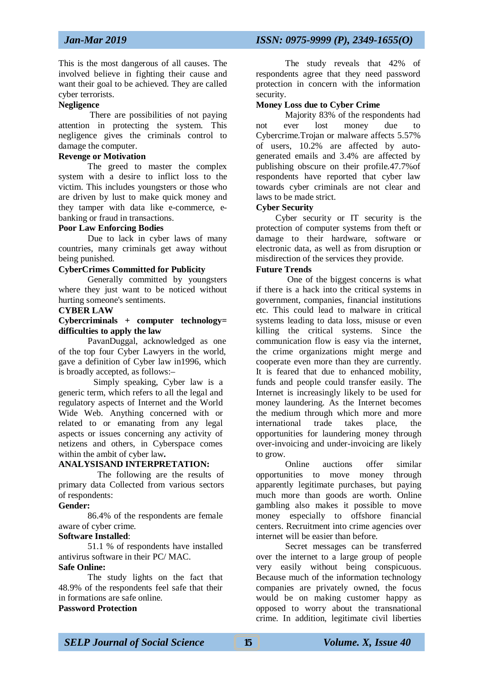This is the most dangerous of all causes. The involved believe in fighting their cause and want their goal to be achieved. They are called cyber terrorists.

## **Negligence**

There are possibilities of not paying attention in protecting the system. This negligence gives the criminals control to damage the computer.

#### **Revenge or Motivation**

The greed to master the complex system with a desire to inflict loss to the victim. This includes youngsters or those who are driven by lust to make quick money and they tamper with data like e-commerce, ebanking or fraud in transactions.

#### **Poor Law Enforcing Bodies**

Due to lack in cyber laws of many countries, many criminals get away without being punished.

#### **CyberCrimes Committed for Publicity**

Generally committed by youngsters where they just want to be noticed without hurting someone's sentiments.

#### **CYBER LAW**

#### **Cybercriminals + computer technology= difficulties to apply the law**

PavanDuggal, acknowledged as one of the top four Cyber Lawyers in the world, gave a definition of Cyber law in1996, which is broadly accepted, as follows:–

Simply speaking, Cyber law is a generic term, which refers to all the legal and regulatory aspects of Internet and the World Wide Web. Anything concerned with or related to or emanating from any legal aspects or issues concerning any activity of netizens and others, in Cyberspace comes within the ambit of cyber law**.**

#### **ANALYSISAND INTERPRETATION:**

The following are the results of primary data Collected from various sectors of respondents:

## **Gender:**

86.4% of the respondents are female aware of cyber crime.

## **Software Installed**:

51.1 % of respondents have installed antivirus software in their PC/ MAC.

# **Safe Online:**

The study lights on the fact that 48.9% of the respondents feel safe that their in formations are safe online.

## **Password Protection**

The study reveals that 42% of respondents agree that they need password protection in concern with the information security.

## **Money Loss due to Cyber Crime**

Majority 83% of the respondents had not ever lost money due to Cybercrime.Trojan or malware affects 5.57% of users, 10.2% are affected by autogenerated emails and 3.4% are affected by publishing obscure on their profile.47.7%of respondents have reported that cyber law towards cyber criminals are not clear and laws to be made strict.

#### **Cyber Security**

Cyber security or IT security is the protection of computer systems from theft or damage to their hardware, software or electronic data, as well as from disruption or misdirection of the services they provide.

#### **Future Trends**

One of the biggest concerns is what if there is a hack into the critical systems in government, companies, financial institutions etc. This could lead to malware in critical systems leading to data loss, misuse or even killing the critical systems. Since the communication flow is easy via the internet, the crime organizations might merge and cooperate even more than they are currently. It is feared that due to enhanced mobility, funds and people could transfer easily. The Internet is increasingly likely to be used for money laundering. As the Internet becomes the medium through which more and more<br>international trade takes place, the international trade takes place, the opportunities for laundering money through over-invoicing and under-invoicing are likely to grow.

Online auctions offer similar opportunities to move money through apparently legitimate purchases, but paying much more than goods are worth. Online gambling also makes it possible to move money especially to offshore financial centers. Recruitment into crime agencies over internet will be easier than before.

Secret messages can be transferred over the internet to a large group of people very easily without being conspicuous. Because much of the information technology companies are privately owned, the focus would be on making customer happy as opposed to worry about the transnational crime. In addition, legitimate civil liberties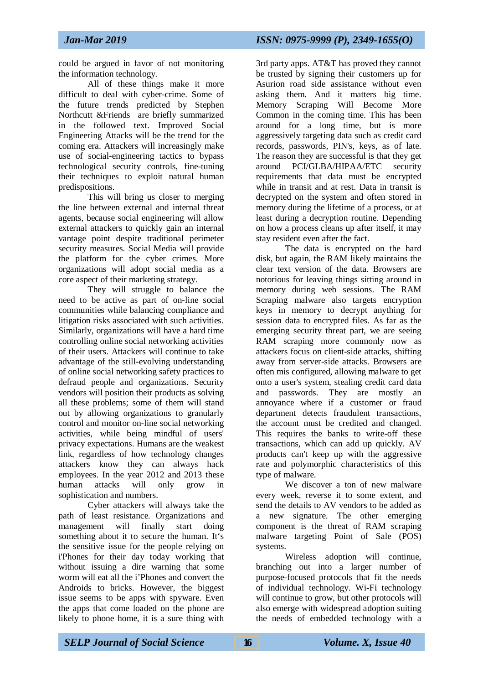could be argued in favor of not monitoring the information technology.

All of these things make it more difficult to deal with cyber-crime. Some of the future trends predicted by Stephen Northcutt &Friends are briefly summarized in the followed text. Improved Social Engineering Attacks will be the trend for the coming era. Attackers will increasingly make use of social-engineering tactics to bypass technological security controls, fine-tuning their techniques to exploit natural human predispositions.

This will bring us closer to merging the line between external and internal threat agents, because social engineering will allow external attackers to quickly gain an internal vantage point despite traditional perimeter security measures. Social Media will provide the platform for the cyber crimes. More organizations will adopt social media as a core aspect of their marketing strategy.

They will struggle to balance the need to be active as part of on-line social communities while balancing compliance and litigation risks associated with such activities. Similarly, organizations will have a hard time controlling online social networking activities of their users. Attackers will continue to take advantage of the still-evolving understanding of online social networking safety practices to defraud people and organizations. Security vendors will position their products as solving all these problems; some of them will stand out by allowing organizations to granularly control and monitor on-line social networking activities, while being mindful of users' privacy expectations. Humans are the weakest link, regardless of how technology changes attackers know they can always hack employees. In the year 2012 and 2013 these human attacks will only grow in sophistication and numbers.

Cyber attackers will always take the path of least resistance. Organizations and management will finally start doing something about it to secure the human. It's the sensitive issue for the people relying on i'Phones for their day today working that without issuing a dire warning that some worm will eat all the i'Phones and convert the Androids to bricks. However, the biggest issue seems to be apps with spyware. Even the apps that come loaded on the phone are likely to phone home, it is a sure thing with 3rd party apps. AT&T has proved they cannot be trusted by signing their customers up for Asurion road side assistance without even asking them. And it matters big time. Memory Scraping Will Become More Common in the coming time. This has been around for a long time, but is more aggressively targeting data such as credit card records, passwords, PIN's, keys, as of late. The reason they are successful is that they get around PCI/GLBA/HIPAA/ETC security requirements that data must be encrypted while in transit and at rest. Data in transit is decrypted on the system and often stored in memory during the lifetime of a process, or at least during a decryption routine. Depending on how a process cleans up after itself, it may stay resident even after the fact.

The data is encrypted on the hard disk, but again, the RAM likely maintains the clear text version of the data. Browsers are notorious for leaving things sitting around in memory during web sessions. The RAM Scraping malware also targets encryption keys in memory to decrypt anything for session data to encrypted files. As far as the emerging security threat part, we are seeing RAM scraping more commonly now as attackers focus on client-side attacks, shifting away from server-side attacks. Browsers are often mis configured, allowing malware to get onto a user's system, stealing credit card data and passwords. They are mostly an annoyance where if a customer or fraud department detects fraudulent transactions, the account must be credited and changed. This requires the banks to write-off these transactions, which can add up quickly. AV products can't keep up with the aggressive rate and polymorphic characteristics of this type of malware.

We discover a ton of new malware every week, reverse it to some extent, and send the details to AV vendors to be added as a new signature. The other emerging component is the threat of RAM scraping malware targeting Point of Sale (POS) systems.

Wireless adoption will continue, branching out into a larger number of purpose-focused protocols that fit the needs of individual technology. Wi-Fi technology will continue to grow, but other protocols will also emerge with widespread adoption suiting the needs of embedded technology with a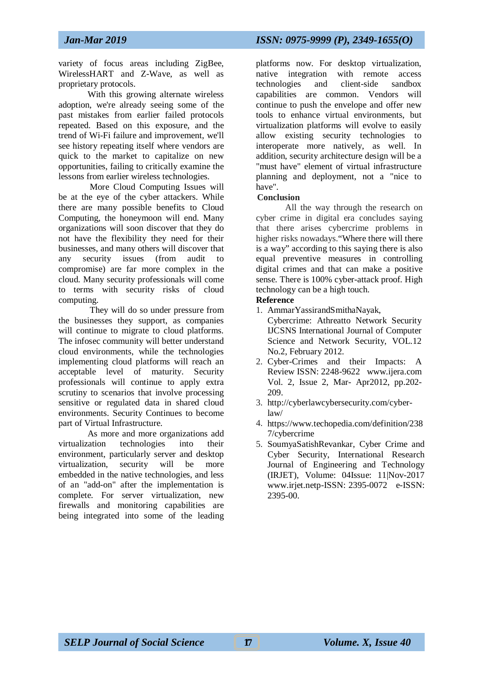variety of focus areas including ZigBee, WirelessHART and Z-Wave, as well as proprietary protocols.

With this growing alternate wireless adoption, we're already seeing some of the past mistakes from earlier failed protocols repeated. Based on this exposure, and the trend of Wi-Fi failure and improvement, we'll see history repeating itself where vendors are quick to the market to capitalize on new opportunities, failing to critically examine the lessons from earlier wireless technologies.

More Cloud Computing Issues will be at the eye of the cyber attackers. While there are many possible benefits to Cloud Computing, the honeymoon will end. Many organizations will soon discover that they do not have the flexibility they need for their businesses, and many others will discover that any security issues (from audit to compromise) are far more complex in the cloud. Many security professionals will come to terms with security risks of cloud computing.

They will do so under pressure from the businesses they support, as companies will continue to migrate to cloud platforms. The infosec community will better understand cloud environments, while the technologies implementing cloud platforms will reach an acceptable level of maturity. Security professionals will continue to apply extra scrutiny to scenarios that involve processing sensitive or regulated data in shared cloud environments. Security Continues to become part of Virtual Infrastructure.

As more and more organizations add virtualization technologies into their environment, particularly server and desktop virtualization, security will be more embedded in the native technologies, and less of an "add-on" after the implementation is complete. For server virtualization, new firewalls and monitoring capabilities are being integrated into some of the leading

platforms now. For desktop virtualization, native integration with remote access technologies and client-side sandbox capabilities are common. Vendors will continue to push the envelope and offer new tools to enhance virtual environments, but virtualization platforms will evolve to easily allow existing security technologies to interoperate more natively, as well. In addition, security architecture design will be a "must have" element of virtual infrastructure planning and deployment, not a "nice to have".

## **Conclusion**

All the way through the research on cyber crime in digital era concludes saying that there arises cybercrime problems in higher risks nowadays."Where there will there is a way" according to this saying there is also equal preventive measures in controlling digital crimes and that can make a positive sense. There is 100% cyber-attack proof. High technology can be a high touch.

#### **Reference**

- 1. AmmarYassirandSmithaNayak, Cybercrime: Athreatto Network Security IJCSNS International Journal of Computer Science and Network Security, VOL.12 No.2, February 2012.
- 2. Cyber-Crimes and their Impacts: A Review ISSN: 2248-9622 [www.ijera.com](http://www.ijera.com) Vol. 2, Issue 2, Mar- Apr2012, pp.202- 209.
- 3. [http://cyberlawcybersecurity.com/cyber](http://cyberlawcybersecurity.com/cyber-)law/
- 4. <https://www.techopedia.com/definition/238> 7/cybercrime
- 5. SoumyaSatishRevankar, Cyber Crime and Cyber Security, International Research Journal of Engineering and Technology (IRJET), Volume: 04Issue: 11|Nov-2017 [www.irjet.netp-ISSN:](http://www.irjet.netp-ISSN:) 2395-0072 e-ISSN: 2395-00.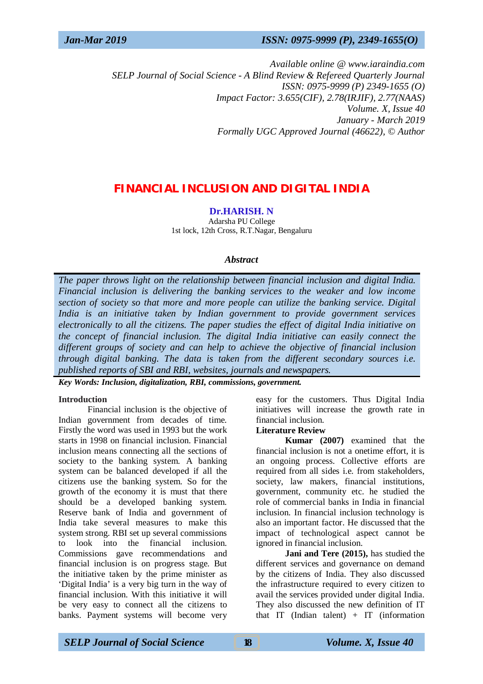# **FINANCIAL INCLUSION AND DIGITAL INDIA**

# **Dr.HARISH. N**

Adarsha PU College 1st lock, 12th Cross, R.T.Nagar, Bengaluru

## *Abstract*

*The paper throws light on the relationship between financial inclusion and digital India. Financial inclusion is delivering the banking services to the weaker and low income section of society so that more and more people can utilize the banking service. Digital India is an initiative taken by Indian government to provide government services electronically to all the citizens. The paper studies the effect of digital India initiative on the concept of financial inclusion. The digital India initiative can easily connect the different groups of society and can help to achieve the objective of financial inclusion through digital banking. The data is taken from the different secondary sources i.e. published reports of SBI and RBI, websites, journals and newspapers.*

*Key Words: Inclusion, digitalization, RBI, commissions, government.*

#### **Introduction**

Financial inclusion is the objective of Indian government from decades of time. Firstly the word was used in 1993 but the work starts in 1998 on financial inclusion. Financial inclusion means connecting all the sections of society to the banking system. A banking system can be balanced developed if all the citizens use the banking system. So for the growth of the economy it is must that there should be a developed banking system. Reserve bank of India and government of India take several measures to make this system strong. RBI set up several commissions to look into the financial inclusion. Commissions gave recommendations and financial inclusion is on progress stage. But the initiative taken by the prime minister as 'Digital India' is a very big turn in the way of financial inclusion. With this initiative it will be very easy to connect all the citizens to banks. Payment systems will become very

easy for the customers. Thus Digital India initiatives will increase the growth rate in financial inclusion.

#### **Literature Review**

**Kumar (2007)** examined that the financial inclusion is not a onetime effort, it is an ongoing process. Collective efforts are required from all sides i.e. from stakeholders, society, law makers, financial institutions, government, community etc. he studied the role of commercial banks in India in financial inclusion. In financial inclusion technology is also an important factor. He discussed that the impact of technological aspect cannot be ignored in financial inclusion.

**Jani and Tere (2015),** has studied the different services and governance on demand by the citizens of India. They also discussed the infrastructure required to every citizen to avail the services provided under digital India. They also discussed the new definition of IT that  $IT$  (Indian talent) +  $IT$  (information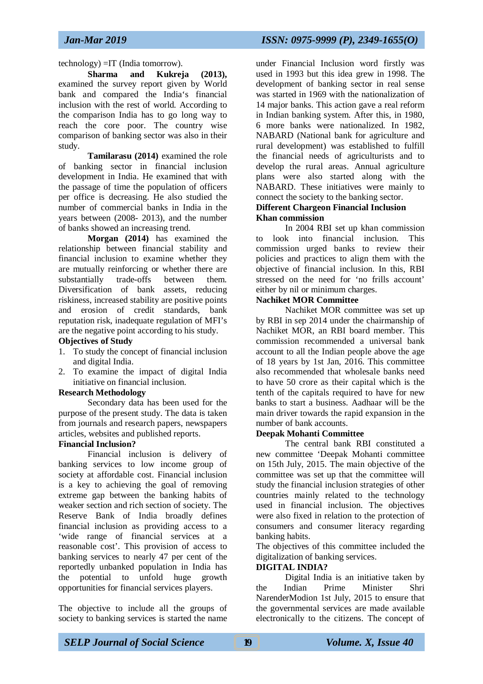## technology) =IT (India tomorrow).

**Sharma and Kukreja (2013),** examined the survey report given by World bank and compared the India's financial inclusion with the rest of world. According to the comparison India has to go long way to reach the core poor. The country wise comparison of banking sector was also in their study.

**Tamilarasu (2014)** examined the role of banking sector in financial inclusion development in India. He examined that with the passage of time the population of officers per office is decreasing. He also studied the number of commercial banks in India in the years between (2008- 2013), and the number of banks showed an increasing trend.

**Morgan (2014)** has examined the relationship between financial stability and financial inclusion to examine whether they are mutually reinforcing or whether there are substantially trade-offs between them. Diversification of bank assets, reducing riskiness, increased stability are positive points and erosion of credit standards, bank reputation risk, inadequate regulation of MFI's are the negative point according to his study.

### **Objectives of Study**

- 1. To study the concept of financial inclusion and digital India.
- 2. To examine the impact of digital India initiative on financial inclusion.

#### **Research Methodology**

Secondary data has been used for the purpose of the present study. The data is taken from journals and research papers, newspapers articles, websites and published reports.

#### **Financial Inclusion?**

Financial inclusion is delivery of banking services to low income group of society at affordable cost. Financial inclusion is a key to achieving the goal of removing extreme gap between the banking habits of weaker section and rich section of society. The Reserve Bank of India broadly defines financial inclusion as providing access to a 'wide range of financial services at a reasonable cost'. This provision of access to banking services to nearly 47 per cent of the reportedly unbanked population in India has the potential to unfold huge growth opportunities for financial services players.

The objective to include all the groups of society to banking services is started the name

under Financial Inclusion word firstly was used in 1993 but this idea grew in 1998. The development of banking sector in real sense was started in 1969 with the nationalization of 14 major banks. This action gave a real reform in Indian banking system. After this, in 1980, 6 more banks were nationalized. In 1982, NABARD (National bank for agriculture and rural development) was established to fulfill the financial needs of agriculturists and to develop the rural areas. Annual agriculture plans were also started along with the NABARD. These initiatives were mainly to connect the society to the banking sector.

## **Different Chargeon Financial Inclusion Khan commission**

In 2004 RBI set up khan commission to look into financial inclusion. This commission urged banks to review their policies and practices to align them with the objective of financial inclusion. In this, RBI stressed on the need for 'no frills account' either by nil or minimum charges.

## **Nachiket MOR Committee**

Nachiket MOR committee was set up by RBI in sep 2014 under the chairmanship of Nachiket MOR, an RBI board member. This commission recommended a universal bank account to all the Indian people above the age of 18 years by 1st Jan, 2016. This committee also recommended that wholesale banks need to have 50 crore as their capital which is the tenth of the capitals required to have for new banks to start a business. Aadhaar will be the main driver towards the rapid expansion in the number of bank accounts.

## **Deepak Mohanti Committee**

The central bank RBI constituted a new committee 'Deepak Mohanti committee on 15th July, 2015. The main objective of the committee was set up that the committee will study the financial inclusion strategies of other countries mainly related to the technology used in financial inclusion. The objectives were also fixed in relation to the protection of consumers and consumer literacy regarding banking habits.

The objectives of this committee included the digitalization of banking services.

#### **DIGITAL INDIA?**

Digital India is an initiative taken by the Indian Prime Minister Shri NarenderModion 1st July, 2015 to ensure that the governmental services are made available electronically to the citizens. The concept of

*SELP Journal of Social Science* **19** *Volume. X, Issue 40*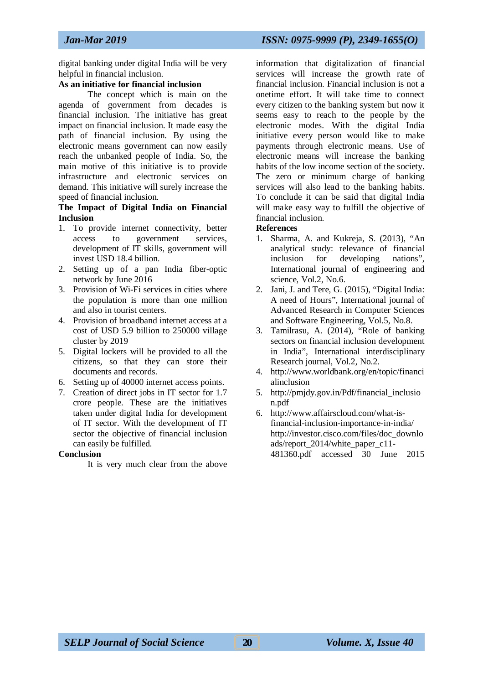digital banking under digital India will be very helpful in financial inclusion.

#### **As an initiative for financial inclusion**

The concept which is main on the agenda of government from decades is financial inclusion. The initiative has great impact on financial inclusion. It made easy the path of financial inclusion. By using the electronic means government can now easily reach the unbanked people of India. So, the main motive of this initiative is to provide infrastructure and electronic services on demand. This initiative will surely increase the speed of financial inclusion.

## **The Impact of Digital India on Financial Inclusion**

- 1. To provide internet connectivity, better access to government services, development of IT skills, government will invest USD 18.4 billion.
- 2. Setting up of a pan India fiber-optic network by June 2016
- 3. Provision of Wi-Fi services in cities where the population is more than one million and also in tourist centers.
- 4. Provision of broadband internet access at a cost of USD 5.9 billion to 250000 village cluster by 2019
- 5. Digital lockers will be provided to all the citizens, so that they can store their documents and records.
- 6. Setting up of 40000 internet access points.
- 7. Creation of direct jobs in IT sector for 1.7 crore people. These are the initiatives taken under digital India for development of IT sector. With the development of IT sector the objective of financial inclusion can easily be fulfilled.

#### **Conclusion**

It is very much clear from the above

information that digitalization of financial services will increase the growth rate of financial inclusion. Financial inclusion is not a onetime effort. It will take time to connect every citizen to the banking system but now it seems easy to reach to the people by the electronic modes. With the digital India initiative every person would like to make payments through electronic means. Use of electronic means will increase the banking habits of the low income section of the society. The zero or minimum charge of banking services will also lead to the banking habits. To conclude it can be said that digital India will make easy way to fulfill the objective of financial inclusion.

#### **References**

- 1. Sharma, A. and Kukreja, S. (2013), "An analytical study: relevance of financial inclusion for developing nations", International journal of engineering and science, Vol.2, No.6.
- 2. Jani, J. and Tere, G. (2015), "Digital India: A need of Hours", International journal of Advanced Research in Computer Sciences and Software Engineering, Vol.5, No.8.
- 3. Tamilrasu, A. (2014), "Role of banking sectors on financial inclusion development in India", International interdisciplinary Research journal, Vol.2, No.2.
- 4. <http://www.worldbank.org/en/topic/financi> alinclusion
- 5. [http://pmjdy.gov.in/Pdf/financial\\_inclusio](http://pmjdy.gov.in/Pdf/financial_inclusio) n.pdf
- 6. [http://www.affairscloud.com/what-is](http://www.affairscloud.com/what-is-)financial-inclusion-importance-in-india/ [http://investor.cisco.com/files/doc\\_downlo](http://investor.cisco.com/files/doc_downlo) ads/report\_2014/white\_paper\_c11- 481360.pdf accessed 30 June 2015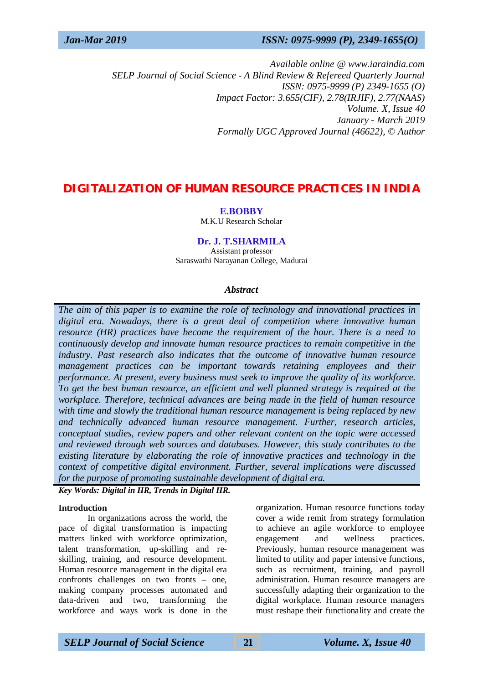# **DIGITALIZATION OF HUMAN RESOURCE PRACTICES IN INDIA**

## **E.BOBBY**

M.K.U Research Scholar

## **Dr. J. T.SHARMILA**

Assistant professor Saraswathi Narayanan College, Madurai

#### *Abstract*

*The aim of this paper is to examine the role of technology and innovational practices in digital era. Nowadays, there is a great deal of competition where innovative human resource (HR) practices have become the requirement of the hour. There is a need to continuously develop and innovate human resource practices to remain competitive in the industry. Past research also indicates that the outcome of innovative human resource management practices can be important towards retaining employees and their performance. At present, every business must seek to improve the quality of its workforce. To get the best human resource, an efficient and well planned strategy is required at the workplace. Therefore, technical advances are being made in the field of human resource with time and slowly the traditional human resource management is being replaced by new and technically advanced human resource management. Further, research articles, conceptual studies, review papers and other relevant content on the topic were accessed and reviewed through web sources and databases. However, this study contributes to the existing literature by elaborating the role of innovative practices and technology in the context of competitive digital environment. Further, several implications were discussed for the purpose of promoting sustainable development of digital era.*

#### *Key Words: Digital in HR, Trends in Digital HR.*

#### **Introduction**

In organizations across the world, the pace of digital transformation is impacting matters linked with workforce optimization, talent transformation, up-skilling and reskilling, training, and resource development. Human resource management in the digital era confronts challenges on two fronts – one, making company processes automated and data-driven and two, transforming the workforce and ways work is done in the organization. Human resource functions today cover a wide remit from strategy formulation to achieve an agile workforce to employee engagement and wellness practices. Previously, human resource management was limited to utility and paper intensive functions, such as recruitment, training, and payroll administration. Human resource managers are successfully adapting their organization to the digital workplace. Human resource managers must reshape their functionality and create the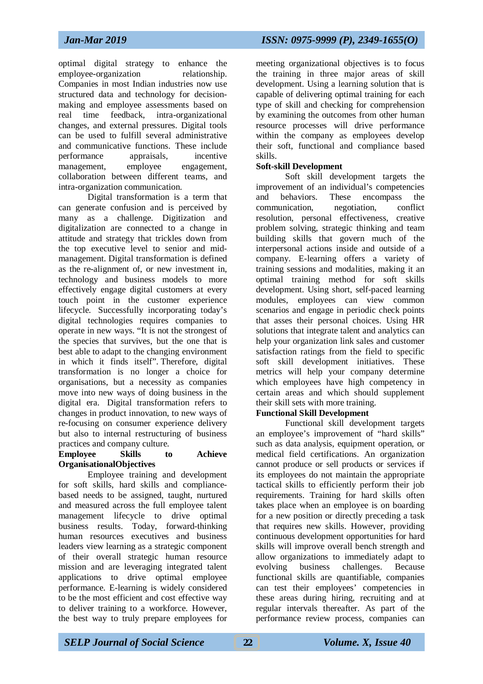optimal digital strategy to enhance the employee-organization relationship. Companies in most Indian industries now use structured data and technology for decisionmaking and employee assessments based on<br>real time feedback, intra-organizational real time feedback, intra-organizational changes, and external pressures. Digital tools can be used to fulfill several administrative and communicative functions. These include<br>performance appraisals, incentive performance appraisals, incentive management, employee engagement, collaboration between different teams, and intra-organization communication.

Digital transformation is a term that can generate confusion and is perceived by many as a challenge. Digitization and digitalization are connected to a change in attitude and strategy that trickles down from the top executive level to senior and midmanagement. Digital transformation is defined as the re-alignment of, or new investment in, technology and business models to more effectively engage digital customers at every touch point in the customer experience lifecycle. Successfully incorporating today's digital technologies requires companies to operate in new ways. "It is not the strongest of the species that survives, but the one that is best able to adapt to the changing environment in which it finds itself". Therefore, digital transformation is no longer a choice for organisations, but a necessity as companies move into new ways of doing business in the digital era. Digital transformation refers to changes in product innovation, to new ways of re-focusing on consumer experience delivery but also to internal restructuring of business practices and company culture.

## **Employee Skills to Achieve OrganisationalObjectives**

Employee training and development for soft skills, hard skills and compliancebased needs to be assigned, taught, nurtured and measured across the full employee talent management lifecycle to drive optimal business results. Today, forward-thinking human resources executives and business leaders view learning as a strategic component of their overall strategic human resource mission and are leveraging integrated talent applications to drive optimal employee performance. E-learning is widely considered to be the most efficient and cost effective way to deliver training to a workforce. However, the best way to truly prepare employees for

meeting organizational objectives is to focus the training in three major areas of skill development. Using a learning solution that is capable of delivering optimal training for each type of skill and checking for comprehension by examining the outcomes from other human resource processes will drive performance within the company as employees develop their soft, functional and compliance based skills.

## **Soft-skill Development**

Soft skill development targets the improvement of an individual's competencies and behaviors. These encompass the communication, negotiation, conflict resolution, personal effectiveness, creative problem solving, strategic thinking and team building skills that govern much of the interpersonal actions inside and outside of a company. E-learning offers a variety of training sessions and modalities, making it an optimal training method for soft skills development. Using short, self-paced learning modules, employees can view common scenarios and engage in periodic check points that asses their personal choices. Using HR solutions that integrate talent and analytics can help your organization link sales and customer satisfaction ratings from the field to specific soft skill development initiatives. These metrics will help your company determine which employees have high competency in certain areas and which should supplement their skill sets with more training.

## **Functional Skill Development**

Functional skill development targets an employee's improvement of "hard skills" such as data analysis, equipment operation, or medical field certifications. An organization cannot produce or sell products or services if its employees do not maintain the appropriate tactical skills to efficiently perform their job requirements. Training for hard skills often takes place when an employee is on boarding for a new position or directly preceding a task that requires new skills. However, providing continuous development opportunities for hard skills will improve overall bench strength and allow organizations to immediately adapt to evolving business challenges. Because functional skills are quantifiable, companies can test their employees' competencies in these areas during hiring, recruiting and at regular intervals thereafter. As part of the performance review process, companies can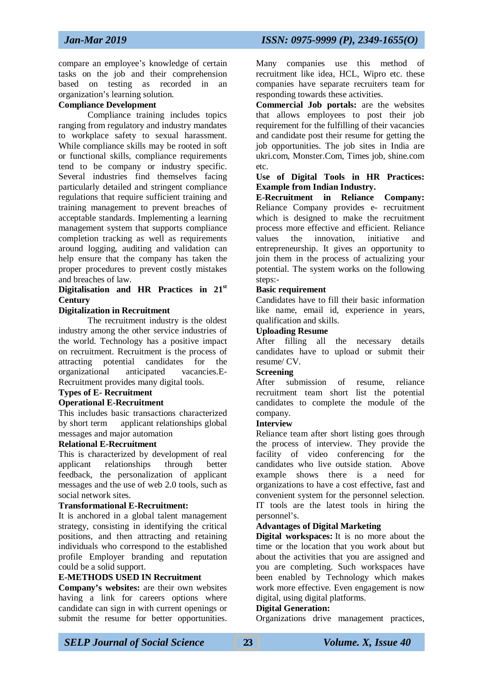compare an employee's knowledge of certain tasks on the job and their comprehension based on testing as recorded in an organization's learning solution.

## **Compliance Development**

Compliance training includes topics ranging from regulatory and industry mandates to workplace safety to sexual harassment. While compliance skills may be rooted in soft or functional skills, compliance requirements tend to be company or industry specific. Several industries find themselves facing particularly detailed and stringent compliance regulations that require sufficient training and training management to prevent breaches of acceptable standards. Implementing a learning management system that supports compliance completion tracking as well as requirements around logging, auditing and validation can help ensure that the company has taken the proper procedures to prevent costly mistakes and breaches of law.

#### **Digitalisation and HR Practices in 21st Century**

## **Digitalization in Recruitment**

The recruitment industry is the oldest industry among the other service industries of the world. Technology has a positive impact on recruitment. Recruitment is the process of<br>attracting potential candidates for the attracting potential candidates for the organizational anticipated vacancies.E-Recruitment provides many digital tools.

# **Types of E- Recruitment**

# **Operational E-Recruitment**

This includes basic transactions characterized by short term applicant relationships global messages and major automation

#### **Relational E-Recruitment**

This is characterized by development of real applicant relationships through better feedback, the personalization of applicant messages and the use of web 2.0 tools, such as social network sites.

#### **Transformational E-Recruitment:**

It is anchored in a global talent management strategy, consisting in identifying the critical positions, and then attracting and retaining individuals who correspond to the established profile Employer branding and reputation could be a solid support.

## **E-METHODS USED IN Recruitment**

**Company's websites:** are their own websites having a link for careers options where candidate can sign in with current openings or submit the resume for better opportunities.

Many companies use this method of recruitment like idea, HCL, Wipro etc. these companies have separate recruiters team for responding towards these activities.

**Commercial Job portals:** are the websites that allows employees to post their job requirement for the fulfilling of their vacancies and candidate post their resume for getting the job opportunities. The job sites in India are ukri.com, Monster.Com, Times job, shine.com etc.

## **Use of Digital Tools in HR Practices: Example from Indian Industry.**

**E-Recruitment in Reliance Company:**  Reliance Company provides e- recruitment which is designed to make the recruitment process more effective and efficient. Reliance values the innovation initiative and entrepreneurship. It gives an opportunity to join them in the process of actualizing your potential. The system works on the following steps:-

## **Basic requirement**

Candidates have to fill their basic information like name, email id, experience in years, qualification and skills.

## **Uploading Resume**

After filling all the necessary details candidates have to upload or submit their resume/ CV.

#### **Screening**

After submission of resume, reliance recruitment team short list the potential candidates to complete the module of the company.

## **Interview**

Reliance team after short listing goes through the process of interview. They provide the facility of video conferencing for the candidates who live outside station. Above example shows there is a need for organizations to have a cost effective, fast and convenient system for the personnel selection. IT tools are the latest tools in hiring the personnel's.

## **Advantages of Digital Marketing**

**Digital workspaces:** It is no more about the time or the location that you work about but about the activities that you are assigned and you are completing. Such workspaces have been enabled by Technology which makes work more effective. Even engagement is now digital, using digital platforms.

#### **Digital Generation:**

Organizations drive management practices,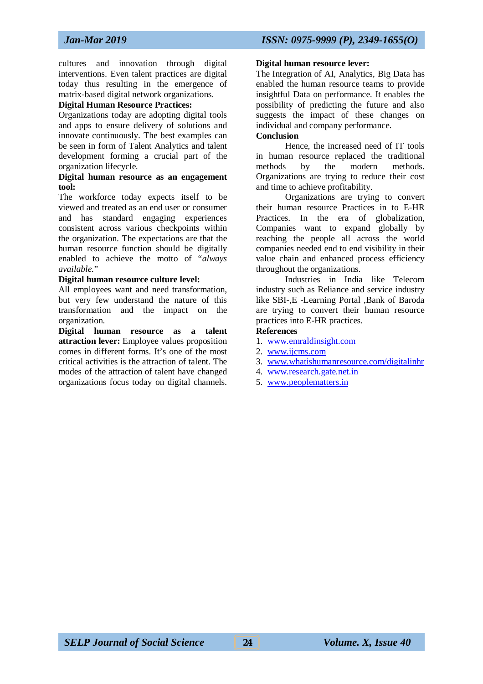cultures and innovation through digital interventions. Even talent practices are digital today thus resulting in the emergence of matrix-based digital network organizations.

## **Digital Human Resource Practices:**

Organizations today are adopting digital tools and apps to ensure delivery of solutions and innovate continuously. The best examples can be seen in form of Talent Analytics and talent development forming a crucial part of the organization lifecycle.

#### **Digital human resource as an engagement tool:**

The workforce today expects itself to be viewed and treated as an end user or consumer and has standard engaging experiences consistent across various checkpoints within the organization. The expectations are that the human resource function should be digitally enabled to achieve the motto of "*always available.*"

#### **Digital human resource culture level:**

All employees want and need transformation, but very few understand the nature of this transformation and the impact on the organization.

**Digital human resource as a talent attraction lever:** Employee values proposition comes in different forms. It's one of the most critical activities is the attraction of talent. The modes of the attraction of talent have changed organizations focus today on digital channels.

#### **Digital human resource lever:**

The Integration of AI, Analytics, Big Data has enabled the human resource teams to provide insightful Data on performance. It enables the possibility of predicting the future and also suggests the impact of these changes on individual and company performance.

#### **Conclusion**

Hence, the increased need of IT tools in human resource replaced the traditional methods by the modern methods. Organizations are trying to reduce their cost and time to achieve profitability.

Organizations are trying to convert their human resource Practices in to E-HR Practices. In the era of globalization, Companies want to expand globally by reaching the people all across the world companies needed end to end visibility in their value chain and enhanced process efficiency throughout the organizations.

Industries in India like Telecom industry such as Reliance and service industry like SBI-,E -Learning Portal ,Bank of Baroda are trying to convert their human resource practices into E-HR practices.

#### **References**

- 1. [www.emraldinsight.com](http://www.emraldinsight.com)
- 2. [www.ijcms.com](http://www.ijcms.com)
- 3. [www.whatishumanresource.com/digitalinhr](http://www.whatishumanresource.com/digitalinhr)
- 4. [www.research.gate.net.in](http://www.research.gate.net.in)
- 5. [www.peoplematters.in](http://www.peoplematters.in)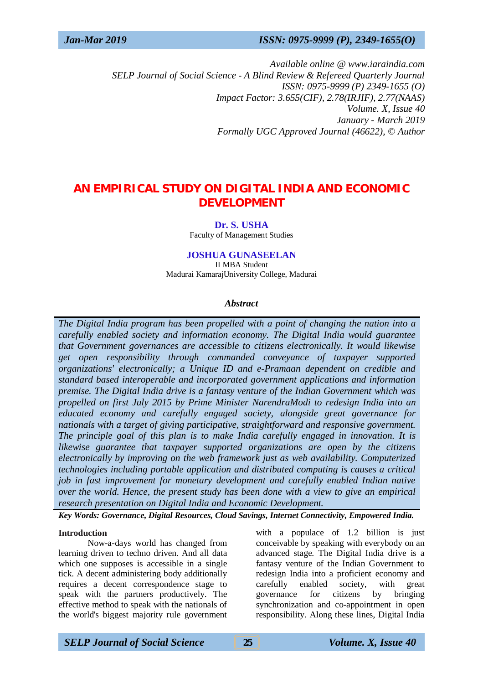# **AN EMPIRICAL STUDY ON DIGITAL INDIA AND ECONOMIC DEVELOPMENT**

## **Dr. S. USHA**

Faculty of Management Studies

## **JOSHUA GUNASEELAN**

II MBA Student Madurai KamarajUniversity College, Madurai

#### *Abstract*

*The Digital India program has been propelled with a point of changing the nation into a carefully enabled society and information economy. The Digital India would guarantee that Government governances are accessible to citizens electronically. It would likewise get open responsibility through commanded conveyance of taxpayer supported organizations' electronically; a Unique ID and e-Pramaan dependent on credible and standard based interoperable and incorporated government applications and information premise. The Digital India drive is a fantasy venture of the Indian Government which was propelled on first July 2015 by Prime Minister NarendraModi to redesign India into an educated economy and carefully engaged society, alongside great governance for nationals with a target of giving participative, straightforward and responsive government. The principle goal of this plan is to make India carefully engaged in innovation. It is likewise guarantee that taxpayer supported organizations are open by the citizens electronically by improving on the web framework just as web availability. Computerized technologies including portable application and distributed computing is causes a critical job in fast improvement for monetary development and carefully enabled Indian native over the world. Hence, the present study has been done with a view to give an empirical research presentation on Digital India and Economic Development.*

*Key Words: Governance, Digital Resources, Cloud Savings, Internet Connectivity, Empowered India.*

#### **Introduction**

Now-a-days world has changed from learning driven to techno driven. And all data which one supposes is accessible in a single tick. A decent administering body additionally requires a decent correspondence stage to speak with the partners productively. The effective method to speak with the nationals of the world's biggest majority rule government

with a populace of 1.2 billion is just conceivable by speaking with everybody on an advanced stage. The Digital India drive is a fantasy venture of the Indian Government to redesign India into a proficient economy and carefully enabled society, with great governance for citizens by bringing synchronization and co-appointment in open responsibility. Along these lines, Digital India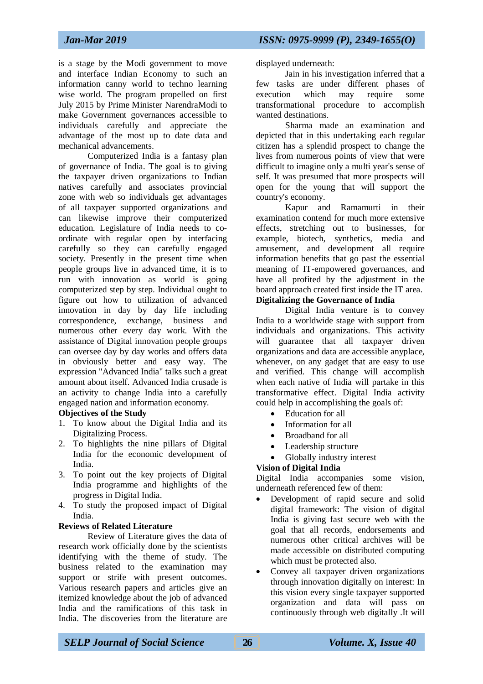is a stage by the Modi government to move and interface Indian Economy to such an information canny world to techno learning wise world. The program propelled on first July 2015 by Prime Minister NarendraModi to make Government governances accessible to individuals carefully and appreciate the advantage of the most up to date data and mechanical advancements.

Computerized India is a fantasy plan of governance of India. The goal is to giving the taxpayer driven organizations to Indian natives carefully and associates provincial zone with web so individuals get advantages of all taxpayer supported organizations and can likewise improve their computerized education. Legislature of India needs to coordinate with regular open by interfacing carefully so they can carefully engaged society. Presently in the present time when people groups live in advanced time, it is to run with innovation as world is going computerized step by step. Individual ought to figure out how to utilization of advanced innovation in day by day life including correspondence, exchange, business and numerous other every day work. With the assistance of Digital innovation people groups can oversee day by day works and offers data in obviously better and easy way. The expression "Advanced India" talks such a great amount about itself. Advanced India crusade is an activity to change India into a carefully engaged nation and information economy.

## **Objectives of the Study**

- 1. To know about the Digital India and its Digitalizing Process.
- 2. To highlights the nine pillars of Digital India for the economic development of India.
- 3. To point out the key projects of Digital India programme and highlights of the progress in Digital India.
- 4. To study the proposed impact of Digital India.

#### **Reviews of Related Literature**

Review of Literature gives the data of research work officially done by the scientists identifying with the theme of study. The business related to the examination may support or strife with present outcomes. Various research papers and articles give an itemized knowledge about the job of advanced India and the ramifications of this task in India. The discoveries from the literature are

displayed underneath:

Jain in his investigation inferred that a few tasks are under different phases of execution which may require some transformational procedure to accomplish wanted destinations.

Sharma made an examination and depicted that in this undertaking each regular citizen has a splendid prospect to change the lives from numerous points of view that were difficult to imagine only a multi year's sense of self. It was presumed that more prospects will open for the young that will support the country's economy.

Kapur and Ramamurti in their examination contend for much more extensive effects, stretching out to businesses, for example, biotech, synthetics, media and amusement, and development all require information benefits that go past the essential meaning of IT-empowered governances, and have all profited by the adjustment in the board approach created first inside the IT area.

## **Digitalizing the Governance of India**

Digital India venture is to convey India to a worldwide stage with support from individuals and organizations. This activity will guarantee that all taxpayer driven organizations and data are accessible anyplace, whenever, on any gadget that are easy to use and verified. This change will accomplish when each native of India will partake in this transformative effect. Digital India activity could help in accomplishing the goals of:

- Education for all
- Information for all
- Broadband for all
- Leadership structure
- Globally industry interest

#### **Vision of Digital India**

Digital India accompanies some vision, underneath referenced few of them:

- Development of rapid secure and solid digital framework: The vision of digital India is giving fast secure web with the goal that all records, endorsements and numerous other critical archives will be made accessible on distributed computing which must be protected also.
- Convey all taxpayer driven organizations through innovation digitally on interest: In this vision every single taxpayer supported organization and data will pass on continuously through web digitally .It will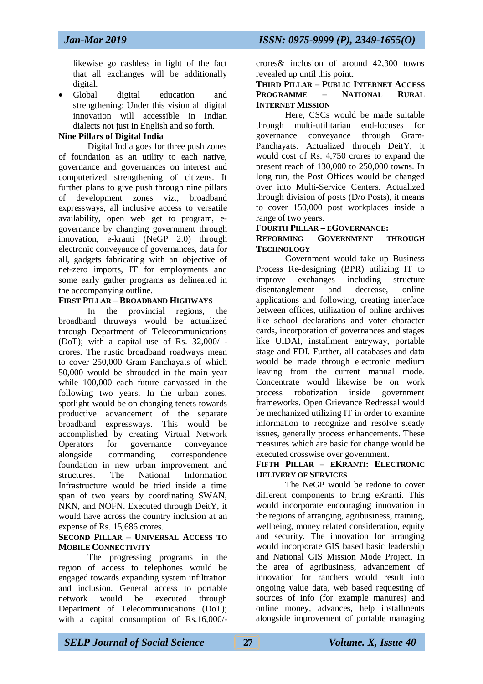likewise go cashless in light of the fact that all exchanges will be additionally digital.

• Global digital education and strengthening: Under this vision all digital innovation will accessible in Indian dialects not just in English and so forth.

## **Nine Pillars of Digital India**

Digital India goes for three push zones of foundation as an utility to each native, governance and governances on interest and computerized strengthening of citizens. It further plans to give push through nine pillars of development zones viz., broadband expressways, all inclusive access to versatile availability, open web get to program, egovernance by changing government through innovation, e-kranti (NeGP 2.0) through electronic conveyance of governances, data for all, gadgets fabricating with an objective of net-zero imports, IT for employments and some early gather programs as delineated in the accompanying outline.

## **FIRST PILLAR – BROADBAND HIGHWAYS**

In the provincial regions, the broadband thruways would be actualized through Department of Telecommunications (DoT); with a capital use of Rs. 32,000/ crores. The rustic broadband roadways mean to cover 250,000 Gram Panchayats of which 50,000 would be shrouded in the main year while 100,000 each future canvassed in the following two years. In the urban zones, spotlight would be on changing tenets towards productive advancement of the separate broadband expressways. This would be accomplished by creating Virtual Network Operators for governance conveyance alongside commanding correspondence foundation in new urban improvement and structures. The National Information Infrastructure would be tried inside a time span of two years by coordinating SWAN, NKN, and NOFN. Executed through DeitY, it would have across the country inclusion at an expense of Rs. 15,686 crores.

#### **SECOND PILLAR – UNIVERSAL ACCESS TO MOBILE CONNECTIVITY**

The progressing programs in the region of access to telephones would be engaged towards expanding system infiltration and inclusion. General access to portable network would be executed through Department of Telecommunications (DoT); with a capital consumption of Rs.16,000/-

crores& inclusion of around 42,300 towns revealed up until this point.

#### **THIRD PILLAR – PUBLIC INTERNET ACCESS PROGRAMME – NATIONAL RURAL INTERNET MISSION**

Here, CSCs would be made suitable through multi-utilitarian end-focuses for governance conveyance through Gram-Panchayats. Actualized through DeitY, it would cost of Rs. 4,750 crores to expand the present reach of 130,000 to 250,000 towns. In long run, the Post Offices would be changed over into Multi-Service Centers. Actualized through division of posts (D/o Posts), it means to cover 150,000 post workplaces inside a range of two years.

#### **FOURTH PILLAR – EGOVERNANCE:**

## **REFORMING GOVERNMENT THROUGH TECHNOLOGY**

Government would take up Business Process Re-designing (BPR) utilizing IT to improve exchanges including structure disentanglement and decrease, online applications and following, creating interface between offices, utilization of online archives like school declarations and voter character cards, incorporation of governances and stages like UIDAI, installment entryway, portable stage and EDI. Further, all databases and data would be made through electronic medium leaving from the current manual mode. Concentrate would likewise be on work process robotization inside government frameworks. Open Grievance Redressal would be mechanized utilizing IT in order to examine information to recognize and resolve steady issues, generally process enhancements. These measures which are basic for change would be executed crosswise over government.

## **FIFTH PILLAR – EKRANTI: ELECTRONIC DELIVERY OF SERVICES**

The NeGP would be redone to cover different components to bring eKranti. This would incorporate encouraging innovation in the regions of arranging, agribusiness, training, wellbeing, money related consideration, equity and security. The innovation for arranging would incorporate GIS based basic leadership and National GIS Mission Mode Project. In the area of agribusiness, advancement of innovation for ranchers would result into ongoing value data, web based requesting of sources of info (for example manures) and online money, advances, help installments alongside improvement of portable managing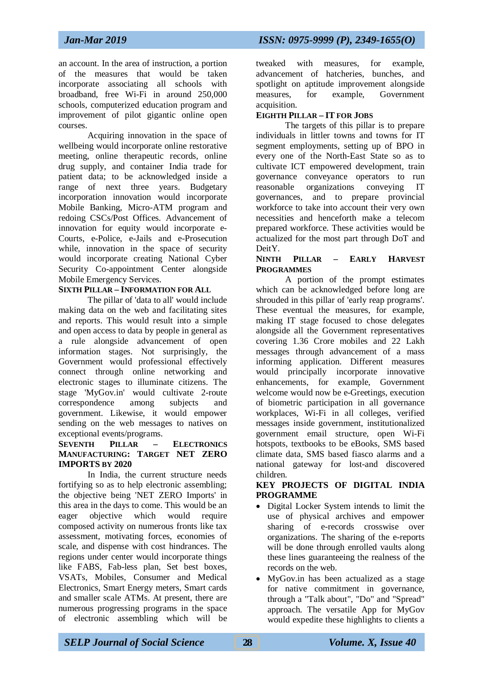an account. In the area of instruction, a portion of the measures that would be taken incorporate associating all schools with broadband, free Wi-Fi in around 250,000 schools, computerized education program and improvement of pilot gigantic online open courses.

Acquiring innovation in the space of wellbeing would incorporate online restorative meeting, online therapeutic records, online drug supply, and container India trade for patient data; to be acknowledged inside a range of next three years. Budgetary incorporation innovation would incorporate Mobile Banking, Micro-ATM program and redoing CSCs/Post Offices. Advancement of innovation for equity would incorporate e-Courts, e-Police, e-Jails and e-Prosecution while, innovation in the space of security would incorporate creating National Cyber Security Co-appointment Center alongside Mobile Emergency Services.

## **SIXTH PILLAR – INFORMATION FOR ALL**

The pillar of 'data to all' would include making data on the web and facilitating sites and reports. This would result into a simple and open access to data by people in general as a rule alongside advancement of open information stages. Not surprisingly, the Government would professional effectively connect through online networking and electronic stages to illuminate citizens. The stage 'MyGov.in' would cultivate 2-route correspondence among subjects and government. Likewise, it would empower sending on the web messages to natives on exceptional events/programs.

## **SEVENTH PILLAR – ELECTRONICS MANUFACTURING: TARGET NET ZERO IMPORTS BY 2020**

In India, the current structure needs fortifying so as to help electronic assembling; the objective being 'NET ZERO Imports' in this area in the days to come. This would be an eager objective which would require composed activity on numerous fronts like tax assessment, motivating forces, economies of scale, and dispense with cost hindrances. The regions under center would incorporate things like FABS, Fab-less plan, Set best boxes, VSATs, Mobiles, Consumer and Medical Electronics, Smart Energy meters, Smart cards and smaller scale ATMs. At present, there are numerous progressing programs in the space of electronic assembling which will be

tweaked with measures, for example, advancement of hatcheries, bunches, and spotlight on aptitude improvement alongside measures, for example, Government acquisition.

## **EIGHTH PILLAR – IT FOR JOBS**

The targets of this pillar is to prepare individuals in littler towns and towns for IT segment employments, setting up of BPO in every one of the North-East State so as to cultivate ICT empowered development, train governance conveyance operators to run reasonable organizations conveying IT governances, and to prepare provincial workforce to take into account their very own necessities and henceforth make a telecom prepared workforce. These activities would be actualized for the most part through DoT and DeitY.

## **NINTH PILLAR – EARLY HARVEST PROGRAMMES**

A portion of the prompt estimates which can be acknowledged before long are shrouded in this pillar of 'early reap programs'. These eventual the measures, for example, making IT stage focused to chose delegates alongside all the Government representatives covering 1.36 Crore mobiles and 22 Lakh messages through advancement of a mass informing application. Different measures would principally incorporate innovative enhancements, for example, Government welcome would now be e-Greetings, execution of biometric participation in all governance workplaces, Wi-Fi in all colleges, verified messages inside government, institutionalized government email structure, open Wi-Fi hotspots, textbooks to be eBooks, SMS based climate data, SMS based fiasco alarms and a national gateway for lost-and discovered children.

## **KEY PROJECTS OF DIGITAL INDIA PROGRAMME**

- Digital Locker System intends to limit the use of physical archives and empower sharing of e-records crosswise over organizations. The sharing of the e-reports will be done through enrolled vaults along these lines guaranteeing the realness of the records on the web.
- MyGov.in has been actualized as a stage for native commitment in governance, through a "Talk about", "Do" and "Spread" approach. The versatile App for MyGov would expedite these highlights to clients a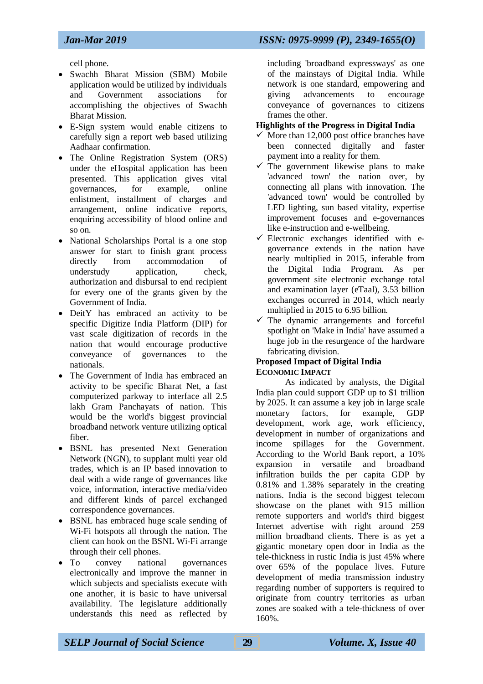cell phone.

- Swachh Bharat Mission (SBM) Mobile application would be utilized by individuals and Government associations for accomplishing the objectives of Swachh Bharat Mission.
- E-Sign system would enable citizens to carefully sign a report web based utilizing Aadhaar confirmation.
- The Online Registration System (ORS) under the eHospital application has been presented. This application gives vital governances, for example, online enlistment, installment of charges and arrangement, online indicative reports, enquiring accessibility of blood online and so on.
- National Scholarships Portal is a one stop answer for start to finish grant process directly from accommodation of understudy application, check, authorization and disbursal to end recipient for every one of the grants given by the Government of India.
- DeitY has embraced an activity to be specific Digitize India Platform (DIP) for vast scale digitization of records in the nation that would encourage productive conveyance of governances to the nationals.
- The Government of India has embraced an activity to be specific Bharat Net, a fast computerized parkway to interface all 2.5 lakh Gram Panchayats of nation. This would be the world's biggest provincial broadband network venture utilizing optical fiber.
- BSNL has presented Next Generation Network (NGN), to supplant multi year old trades, which is an IP based innovation to deal with a wide range of governances like voice, information, interactive media/video and different kinds of parcel exchanged correspondence governances.
- BSNL has embraced huge scale sending of Wi-Fi hotspots all through the nation. The client can hook on the BSNL Wi-Fi arrange through their cell phones.
- To convey national governances electronically and improve the manner in which subjects and specialists execute with one another, it is basic to have universal availability. The legislature additionally understands this need as reflected by

including 'broadband expressways' as one of the mainstays of Digital India. While network is one standard, empowering and giving advancements to encourage conveyance of governances to citizens frames the other.

## **Highlights of the Progress in Digital India**

- More than 12,000 post office branches have been connected digitally and faster payment into a reality for them.
- $\checkmark$  The government likewise plans to make 'advanced town' the nation over, by connecting all plans with innovation. The 'advanced town' would be controlled by LED lighting, sun based vitality, expertise improvement focuses and e-governances like e-instruction and e-wellbeing.
- $\checkmark$  Electronic exchanges identified with egovernance extends in the nation have nearly multiplied in 2015, inferable from the Digital India Program. As per government site electronic exchange total and examination layer (eTaal), 3.53 billion exchanges occurred in 2014, which nearly multiplied in 2015 to 6.95 billion.
- $\checkmark$  The dynamic arrangements and forceful spotlight on 'Make in India' have assumed a huge job in the resurgence of the hardware fabricating division.

## **Proposed Impact of Digital India ECONOMIC IMPACT**

As indicated by analysts, the Digital India plan could support GDP up to \$1 trillion by 2025. It can assume a key job in large scale monetary factors, for example, GDP development, work age, work efficiency, development in number of organizations and income spillages for the Government. According to the World Bank report, a 10% expansion in versatile and broadband infiltration builds the per capita GDP by 0.81% and 1.38% separately in the creating nations. India is the second biggest telecom showcase on the planet with 915 million remote supporters and world's third biggest Internet advertise with right around 259 million broadband clients. There is as yet a gigantic monetary open door in India as the tele-thickness in rustic India is just 45% where over 65% of the populace lives. Future development of media transmission industry regarding number of supporters is required to originate from country territories as urban zones are soaked with a tele-thickness of over 160%.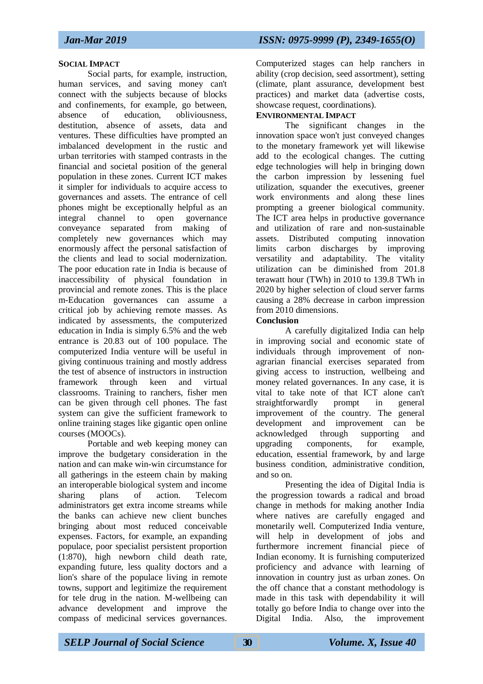### **SOCIAL IMPACT**

Social parts, for example, instruction, human services, and saving money can't connect with the subjects because of blocks and confinements, for example, go between, absence of education, obliviousness, destitution, absence of assets, data and ventures. These difficulties have prompted an imbalanced development in the rustic and urban territories with stamped contrasts in the financial and societal position of the general population in these zones. Current ICT makes it simpler for individuals to acquire access to governances and assets. The entrance of cell phones might be exceptionally helpful as an integral channel to open governance conveyance separated from making of completely new governances which may enormously affect the personal satisfaction of the clients and lead to social modernization. The poor education rate in India is because of inaccessibility of physical foundation in provincial and remote zones. This is the place m-Education governances can assume a critical job by achieving remote masses. As indicated by assessments, the computerized education in India is simply 6.5% and the web entrance is 20.83 out of 100 populace. The computerized India venture will be useful in giving continuous training and mostly address the test of absence of instructors in instruction framework through keen and virtual classrooms. Training to ranchers, fisher men can be given through cell phones. The fast system can give the sufficient framework to online training stages like gigantic open online courses (MOOCs).

Portable and web keeping money can improve the budgetary consideration in the nation and can make win-win circumstance for all gatherings in the esteem chain by making an interoperable biological system and income sharing plans of action. Telecom administrators get extra income streams while the banks can achieve new client bunches bringing about most reduced conceivable expenses. Factors, for example, an expanding populace, poor specialist persistent proportion (1:870), high newborn child death rate, expanding future, less quality doctors and a lion's share of the populace living in remote towns, support and legitimize the requirement for tele drug in the nation. M-wellbeing can advance development and improve the compass of medicinal services governances.

Computerized stages can help ranchers in ability (crop decision, seed assortment), setting (climate, plant assurance, development best practices) and market data (advertise costs, showcase request, coordinations).

## **ENVIRONMENTAL IMPACT**

The significant changes in the innovation space won't just conveyed changes to the monetary framework yet will likewise add to the ecological changes. The cutting edge technologies will help in bringing down the carbon impression by lessening fuel utilization, squander the executives, greener work environments and along these lines prompting a greener biological community. The ICT area helps in productive governance and utilization of rare and non-sustainable assets. Distributed computing innovation limits carbon discharges by improving versatility and adaptability. The vitality utilization can be diminished from 201.8 terawatt hour (TWh) in 2010 to 139.8 TWh in 2020 by higher selection of cloud server farms causing a 28% decrease in carbon impression from 2010 dimensions.

## **Conclusion**

A carefully digitalized India can help in improving social and economic state of individuals through improvement of nonagrarian financial exercises separated from giving access to instruction, wellbeing and money related governances. In any case, it is vital to take note of that ICT alone can't straightforwardly prompt in general improvement of the country. The general development and improvement can be acknowledged through supporting and upgrading components, for example, education, essential framework, by and large business condition, administrative condition, and so on.

Presenting the idea of Digital India is the progression towards a radical and broad change in methods for making another India where natives are carefully engaged and monetarily well. Computerized India venture, will help in development of jobs and furthermore increment financial piece of Indian economy. It is furnishing computerized proficiency and advance with learning of innovation in country just as urban zones. On the off chance that a constant methodology is made in this task with dependability it will totally go before India to change over into the<br>Digital India. Also, the improvement Digital India. Also, the improvement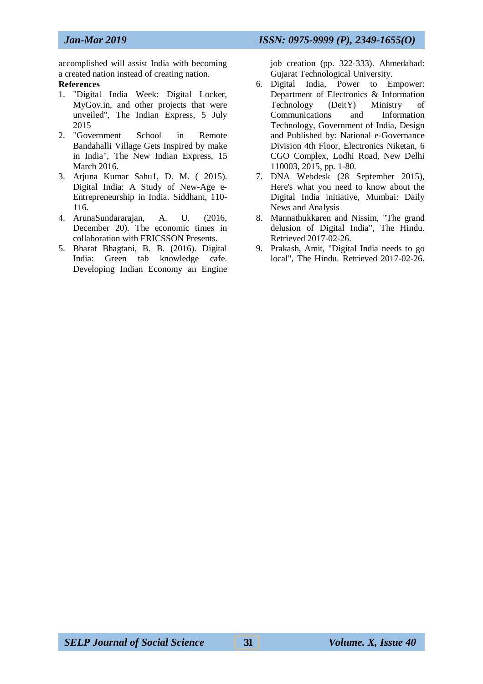accomplished will assist India with becoming a created nation instead of creating nation. **References**

- 1. "Digital India Week: Digital Locker, MyGov.in, and other projects that were unveiled", The Indian Express, 5 July 2015
- 2. "Government School in Remote Bandahalli Village Gets Inspired by make in India", The New Indian Express, 15 March 2016.
- 3. Arjuna Kumar Sahu1, D. M. ( 2015). Digital India: A Study of New-Age e-Entrepreneurship in India. Siddhant, 110- 116.
- 4. ArunaSundararajan, A. U. (2016, December 20). The economic times in collaboration with ERICSSON Presents.
- 5. Bharat Bhagtani, B. B. (2016). Digital India: Green tab knowledge cafe. Developing Indian Economy an Engine

job creation (pp. 322-333). Ahmedabad: Gujarat Technological University.

- 6. Digital India, Power to Empower: Department of Electronics & Information Technology (DeitY) Ministry of Communications and Information Technology, Government of India, Design and Published by: National e-Governance Division 4th Floor, Electronics Niketan, 6 CGO Complex, Lodhi Road, New Delhi 110003, 2015, pp. 1-80.
- 7. DNA Webdesk (28 September 2015), Here's what you need to know about the Digital India initiative, Mumbai: Daily News and Analysis
- 8. Mannathukkaren and Nissim, "The grand delusion of Digital India", The Hindu. Retrieved 2017-02-26.
- 9. Prakash, Amit, "Digital India needs to go local", The Hindu. Retrieved 2017-02-26.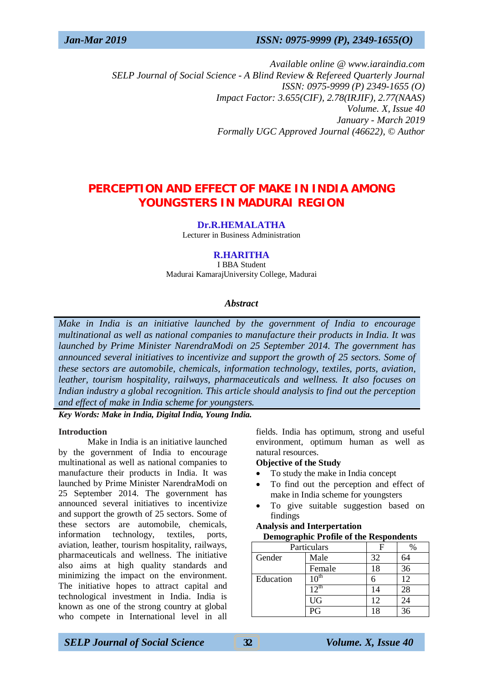# **PERCEPTION AND EFFECT OF MAKE IN INDIA AMONG YOUNGSTERS IN MADURAI REGION**

#### **Dr.R.HEMALATHA**

Lecturer in Business Administration

#### **R.HARITHA**

I BBA Student Madurai KamarajUniversity College, Madurai

## *Abstract*

*Make in India is an initiative launched by the government of India to encourage multinational as well as national companies to manufacture their products in India. It was launched by Prime Minister NarendraModi on 25 September 2014. The government has announced several initiatives to incentivize and support the growth of 25 sectors. Some of these sectors are automobile, chemicals, information technology, textiles, ports, aviation, leather, tourism hospitality, railways, pharmaceuticals and wellness. It also focuses on Indian industry a global recognition. This article should analysis to find out the perception and effect of make in India scheme for youngsters.*

*Key Words: Make in India, Digital India, Young India.*

#### **Introduction**

Make in India is an initiative launched by the government of India to encourage multinational as well as national companies to manufacture their products in India. It was launched by Prime Minister NarendraModi on 25 September 2014. The government has announced several initiatives to incentivize and support the growth of 25 sectors. Some of these sectors are automobile, chemicals, information technology, textiles, ports, aviation, leather, tourism hospitality, railways, pharmaceuticals and wellness. The initiative also aims at high quality standards and minimizing the impact on the environment. The initiative hopes to attract capital and technological investment in India. India is known as one of the strong country at global who compete in International level in all fields. India has optimum, strong and useful environment, optimum human as well as natural resources.

#### **Objective of the Study**

- To study the make in India concept
- To find out the perception and effect of make in India scheme for youngsters
- To give suitable suggestion based on findings

#### **Analysis and Interpertation Demographic Profile of the Respondents**

| Particulars |                  | %  |    |
|-------------|------------------|----|----|
| Gender      | Male             |    | 64 |
|             | Female           | 18 | 36 |
| Education   | $10^{\text{th}}$ |    | 12 |
|             | $12^{\text{th}}$ | 14 | 28 |
|             | <b>UG</b>        | 12 | 24 |
|             | PG               | 18 | 36 |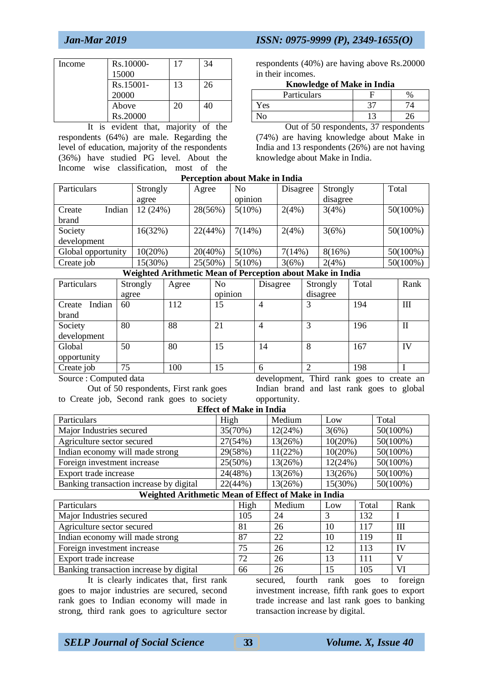| Income | Rs.10000- | 17 | 34 |
|--------|-----------|----|----|
|        | 15000     |    |    |
|        | Rs.15001- | 13 | 26 |
|        | 20000     |    |    |
|        | Above     | 20 | 40 |
|        | Rs.20000  |    |    |

It is evident that, majority of the respondents (64%) are male. Regarding the level of education, majority of the respondents (36%) have studied PG level. About the Income wise classification, most of the

# *Jan-Mar 2019 ISSN: 0975-9999 (P), 2349-1655(O)*

respondents (40%) are having above Rs.20000 in their incomes.

#### **Knowledge of Make in India**

| Particulars |  |
|-------------|--|
| ' es        |  |
|             |  |

Out of 50 respondents, 37 respondents (74%) are having knowledge about Make in India and 13 respondents (26%) are not having knowledge about Make in India.

| <b>Perception about Make in India</b>  |          |         |                |          |          |             |
|----------------------------------------|----------|---------|----------------|----------|----------|-------------|
| Particulars                            | Strongly | Agree   | N <sub>0</sub> | Disagree | Strongly | Total       |
|                                        | agree    |         | opinion        |          | disagree |             |
| Indian<br>Create                       | 12 (24%) | 28(56%) | $5(10\%)$      | 2(4%)    | 3(4%)    | $50(100\%)$ |
| brand                                  |          |         |                |          |          |             |
| Society                                | 16(32%)  | 22(44%) | 7(14%)         | 2(4%)    | 3(6%)    | $50(100\%)$ |
| development                            |          |         |                |          |          |             |
| Global opportunity                     | 10(20%)  | 20(40%) | $5(10\%)$      | 7(14%)   | 8(16%)   | $50(100\%)$ |
| Create job                             | 15(30%)  | 25(50%) | $5(10\%)$      | 3(6%)    | 2(4%)    | $50(100\%)$ |
| <del>. .</del> .<br>$\cdots$<br>$\sim$ |          |         |                |          |          |             |

# **Weighted Arithmetic Mean of Perception about Make in India**

| Particulars      | 0<br>Strongly | Agree | N <sub>o</sub> | Disagree     | Strongly | Total | Rank |
|------------------|---------------|-------|----------------|--------------|----------|-------|------|
|                  | agree         |       | opinion        |              | disagree |       |      |
| Indian<br>Create | 60            | 112   | 15             |              |          | 194   | III  |
| brand            |               |       |                |              |          |       |      |
| Society          | 80            | 88    | 21             |              |          | 196   | П    |
| development      |               |       |                |              |          |       |      |
| Global           | 50            | 80    | 15             | 14           | 8        | 167   | IV   |
| opportunity      |               |       |                |              |          |       |      |
| Create job       | 75            | 100   | 15             | <sub>6</sub> |          | 198   |      |

Source : Computed data Out of 50 respondents, First rank goes to Create job, Second rank goes to society

development, Third rank goes to create an Indian brand and last rank goes to global opportunity.

| Effect of Make in India |  |
|-------------------------|--|

| LIRE VI BIBINE III HRIB                 |            |         |            |             |  |
|-----------------------------------------|------------|---------|------------|-------------|--|
| Particulars                             | High       | Medium  | Low        | Total       |  |
| Major Industries secured                | 35(70%)    | 12(24%) | 3(6%)      | $50(100\%)$ |  |
| Agriculture sector secured              | 27(54%)    | 13(26%) | 10(20%)    | $50(100\%)$ |  |
| Indian economy will made strong         | 29(58%)    | 11(22%) | $10(20\%)$ | $50(100\%)$ |  |
| Foreign investment increase             | $25(50\%)$ | 13(26%) | 12(24%)    | $50(100\%)$ |  |
| Export trade increase                   | 24(48%)    | 13(26%) | 13(26%)    | $50(100\%)$ |  |
| Banking transaction increase by digital | 22(44%)    | 13(26%) | 15(30%)    | $50(100\%)$ |  |

## **Weighted Arithmetic Mean of Effect of Make in India**

| <u> 11 cashteen i fi fehmevic 11feam of Emece of 11fanie mi filana</u> |      |        |     |       |      |
|------------------------------------------------------------------------|------|--------|-----|-------|------|
| Particulars                                                            | High | Medium | Low | Total | Rank |
| Major Industries secured                                               | 105  | 24     |     | 132   |      |
| Agriculture sector secured                                             | 81   | 26     | 10  | 117   | Ш    |
| Indian economy will made strong                                        | 87   | 22     | 10  | 119   |      |
| Foreign investment increase                                            | 75   | 26     | 12  | 113   | IV   |
| Export trade increase                                                  | 72   | 26     | 13  | 111   |      |
| Banking transaction increase by digital                                | 66   | 26     |     | 105   | VI   |

It is clearly indicates that, first rank goes to major industries are secured, second rank goes to Indian economy will made in strong, third rank goes to agriculture sector

secured, fourth rank goes to foreign investment increase, fifth rank goes to export trade increase and last rank goes to banking transaction increase by digital.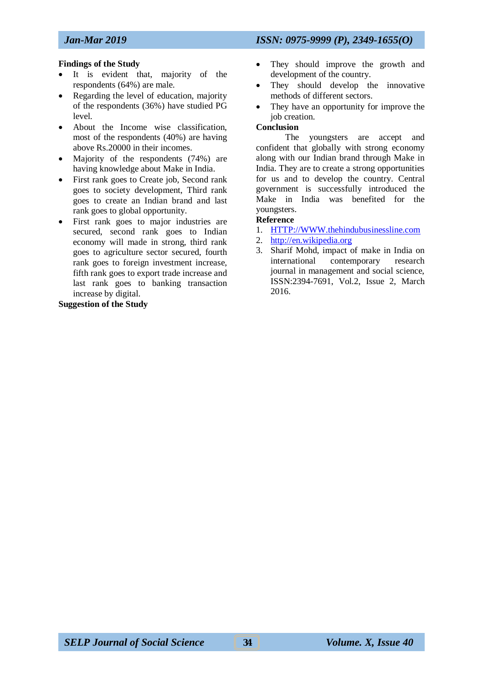# *Jan-Mar 2019 ISSN: 0975-9999 (P), 2349-1655(O)*

### **Findings of the Study**

- It is evident that, majority of the respondents (64%) are male.
- Regarding the level of education, majority of the respondents (36%) have studied PG level.
- About the Income wise classification, most of the respondents (40%) are having above Rs.20000 in their incomes.
- Majority of the respondents (74%) are having knowledge about Make in India.
- First rank goes to Create job, Second rank goes to society development, Third rank goes to create an Indian brand and last rank goes to global opportunity.
- First rank goes to major industries are secured, second rank goes to Indian economy will made in strong, third rank goes to agriculture sector secured, fourth rank goes to foreign investment increase, fifth rank goes to export trade increase and last rank goes to banking transaction increase by digital.

## **Suggestion of the Study**

- They should improve the growth and development of the country.
- They should develop the innovative methods of different sectors.
- They have an opportunity for improve the job creation.

## **Conclusion**

The youngsters are accept and confident that globally with strong economy along with our Indian brand through Make in India. They are to create a strong opportunities for us and to develop the country. Central government is successfully introduced the Make in India was benefited for the youngsters.

## **Reference**

- 1. HTTP://WWW.thehindubusinessline.com
- 2. <http://en.wikipedia.org>
- 3. Sharif Mohd, impact of make in India on international contemporary research journal in management and social science, ISSN:2394-7691, Vol.2, Issue 2, March 2016.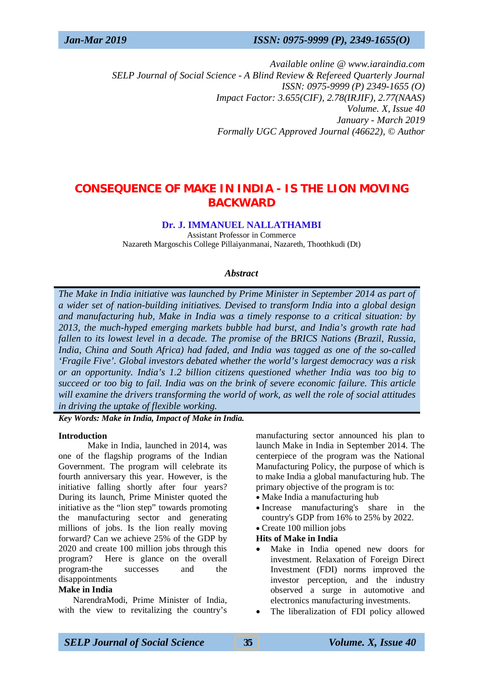# **CONSEQUENCE OF MAKE IN INDIA - IS THE LION MOVING BACKWARD**

#### **Dr. J. IMMANUEL NALLATHAMBI**

Assistant Professor in Commerce Nazareth Margoschis College Pillaiyanmanai, Nazareth, Thoothkudi (Dt)

#### *Abstract*

*The Make in India initiative was launched by Prime Minister in September 2014 as part of a wider set of nation-building initiatives. Devised to transform India into a global design and manufacturing hub, Make in India was a timely response to a critical situation: by 2013, the much-hyped emerging markets bubble had burst, and India's growth rate had fallen to its lowest level in a decade. The promise of the BRICS Nations (Brazil, Russia, India, China and South Africa) had faded, and India was tagged as one of the so-called 'Fragile Five'. Global investors debated whether the world's largest democracy was a risk or an opportunity. India's 1.2 billion citizens questioned whether India was too big to succeed or too big to fail. India was on the brink of severe economic failure. This article will examine the drivers transforming the world of work, as well the role of social attitudes in driving the uptake of flexible working.*

*Key Words: Make in India, Impact of Make in India.*

#### **Introduction**

Make in India, launched in 2014, was one of the flagship programs of the Indian Government. The program will celebrate its fourth anniversary this year. However, is the initiative falling shortly after four years? During its launch, Prime Minister quoted the initiative as the "lion step" towards promoting the manufacturing sector and generating millions of jobs. Is the lion really moving forward? Can we achieve 25% of the GDP by 2020 and create 100 million jobs through this program? Here is glance on the overall program-the successes and the disappointments

#### **Make in India**

NarendraModi, Prime Minister of India, with the view to revitalizing the country's

manufacturing sector announced his plan to launch Make in India in September 2014. The centerpiece of the program was the National Manufacturing Policy, the purpose of which is to make India a global manufacturing hub. The primary objective of the program is to:

- Make India a manufacturing hub
- Increase manufacturing's share in the country's GDP from 16% to 25% by 2022.

# Create 100 million jobs

## **Hits of Make in India**

- Make in India opened new doors for investment. Relaxation of Foreign Direct Investment (FDI) norms improved the investor perception, and the industry observed a surge in automotive and electronics manufacturing investments.
- The liberalization of FDI policy allowed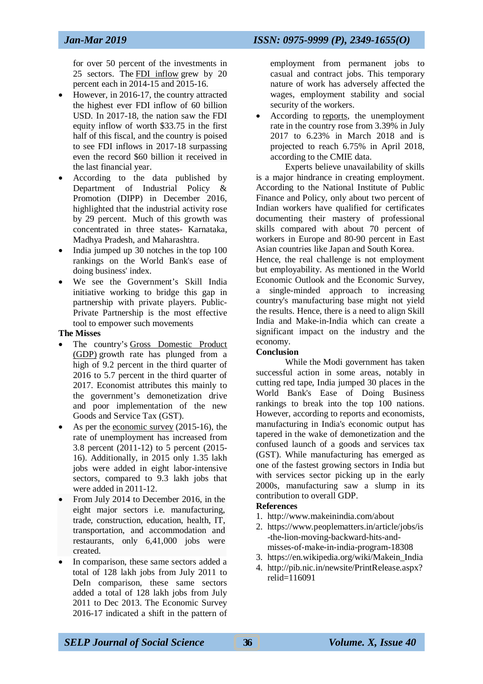for over 50 percent of the investments in 25 sectors. The FDI inflow grew by 20 percent each in 2014-15 and 2015-16.

- However, in 2016-17, the country attracted the highest ever FDI inflow of 60 billion USD. In 2017-18, the nation saw the FDI equity inflow of worth \$33.75 in the first half of this fiscal, and the country is poised to see FDI inflows in 2017-18 surpassing even the record \$60 billion it received in the last financial year.
- According to the data published by Department of Industrial Policy & Promotion (DIPP) in December 2016, highlighted that the industrial activity rose by 29 percent. Much of this growth was concentrated in three states- Karnataka, Madhya Pradesh, and Maharashtra.
- India jumped up 30 notches in the top 100 rankings on the World Bank's ease of doing business' index.
- We see the Government's Skill India initiative working to bridge this gap in partnership with private players. Public-Private Partnership is the most effective tool to empower such movements

#### **The Misses**

- The country's Gross Domestic Product (GDP) growth rate has plunged from a high of 9.2 percent in the third quarter of 2016 to 5.7 percent in the third quarter of 2017. Economist attributes this mainly to the government's demonetization drive and poor implementation of the new Goods and Service Tax (GST).
- As per the economic survey (2015-16), the rate of unemployment has increased from 3.8 percent (2011-12) to 5 percent (2015- 16). Additionally, in 2015 only 1.35 lakh jobs were added in eight labor-intensive sectors, compared to 9.3 lakh jobs that were added in 2011-12.
- From July 2014 to December 2016, in the eight major sectors i.e. manufacturing, trade, construction, education, health, IT, transportation, and accommodation and restaurants, only 6,41,000 jobs were created.
- In comparison, these same sectors added a total of 128 lakh jobs from July 2011 to DeIn comparison, these same sectors added a total of 128 lakh jobs from July 2011 to Dec 2013. The Economic Survey 2016-17 indicated a shift in the pattern of

*Jan-Mar 2019 ISSN: 0975-9999 (P), 2349-1655(O)*

employment from permanent jobs to casual and contract jobs. This temporary nature of work has adversely affected the wages, employment stability and social security of the workers.

 According to reports, the unemployment rate in the country rose from 3.39% in July 2017 to 6.23% in March 2018 and is projected to reach 6.75% in April 2018, according to the CMIE data.

Experts believe unavailability of skills is a major hindrance in creating employment. According to the National Institute of Public Finance and Policy, only about two percent of Indian workers have qualified for certificates documenting their mastery of professional skills compared with about 70 percent of workers in Europe and 80-90 percent in East Asian countries like Japan and South Korea.

Hence, the real challenge is not employment but employability. As mentioned in the World Economic Outlook and the Economic Survey, a single-minded approach to increasing country's manufacturing base might not yield the results. Hence, there is a need to align Skill India and Make-in-India which can create a significant impact on the industry and the economy.

#### **Conclusion**

While the Modi government has taken successful action in some areas, notably in cutting red tape, India jumped 30 places in the World Bank's Ease of Doing Business rankings to break into the top 100 nations. However, according to reports and economists, manufacturing in India's economic output has tapered in the wake of demonetization and the confused launch of a goods and services tax (GST). While manufacturing has emerged as one of the fastest growing sectors in India but with services sector picking up in the early 2000s, manufacturing saw a slump in its contribution to overall GDP.

#### **References**

- 1. <http://www.makeinindia.com/about>
- 2. <https://www.peoplematters.in/article/jobs/is> -the-lion-moving-backward-hits-andmisses-of-make-in-india-program-18308
- 3. [https://en.wikipedia.org/wiki/Makein\\_India](https://en.wikipedia.org/wiki/Makein_India)
- 4. <http://pib.nic.in/newsite/PrintRelease.aspx?> relid=116091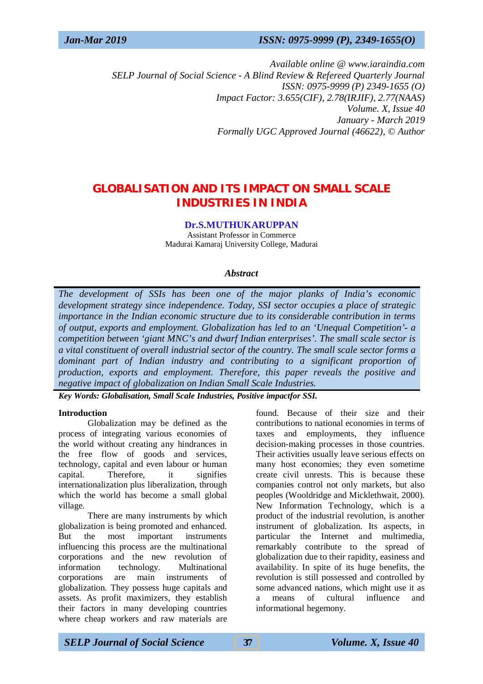# **GLOBALISATION AND ITS IMPACT ON SMALL SCALE INDUSTRIES IN INDIA**

#### **Dr.S.MUTHUKARUPPAN**

Assistant Professor in Commerce Madurai Kamaraj University College, Madurai

#### *Abstract*

*The development of SSIs has been one of the major planks of India's economic development strategy since independence. Today, SSI sector occupies a place of strategic importance in the Indian economic structure due to its considerable contribution in terms of output, exports and employment. Globalization has led to an 'Unequal Competition'- a competition between 'giant MNC's and dwarf Indian enterprises'. The small scale sector is a vital constituent of overall industrial sector of the country. The small scale sector forms a dominant part of Indian industry and contributing to a significant proportion of production, exports and employment. Therefore, this paper reveals the positive and negative impact of globalization on Indian Small Scale Industries.*

*Key Words: Globalisation, Small Scale Industries, Positive impactfor SSI.*

#### **Introduction**

Globalization may be defined as the process of integrating various economies of the world without creating any hindrances in the free flow of goods and services, technology, capital and even labour or human capital. Therefore, it signifies internationalization plus liberalization, through which the world has become a small global village.

There are many instruments by which globalization is being promoted and enhanced. But the most important instruments influencing this process are the multinational corporations and the new revolution of information technology. Multinational corporations are main instruments of globalization. They possess huge capitals and assets. As profit maximizers, they establish their factors in many developing countries where cheap workers and raw materials are found. Because of their size and their contributions to national economies in terms of taxes and employments, they influence decision-making processes in those countries. Their activities usually leave serious effects on many host economies; they even sometime create civil unrests. This is because these companies control not only markets, but also peoples (Wooldridge and Micklethwait, 2000). New Information Technology, which is a product of the industrial revolution, is another instrument of globalization. Its aspects, in particular the Internet and multimedia, remarkably contribute to the spread of globalization due to their rapidity, easiness and availability. In spite of its huge benefits, the revolution is still possessed and controlled by some advanced nations, which might use it as a means of cultural influence and informational hegemony.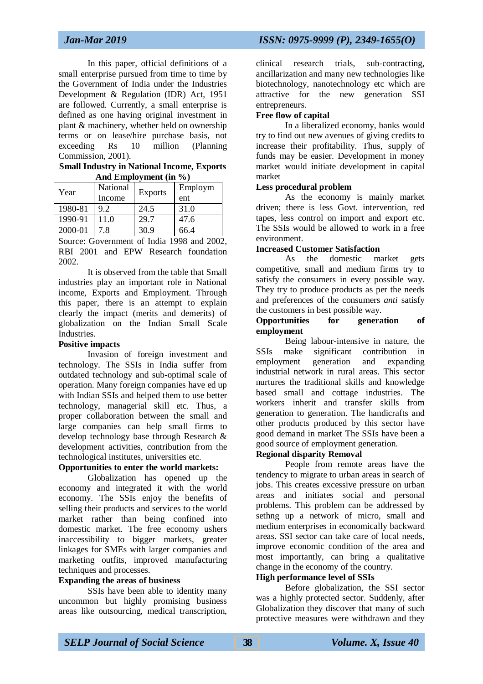In this paper, official definitions of a small enterprise pursued from time to time by the Government of India under the Industries Development & Regulation (IDR) Act, 1951 are followed. Currently, a small enterprise is defined as one having original investment in plant & machinery, whether held on ownership terms or on lease/hire purchase basis, not exceeding Rs 10 million (Planning Commission, 2001).

**Small Industry in National Income, Exports And Employment (in %)**

| $\frac{1}{2}$ |                    |                |                |  |  |
|---------------|--------------------|----------------|----------------|--|--|
| Year          | National<br>Income | <b>Exports</b> | Employm<br>ent |  |  |
| 1980-81       | 9.2                | 24.5           | 31.0           |  |  |
| 1990-91       | 11.0               | 29.7           | 47.6           |  |  |
| 2000-01       | 7.8                | 30.9           | 66.4           |  |  |

Source: Government of India 1998 and 2002, RBI 2001 and EPW Research foundation 2002.

It is observed from the table that Small industries play an important role in National income, Exports and Employment. Through this paper, there is an attempt to explain clearly the impact (merits and demerits) of globalization on the Indian Small Scale Industries.

### **Positive impacts**

Invasion of foreign investment and technology. The SSIs in India suffer from outdated technology and sub-optimal scale of operation. Many foreign companies have ed up with Indian SSIs and helped them to use better technology, managerial skill etc. Thus, a proper collaboration between the small and large companies can help small firms to develop technology base through Research & development activities, contribution from the technological institutes, universities etc.

## **Opportunities to enter the world markets:**

Globalization has opened up the economy and integrated it with the world economy. The SSIs enjoy the benefits of selling their products and services to the world market rather than being confined into domestic market. The free economy ushers inaccessibility to bigger markets, greater linkages for SMEs with larger companies and marketing outfits, improved manufacturing techniques and processes.

#### **Expanding the areas of business**

SSIs have been able to identity many uncommon but highly promising business areas like outsourcing, medical transcription, clinical research trials, sub-contracting, ancillarization and many new technologies like biotechnology, nanotechnology etc which are attractive for the new generation SSI entrepreneurs.

## **Free flow of capital**

In a liberalized economy, banks would try to find out new avenues of giving credits to increase their profitability. Thus, supply of funds may be easier. Development in money market would initiate development in capital market

## **Less procedural problem**

As the economy is mainly market driven; there is less Govt. intervention, red tapes, less control on import and export etc. The SSIs would be allowed to work in a free environment.

## **Increased Customer Satisfaction**

As the domestic market gets competitive, small and medium firms try to satisfy the consumers in every possible way. They try to produce products as per the needs and preferences of the consumers *anti* satisfy

#### the customers in best possible way.<br>**Opportunities** for generation **Opportunities for generation of employment**

Being labour-intensive in nature, the SSIs make significant contribution in<br>employment generation and expanding employment generation and expanding industrial network in rural areas. This sector nurtures the traditional skills and knowledge based small and cottage industries. The workers inherit and transfer skills from generation to generation. The handicrafts and other products produced by this sector have good demand in market The SSIs have been a good source of employment generation.

#### **Regional disparity Removal**

People from remote areas have the tendency to migrate to urban areas in search of jobs. This creates excessive pressure on urban areas and initiates social and personal problems. This problem can be addressed by sethng up a network of micro, small and medium enterprises in economically backward areas. SSI sector can take care of local needs, improve economic condition of the area and most importantly, can bring a qualitative change in the economy of the country.

#### **High performance level of SSIs**

Before globalization, the SSI sector was a highly protected sector. Suddenly, after Globalization they discover that many of such protective measures were withdrawn and they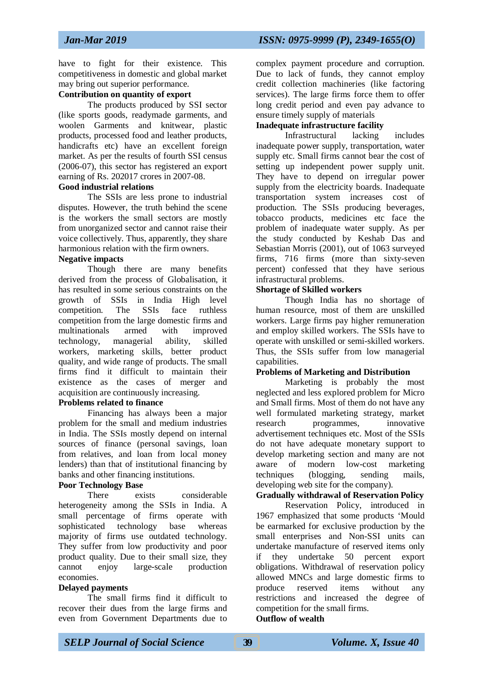have to fight for their existence. This competitiveness in domestic and global market may bring out superior performance.

## **Contribution on quantity of export**

The products produced by SSI sector (like sports goods, readymade garments, and woolen Garments and knitwear, plastic products, processed food and leather products, handicrafts etc) have an excellent foreign market. As per the results of fourth SSI census (2006-07), this sector has registered an export earning of Rs. 202017 crores in 2007-08.

#### **Good industrial relations**

The SSIs are less prone to industrial disputes. However, the truth behind the scene is the workers the small sectors are mostly from unorganized sector and cannot raise their voice collectively. Thus, apparently, they share harmonious relation with the firm owners.

## **Negative impacts**

Though there are many benefits derived from the process of Globalisation, it has resulted in some serious constraints on the growth of SSIs in India High level competition. The SSIs face ruthless competition from the large domestic firms and multinationals armed with improved technology, managerial ability, skilled workers, marketing skills, better product quality, and wide range of products. The small firms find it difficult to maintain their existence as the cases of merger and acquisition are continuously increasing.

#### **Problems related to finance**

Financing has always been a major problem for the small and medium industries in India. The SSIs mostly depend on internal sources of finance (personal savings, loan from relatives, and loan from local money lenders) than that of institutional financing by banks and other financing institutions.

## **Poor Technology Base**

There exists considerable heterogeneity among the SSIs in India. A small percentage of firms operate with sophisticated technology base whereas majority of firms use outdated technology. They suffer from low productivity and poor product quality. Due to their small size, they cannot enjoy large-scale production economies.

#### **Delayed payments**

The small firms find it difficult to recover their dues from the large firms and even from Government Departments due to complex payment procedure and corruption. Due to lack of funds, they cannot employ credit collection machineries (like factoring services). The large firms force them to offer long credit period and even pay advance to ensure timely supply of materials

## **Inadequate infrastructure facility**

Infrastructural lacking includes inadequate power supply, transportation, water supply etc. Small firms cannot bear the cost of setting up independent power supply unit. They have to depend on irregular power supply from the electricity boards. Inadequate transportation system increases cost of production. The SSIs producing beverages, tobacco products, medicines etc face the problem of inadequate water supply. As per the study conducted by Keshab Das and Sebastian Morris (2001), out of 1063 surveyed firms, 716 firms (more than sixty-seven percent) confessed that they have serious infrastructural problems.

## **Shortage of Skilled workers**

Though India has no shortage of human resource, most of them are unskilled workers. Large firms pay higher remuneration and employ skilled workers. The SSIs have to operate with unskilled or semi-skilled workers. Thus, the SSIs suffer from low managerial capabilities.

### **Problems of Marketing and Distribution**

Marketing is probably the most neglected and less explored problem for Micro and Small firms. Most of them do not have any well formulated marketing strategy, market research programmes, innovative advertisement techniques etc. Most of the SSIs do not have adequate monetary support to develop marketing section and many are not aware of modern low-cost marketing techniques (blogging, sending mails, developing web site for the company).

## **Gradually withdrawal of Reservation Policy**

Reservation Policy, introduced in 1967 emphasized that some products 'Mould be earmarked for exclusive production by the small enterprises and Non-SSI units can undertake manufacture of reserved items only if they undertake 50 percent export obligations. Withdrawal of reservation policy allowed MNCs and large domestic firms to produce reserved items without any restrictions and increased the degree of competition for the small firms.

## **Outflow of wealth**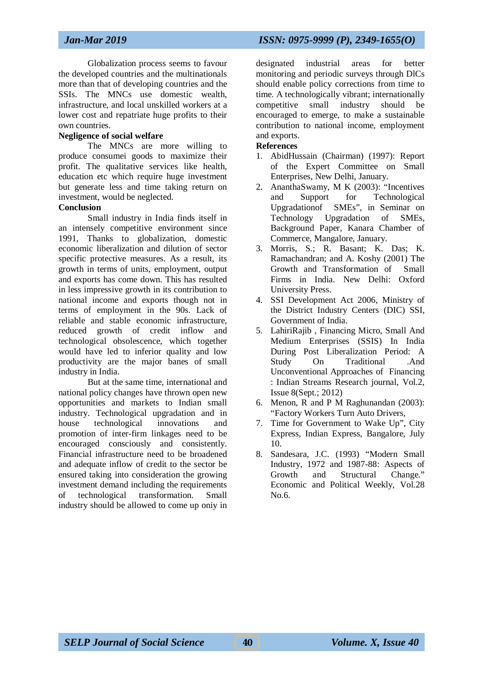Globalization process seems to favour the developed countries and the multinationals more than that of developing countries and the SSIs. The MNCs use domestic wealth, infrastructure, and local unskilled workers at a lower cost and repatriate huge profits to their own countries.

## **Negligence of social welfare**

The MNCs are more willing to produce consumei goods to maximize their profit. The qualitative services like health, education etc which require huge investment but generate less and time taking return on investment, would be neglected.

#### **Conclusion**

Small industry in India finds itself in an intensely competitive environment since 1991, Thanks to globalization, domestic economic liberalization and dilution of sector specific protective measures. As a result, its growth in terms of units, employment, output and exports has come down. This has resulted in less impressive growth in its contribution to national income and exports though not in terms of employment in the 90s. Lack of reliable and stable economic infrastructure, reduced growth of credit inflow and technological obsolescence, which together would have led to inferior quality and low productivity are the major banes of small industry in India.

But at the same time, international and national policy changes have thrown open new opportunities and markets to Indian small industry. Technological upgradation and in house technological innovations and promotion of inter-firm linkages need to be encouraged consciously and consistently. Financial infrastructure need to be broadened and adequate inflow of credit to the sector be ensured taking into consideration the growing investment demand including the requirements of technological transformation. Small industry should be allowed to come up oniy in designated industrial areas for better monitoring and periodic surveys through DlCs should enable policy corrections from time to time. A technologically vibrant; internationally competitive small industry should be encouraged to emerge, to make a sustainable contribution to national income, employment and exports.

## **References**

- 1. AbidHussain (Chairman) (1997): Report of the Expert Committee on Small Enterprises, New Delhi, January.
- 2. AnanthaSwamy, M K (2003): "Incentives and Support for Technological Upgradationof SMEs", in Seminar on Technology Upgradation of SMEs, Background Paper, Kanara Chamber of Commerce, Mangalore, January.
- 3. Morris, S.; R. Basant; K. Das; K. Ramachandran; and A. Koshy (2001) The Growth and Transformation of Small Firms in India. New Delhi: Oxford University Press.
- 4. SSI Development Act 2006, Ministry of the District Industry Centers (DIC) SSI, Government of India.
- 5. LahiriRajib , Financing Micro, Small And Medium Enterprises (SSIS) In India During Post Liberalization Period: A Study On Traditional .And Unconventional Approaches of Financing : Indian Streams Research journal, Vol.2, Issue 8(Sept.; 2012)
- 6. Menon, R and P M Raghunandan (2003): "Factory Workers Turn Auto Drivers,
- 7. Time for Government to Wake Up", City Express, Indian Express, Bangalore, July 10.
- 8. Sandesara, J.C. (1993) "Modern Small Industry, 1972 and 1987-88: Aspects of Growth and Structural Change." Economic and Political Weekly, Vol.28 No.6.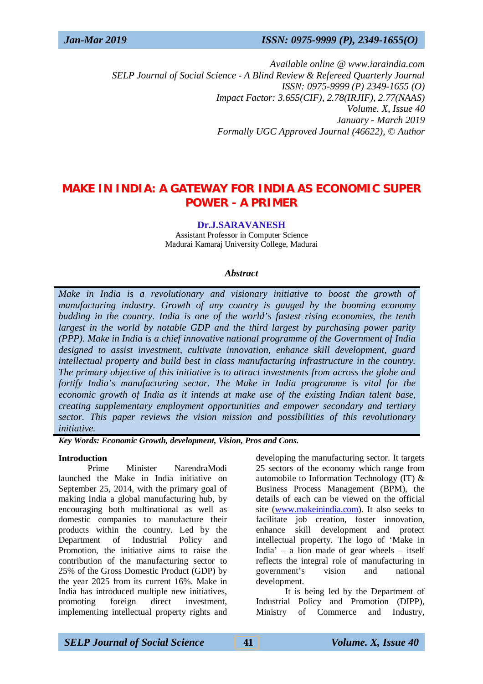# **MAKE IN INDIA: A GATEWAY FOR INDIA AS ECONOMIC SUPER POWER - A PRIMER**

**Dr.J.SARAVANESH** Assistant Professor in Computer Science

Madurai Kamaraj University College, Madurai

### *Abstract*

*Make in India is a revolutionary and visionary initiative to boost the growth of manufacturing industry. Growth of any country is gauged by the booming economy budding in the country. India is one of the world's fastest rising economies, the tenth largest in the world by notable GDP and the third largest by purchasing power parity (PPP). Make in India is a chief innovative national programme of the Government of India designed to assist investment, cultivate innovation, enhance skill development, guard intellectual property and build best in class manufacturing infrastructure in the country. The primary objective of this initiative is to attract investments from across the globe and fortify India's manufacturing sector. The Make in India programme is vital for the economic growth of India as it intends at make use of the existing Indian talent base, creating supplementary employment opportunities and empower secondary and tertiary sector. This paper reviews the vision mission and possibilities of this revolutionary initiative.*

*Key Words: Economic Growth, development, Vision, Pros and Cons.*

#### **Introduction**

Prime Minister NarendraModi launched the Make in India initiative on September 25, 2014, with the primary goal of making India a global manufacturing hub, by encouraging both multinational as well as domestic companies to manufacture their products within the country. Led by the Department of Industrial Policy and Promotion, the initiative aims to raise the contribution of the manufacturing sector to 25% of the Gross Domestic Product (GDP) by the year 2025 from its current 16%. Make in India has introduced multiple new initiatives, promoting foreign direct investment, implementing intellectual property rights and

developing the manufacturing sector. It targets 25 sectors of the economy which range from automobile to Information Technology (IT) & Business Process Management (BPM), the details of each can be viewed on the official site ([www.makeinindia.com\).](http://www.makeinindia.com).) It also seeks to facilitate job creation, foster innovation, enhance skill development and protect intellectual property. The logo of 'Make in India' – a lion made of gear wheels – itself reflects the integral role of manufacturing in government's vision and national development.

It is being led by the Department of Industrial Policy and Promotion (DIPP), Ministry of Commerce and Industry,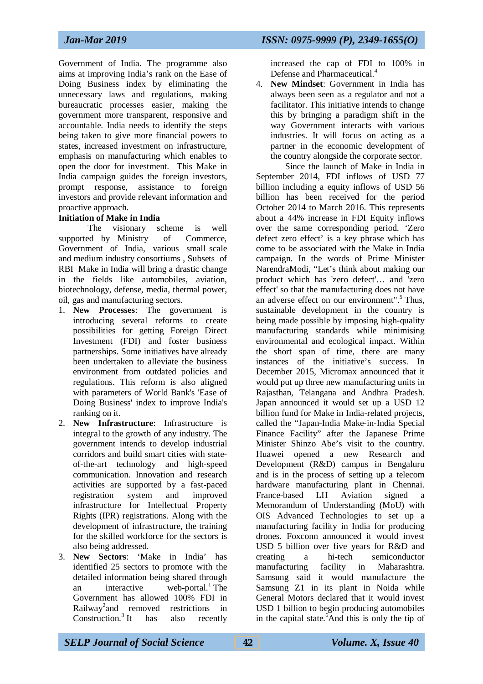Government of India. The programme also aims at improving India's rank on the Ease of Doing Business index by eliminating the unnecessary laws and regulations, making bureaucratic processes easier, making the government more transparent, responsive and accountable. India needs to identify the steps being taken to give more financial powers to states, increased investment on infrastructure, emphasis on manufacturing which enables to open the door for investment. This Make in India campaign guides the foreign investors, prompt response, assistance to foreign investors and provide relevant information and proactive approach.

**Initiation of Make in India**<br>The visionary scheme is The visionary scheme is well supported by Ministry of Commerce, Government of India, various small scale and medium industry consortiums , Subsets of RBI Make in India will bring a drastic change in the fields like automobiles, aviation, biotechnology, defense, media, thermal power, oil, gas and manufacturing sectors.

- 1. **New Processes**: The government is introducing several reforms to create possibilities for getting Foreign Direct Investment (FDI) and foster business partnerships. Some initiatives have already been undertaken to alleviate the business environment from outdated policies and regulations. This reform is also aligned with parameters of World Bank's 'Ease of Doing Business' index to improve India's ranking on it.
- 2. **New Infrastructure**: Infrastructure is integral to the growth of any industry. The government intends to develop industrial corridors and build smart cities with stateof-the-art technology and high-speed communication. Innovation and research activities are supported by a fast-paced registration system and improved infrastructure for Intellectual Property Rights (IPR) registrations. Along with the development of infrastructure, the training for the skilled workforce for the sectors is also being addressed.
- 3. **New Sectors**: 'Make in India' has identified 25 sectors to promote with the detailed information being shared through an interactive web-portal.<sup>1</sup> The Government has allowed 100% FDI in Railway<sup>2</sup>and removed restrictions in Construction. $3$  It has also recently

increased the cap of FDI to 100% in Defense and Pharmaceutical.<sup>4</sup>

4. **New Mindset**: Government in India has always been seen as a regulator and not a facilitator. This initiative intends to change this by bringing a paradigm shift in the way Government interacts with various industries. It will focus on acting as a partner in the economic development of the country alongside the corporate sector.

Since the launch of Make in India in September 2014, FDI inflows of USD 77 billion including a equity inflows of USD 56 billion has been received for the period October 2014 to March 2016. This represents about a 44% increase in FDI Equity inflows over the same corresponding period. 'Zero defect zero effect' is a key phrase which has come to be associated with the Make in India campaign. In the words of Prime Minister NarendraModi, "Let's think about making our product which has 'zero defect'… and 'zero effect' so that the manufacturing does not have an adverse effect on our environment".<sup>5</sup> Thus, sustainable development in the country is being made possible by imposing high-quality manufacturing standards while minimising environmental and ecological impact. Within the short span of time, there are many instances of the initiative's success. In December 2015, Micromax announced that it would put up three new manufacturing units in Rajasthan, Telangana and Andhra Pradesh. Japan announced it would set up a USD 12 billion fund for Make in India-related projects, called the "Japan-India Make-in-India Special Finance Facility" after the Japanese Prime Minister Shinzo Abe's visit to the country. Huawei opened a new Research and Development (R&D) campus in Bengaluru and is in the process of setting up a telecom hardware manufacturing plant in Chennai. France-based LH Aviation signed a Memorandum of Understanding (MoU) with OIS Advanced Technologies to set up a manufacturing facility in India for producing drones. Foxconn announced it would invest USD 5 billion over five years for R&D and creating a hi-tech semiconductor manufacturing facility in Maharashtra. Samsung said it would manufacture the Samsung Z1 in its plant in Noida while General Motors declared that it would invest USD 1 billion to begin producing automobiles in the capital state. And this is only the tip of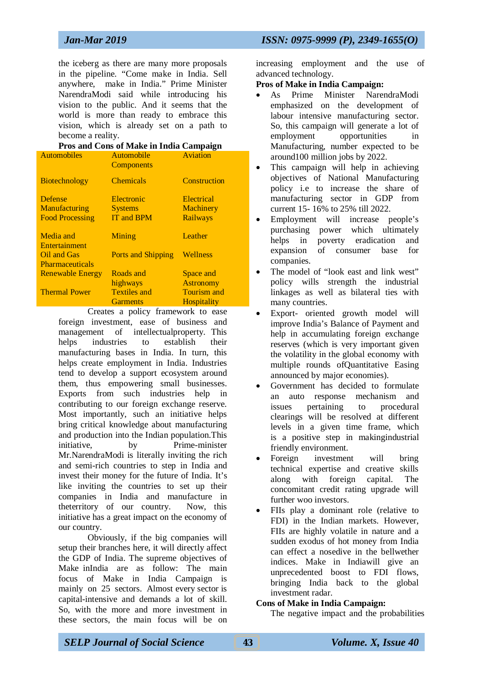the iceberg as there are many more proposals in the pipeline. "Come make in India. Sell anywhere, make in India." Prime Minister NarendraModi said while introducing his vision to the public. And it seems that the world is more than ready to embrace this vision, which is already set on a path to become a reality.

|  |  |  |  | Pros and Cons of Make in India Campaign |
|--|--|--|--|-----------------------------------------|
|--|--|--|--|-----------------------------------------|

| <b>Automobiles</b>                                        | Automobile<br><b>Components</b>                   | . .<br><b>Aviation</b>                   |
|-----------------------------------------------------------|---------------------------------------------------|------------------------------------------|
| <b>Biotechnology</b>                                      | <b>Chemicals</b>                                  | Construction                             |
| <b>Defense</b><br>Manufacturing<br><b>Food Processing</b> | Electronic<br><b>Systems</b><br><b>IT and BPM</b> | Electrical<br>Machinery<br>Railways      |
| Media and<br>Entertainment                                | <b>Mining</b>                                     | Leather                                  |
| Oil and Gas<br><b>Pharmaceuticals</b>                     | <b>Ports and Shipping</b>                         | <b>Wellness</b>                          |
| <b>Renewable Energy</b>                                   | Roads and<br>highways                             | Space and<br><b>Astronomy</b>            |
| <b>Thermal Power</b>                                      | <b>Textiles and</b><br><b>Garments</b>            | <b>Tourism and</b><br><b>Hospitality</b> |

Creates a policy framework to ease foreign investment, ease of business and management of intellectualproperty. This helps industries to establish their manufacturing bases in India. In turn, this helps create employment in India. Industries tend to develop a support ecosystem around them, thus empowering small businesses. Exports from such industries help in contributing to our foreign exchange reserve. Most importantly, such an initiative helps bring critical knowledge about manufacturing and production into the Indian population.This initiative, by Prime-minister Mr.NarendraModi is literally inviting the rich and semi-rich countries to step in India and invest their money for the future of India. It's like inviting the countries to set up their companies in India and manufacture in theterritory of our country. Now, this initiative has a great impact on the economy of our country.

Obviously, if the big companies will setup their branches here, it will directly affect the GDP of India. The supreme objectives of Make inIndia are as follow: The main focus of Make in India Campaign is mainly on 25 sectors. Almost every sector is capital-intensive and demands a lot of skill. So, with the more and more investment in these sectors, the main focus will be on increasing employment and the use of advanced technology.

## **Pros of Make in India Campaign:**

- As Prime Minister NarendraModi emphasized on the development of labour intensive manufacturing sector. So, this campaign will generate a lot of employment opportunities in Manufacturing, number expected to be around100 million jobs by 2022.
- This campaign will help in achieving objectives of National Manufacturing policy i.e to increase the share of manufacturing sector in GDP from current 15- 16% to 25% till 2022.
- Employment will increase people's purchasing power which ultimately helps in poverty eradication and expansion of consumer base for companies.
- The model of "look east and link west" policy wills strength the industrial linkages as well as bilateral ties with many countries.
- Export- oriented growth model will improve India's Balance of Payment and help in accumulating foreign exchange reserves (which is very important given the volatility in the global economy with multiple rounds ofQuantitative Easing announced by major economies).
- Government has decided to formulate an auto response mechanism and issues pertaining to procedural clearings will be resolved at different levels in a given time frame, which is a positive step in makingindustrial friendly environment.
- Foreign investment will bring technical expertise and creative skills along with foreign capital. The concomitant credit rating upgrade will further woo investors.
- FIIs play a dominant role (relative to FDI) in the Indian markets. However, FIIs are highly volatile in nature and a sudden exodus of hot money from India can effect a nosedive in the bellwether indices. Make in Indiawill give an unprecedented boost to FDI flows, bringing India back to the global investment radar.

#### **Cons of Make in India Campaign:**

The negative impact and the probabilities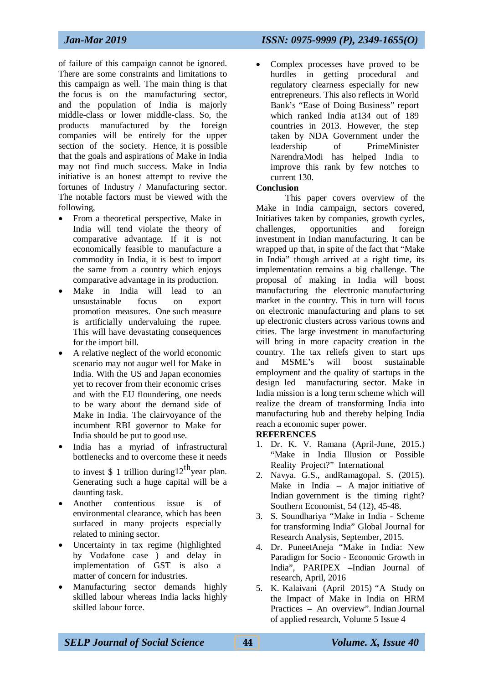of failure of this campaign cannot be ignored. There are some constraints and limitations to this campaign as well. The main thing is that the focus is on the manufacturing sector, and the population of India is majorly middle-class or lower middle-class. So, the products manufactured by the foreign companies will be entirely for the upper section of the society. Hence, it is possible that the goals and aspirations of Make in India may not find much success. Make in India initiative is an honest attempt to revive the fortunes of Industry / Manufacturing sector. The notable factors must be viewed with the following,

- From a theoretical perspective, Make in India will tend violate the theory of comparative advantage. If it is not economically feasible to manufacture a commodity in India, it is best to import the same from a country which enjoys comparative advantage in its production.
- Make in India will lead to an unsustainable focus on export promotion measures. One such measure is artificially undervaluing the rupee. This will have devastating consequences for the import bill.
- A relative neglect of the world economic scenario may not augur well for Make in India. With the US and Japan economies yet to recover from their economic crises and with the EU floundering, one needs to be wary about the demand side of Make in India. The clairvoyance of the incumbent RBI governor to Make for India should be put to good use.
- India has a myriad of infrastructural bottlenecks and to overcome these it needs

to invest \$ 1 trillion during  $12^{th}$  year plan. Generating such a huge capital will be a daunting task.

- Another contentious issue is of environmental clearance, which has been surfaced in many projects especially related to mining sector.
- Uncertainty in tax regime (highlighted by Vodafone case ) and delay in implementation of GST is also a matter of concern for industries.
- Manufacturing sector demands highly skilled labour whereas India lacks highly skilled labour force.

• Complex processes have proved to be hurdles in getting procedural and regulatory clearness especially for new entrepreneurs. This also reflects in World Bank's "Ease of Doing Business" report which ranked India at134 out of 189 countries in 2013. However, the step taken by NDA Government under the leadership of PrimeMinister NarendraModi has helped India to improve this rank by few notches to current 130.

## **Conclusion**

This paper covers overview of the Make in India campaign, sectors covered, Initiatives taken by companies, growth cycles, challenges, opportunities and foreign investment in Indian manufacturing. It can be wrapped up that, in spite of the fact that "Make in India" though arrived at a right time, its implementation remains a big challenge. The proposal of making in India will boost manufacturing the electronic manufacturing market in the country. This in turn will focus on electronic manufacturing and plans to set up electronic clusters across various towns and cities. The large investment in manufacturing will bring in more capacity creation in the country. The tax reliefs given to start ups and MSME's will boost sustainable employment and the quality of startups in the design led manufacturing sector. Make in India mission is a long term scheme which will realize the dream of transforming India into manufacturing hub and thereby helping India reach a economic super power.

## **REFERENCES**

- 1. Dr. K. V. Ramana (April-June, 2015.) "Make in India Illusion or Possible Reality Project?" International
- 2. Navya. G.S., andRamagopal. S. (2015). Make in India – A major initiative of Indian government is the timing right? Southern Economist, 54 (12), 45-48.
- 3. S. Soundhariya "Make in India Scheme for transforming India" Global Journal for Research Analysis, September, 2015.
- 4. Dr. PuneetAneja "Make in India: New Paradigm for Socio - Economic Growth in India", PARIPEX –Indian Journal of research, April, 2016
- 5. K. Kalaivani (April 2015) "A Study on the Impact of Make in India on HRM Practices – An overview". Indian Journal of applied research, Volume 5 Issue 4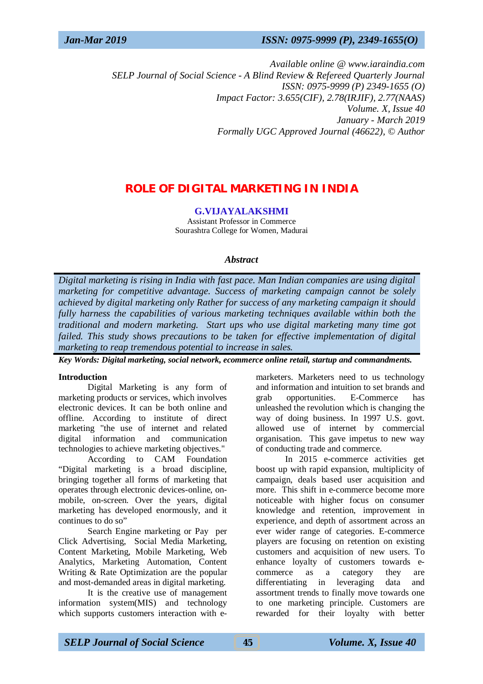# **ROLE OF DIGITAL MARKETING IN INDIA**

**G.VIJAYALAKSHMI**

Assistant Professor in Commerce Sourashtra College for Women, Madurai

## *Abstract*

*Digital marketing is rising in India with fast pace. Man Indian companies are using digital marketing for competitive advantage. Success of marketing campaign cannot be solely achieved by digital marketing only Rather for success of any marketing campaign it should fully harness the capabilities of various marketing techniques available within both the traditional and modern marketing. Start ups who use digital marketing many time got failed. This study shows precautions to be taken for effective implementation of digital marketing to reap tremendous potential to increase in sales.*

*Key Words: Digital marketing, social network, ecommerce online retail, startup and commandments.*

#### **Introduction**

Digital Marketing is any form of marketing products or services, which involves electronic devices. It can be both online and offline. According to institute of direct marketing "the use of internet and related digital information and communication technologies to achieve marketing objectives."

According to CAM Foundation "Digital marketing is a broad discipline, bringing together all forms of marketing that operates through electronic devices-online, onmobile, on-screen. Over the years, digital marketing has developed enormously, and it continues to do so"

Search Engine marketing or Pay per Click Advertising, Social Media Marketing, Content Marketing, Mobile Marketing, Web Analytics, Marketing Automation, Content Writing & Rate Optimization are the popular and most-demanded areas in digital marketing.

It is the creative use of management information system(MIS) and technology which supports customers interaction with emarketers. Marketers need to us technology and information and intuition to set brands and grab opportunities. E-Commerce has unleashed the revolution which is changing the way of doing business. In 1997 U.S. govt. allowed use of internet by commercial organisation. This gave impetus to new way of conducting trade and commerce.

In 2015 e-commerce activities get boost up with rapid expansion, multiplicity of campaign, deals based user acquisition and more. This shift in e-commerce become more noticeable with higher focus on consumer knowledge and retention, improvement in experience, and depth of assortment across an ever wider range of categories. E-commerce players are focusing on retention on existing customers and acquisition of new users. To enhance loyalty of customers towards ecommerce as a category they are differentiating in leveraging data and assortment trends to finally move towards one to one marketing principle. Customers are rewarded for their loyalty with better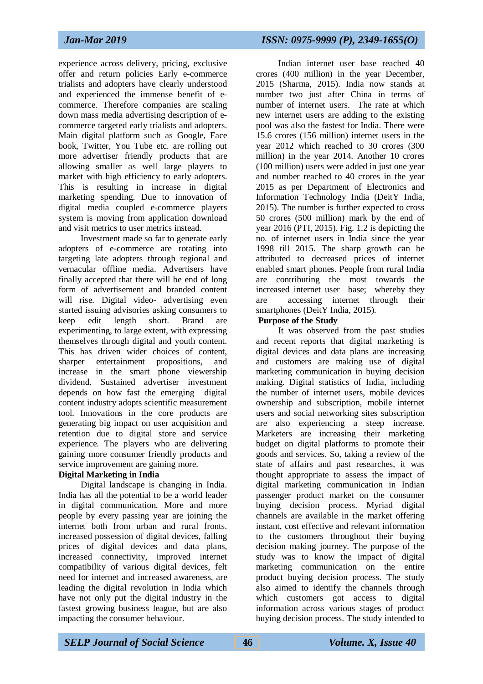experience across delivery, pricing, exclusive offer and return policies Early e-commerce trialists and adopters have clearly understood and experienced the immense benefit of ecommerce. Therefore companies are scaling down mass media advertising description of ecommerce targeted early trialists and adopters. Main digital platform such as Google, Face book, Twitter, You Tube etc. are rolling out more advertiser friendly products that are allowing smaller as well large players to market with high efficiency to early adopters. This is resulting in increase in digital marketing spending. Due to innovation of digital media coupled e-commerce players system is moving from application download and visit metrics to user metrics instead.

 Investment made so far to generate early adopters of e-commerce are rotating into targeting late adopters through regional and vernacular offline media. Advertisers have finally accepted that there will be end of long form of advertisement and branded content will rise. Digital video- advertising even started issuing advisories asking consumers to keep edit length short. Brand are experimenting, to large extent, with expressing themselves through digital and youth content. This has driven wider choices of content, sharper entertainment propositions, and increase in the smart phone viewership dividend. Sustained advertiser investment depends on how fast the emerging digital content industry adopts scientific measurement tool. Innovations in the core products are generating big impact on user acquisition and retention due to digital store and service experience. The players who are delivering gaining more consumer friendly products and service improvement are gaining more.

## **Digital Marketing in India**

 Digital landscape is changing in India. India has all the potential to be a world leader in digital communication. More and more people by every passing year are joining the internet both from urban and rural fronts. increased possession of digital devices, falling prices of digital devices and data plans, increased connectivity, improved internet compatibility of various digital devices, felt need for internet and increased awareness, are leading the digital revolution in India which have not only put the digital industry in the fastest growing business league, but are also impacting the consumer behaviour.

 Indian internet user base reached 40 crores (400 million) in the year December, 2015 (Sharma, 2015). India now stands at number two just after China in terms of number of internet users. The rate at which new internet users are adding to the existing pool was also the fastest for India. There were 15.6 crores (156 million) internet users in the year 2012 which reached to 30 crores (300 million) in the year 2014. Another 10 crores (100 million) users were added in just one year and number reached to 40 crores in the year 2015 as per Department of Electronics and Information Technology India (DeitY India, 2015). The number is further expected to cross 50 crores (500 million) mark by the end of year 2016 (PTI, 2015). Fig. 1.2 is depicting the no. of internet users in India since the year 1998 till 2015. The sharp growth can be attributed to decreased prices of internet enabled smart phones. People from rural India are contributing the most towards the increased internet user base; whereby they are accessing internet through their smartphones (DeitY India, 2015).

## **Purpose of the Study**

 It was observed from the past studies and recent reports that digital marketing is digital devices and data plans are increasing and customers are making use of digital marketing communication in buying decision making. Digital statistics of India, including the number of internet users, mobile devices ownership and subscription, mobile internet users and social networking sites subscription are also experiencing a steep increase. Marketers are increasing their marketing budget on digital platforms to promote their goods and services. So, taking a review of the state of affairs and past researches, it was thought appropriate to assess the impact of digital marketing communication in Indian passenger product market on the consumer buying decision process. Myriad digital channels are available in the market offering instant, cost effective and relevant information to the customers throughout their buying decision making journey. The purpose of the study was to know the impact of digital marketing communication on the entire product buying decision process. The study also aimed to identify the channels through which customers got access to digital information across various stages of product buying decision process. The study intended to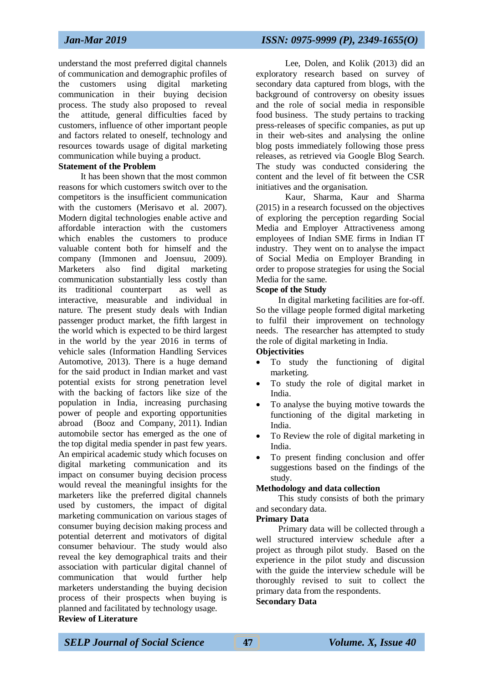understand the most preferred digital channels of communication and demographic profiles of the customers using digital marketing communication in their buying decision process. The study also proposed to reveal the attitude, general difficulties faced by customers, influence of other important people and factors related to oneself, technology and resources towards usage of digital marketing communication while buying a product.

## **Statement of the Problem**

 It has been shown that the most common reasons for which customers switch over to the competitors is the insufficient communication with the customers (Merisavo et al. 2007). Modern digital technologies enable active and affordable interaction with the customers which enables the customers to produce valuable content both for himself and the company (Immonen and Joensuu, 2009). Marketers also find digital marketing communication substantially less costly than its traditional counterpart as well as interactive, measurable and individual in nature. The present study deals with Indian passenger product market, the fifth largest in the world which is expected to be third largest in the world by the year 2016 in terms of vehicle sales (Information Handling Services Automotive, 2013). There is a huge demand for the said product in Indian market and vast potential exists for strong penetration level with the backing of factors like size of the population in India, increasing purchasing power of people and exporting opportunities abroad (Booz and Company, 2011). Indian automobile sector has emerged as the one of the top digital media spender in past few years. An empirical academic study which focuses on digital marketing communication and its impact on consumer buying decision process would reveal the meaningful insights for the marketers like the preferred digital channels used by customers, the impact of digital marketing communication on various stages of consumer buying decision making process and potential deterrent and motivators of digital consumer behaviour. The study would also reveal the key demographical traits and their association with particular digital channel of communication that would further help marketers understanding the buying decision process of their prospects when buying is planned and facilitated by technology usage. **Review of Literature**

Lee, Dolen, and Kolik (2013) did an exploratory research based on survey of secondary data captured from blogs, with the background of controversy on obesity issues and the role of social media in responsible food business. The study pertains to tracking press-releases of specific companies, as put up in their web-sites and analysing the online blog posts immediately following those press releases, as retrieved via Google Blog Search. The study was conducted considering the content and the level of fit between the CSR initiatives and the organisation.

Kaur, Sharma, Kaur and Sharma (2015) in a research focussed on the objectives of exploring the perception regarding Social Media and Employer Attractiveness among employees of Indian SME firms in Indian IT industry. They went on to analyse the impact of Social Media on Employer Branding in order to propose strategies for using the Social Media for the same.

#### **Scope of the Study**

 In digital marketing facilities are for-off. So the village people formed digital marketing to fulfil their improvement on technology needs. The researcher has attempted to study the role of digital marketing in India.

## **Objectivities**

- To study the functioning of digital marketing.
- To study the role of digital market in India.
- To analyse the buying motive towards the functioning of the digital marketing in India.
- To Review the role of digital marketing in India.
- To present finding conclusion and offer suggestions based on the findings of the study.

#### **Methodology and data collection**

 This study consists of both the primary and secondary data.

## **Primary Data**

 Primary data will be collected through a well structured interview schedule after a project as through pilot study. Based on the experience in the pilot study and discussion with the guide the interview schedule will be thoroughly revised to suit to collect the primary data from the respondents.

## **Secondary Data**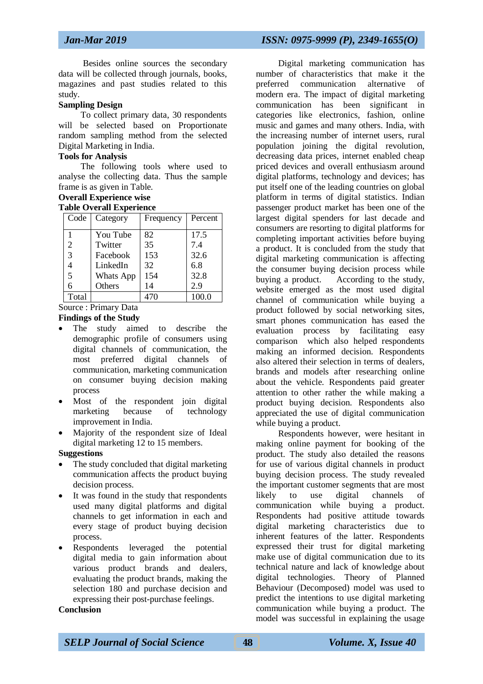Besides online sources the secondary data will be collected through journals, books, magazines and past studies related to this study.

## **Sampling Design**

 To collect primary data, 30 respondents will be selected based on Proportionate random sampling method from the selected Digital Marketing in India.

## **Tools for Analysis**

 The following tools where used to analyse the collecting data. Thus the sample frame is as given in Table.

# **Overall Experience wise**

### **Table Overall Experience**

| Code  | Category  | Frequency | Percent |
|-------|-----------|-----------|---------|
|       | You Tube  | 82        | 17.5    |
| 2     | Twitter   | 35        | 7.4     |
| 3     | Facebook  | 153       | 32.6    |
|       | LinkedIn  | 32        | 6.8     |
| 5     | Whats App | 154       | 32.8    |
| 6     | Others    | 14        | 2.9     |
| Total |           | 470       | 100.0   |

Source : Primary Data

## **Findings of the Study**

- The study aimed to describe the demographic profile of consumers using digital channels of communication, the most preferred digital channels of communication, marketing communication on consumer buying decision making process
- Most of the respondent join digital marketing because of technology improvement in India.
- Majority of the respondent size of Ideal digital marketing 12 to 15 members.

## **Suggestions**

- The study concluded that digital marketing communication affects the product buying decision process.
- It was found in the study that respondents used many digital platforms and digital channels to get information in each and every stage of product buying decision process.
- Respondents leveraged the potential digital media to gain information about various product brands and dealers, evaluating the product brands, making the selection 180 and purchase decision and expressing their post-purchase feelings.

#### **Conclusion**

 Digital marketing communication has number of characteristics that make it the preferred communication alternative of modern era. The impact of digital marketing communication has been significant in categories like electronics, fashion, online music and games and many others. India, with the increasing number of internet users, rural population joining the digital revolution, decreasing data prices, internet enabled cheap priced devices and overall enthusiasm around digital platforms, technology and devices; has put itself one of the leading countries on global platform in terms of digital statistics. Indian passenger product market has been one of the largest digital spenders for last decade and consumers are resorting to digital platforms for completing important activities before buying a product. It is concluded from the study that digital marketing communication is affecting the consumer buying decision process while buying a product. According to the study, website emerged as the most used digital channel of communication while buying a product followed by social networking sites, smart phones communication has eased the evaluation process by facilitating easy comparison which also helped respondents making an informed decision. Respondents also altered their selection in terms of dealers, brands and models after researching online about the vehicle. Respondents paid greater attention to other rather the while making a product buying decision. Respondents also appreciated the use of digital communication while buying a product.

 Respondents however, were hesitant in making online payment for booking of the product. The study also detailed the reasons for use of various digital channels in product buying decision process. The study revealed the important customer segments that are most likely to use digital channels of communication while buying a product. Respondents had positive attitude towards digital marketing characteristics due to inherent features of the latter. Respondents expressed their trust for digital marketing make use of digital communication due to its technical nature and lack of knowledge about digital technologies. Theory of Planned Behaviour (Decomposed) model was used to predict the intentions to use digital marketing communication while buying a product. The model was successful in explaining the usage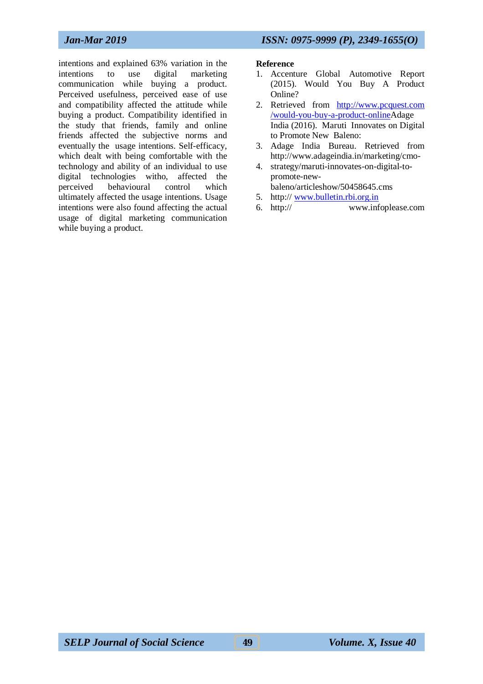intentions and explained 63% variation in the intentions to use digital marketing communication while buying a product. Perceived usefulness, perceived ease of use and compatibility affected the attitude while buying a product. Compatibility identified in the study that friends, family and online friends affected the subjective norms and eventually the usage intentions. Self-efficacy, which dealt with being comfortable with the technology and ability of an individual to use digital technologies witho, affected the perceived behavioural control which ultimately affected the usage intentions. Usage intentions were also found affecting the actual usage of digital marketing communication while buying a product.

#### **Reference**

- 1. Accenture Global Automotive Report (2015). Would You Buy A Product Online?
- 2. Retrieved from <http://www.pcquest.com> /would-you-buy-a-product-onlineAdage India (2016). Maruti Innovates on Digital to Promote New Baleno:
- 3. Adage India Bureau. Retrieved from <http://www.adageindia.in/marketing/cmo->
- 4. strategy/maruti-innovates-on-digital-topromote-newbaleno/articleshow/50458645.cms
- 5. <http://>[www.bulletin.rbi.org.in](http://www.bulletin.rbi.org.in)
- 6. http:// [www.infoplease.com](http://www.infoplease.com)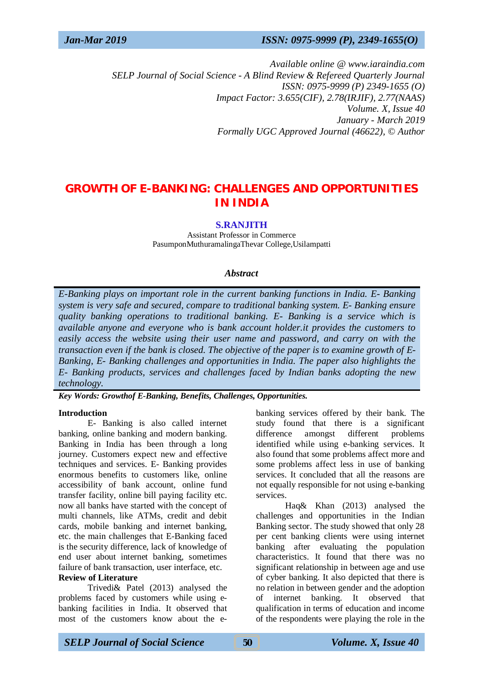# **GROWTH OF E-BANKING: CHALLENGES AND OPPORTUNITIES IN INDIA**

## **S.RANJITH**

Assistant Professor in Commerce PasumponMuthuramalingaThevar College,Usilampatti

### *Abstract*

*E-Banking plays on important role in the current banking functions in India. E- Banking system is very safe and secured, compare to traditional banking system. E- Banking ensure quality banking operations to traditional banking. E- Banking is a service which is available anyone and everyone who is bank account holder.it provides the customers to easily access the website using their user name and password, and carry on with the transaction even if the bank is closed. The objective of the paper is to examine growth of E-Banking, E- Banking challenges and opportunities in India. The paper also highlights the E- Banking products, services and challenges faced by Indian banks adopting the new technology.*

*Key Words: Growthof E-Banking, Benefits, Challenges, Opportunities.*

#### **Introduction**

E- Banking is also called internet banking, online banking and modern banking. Banking in India has been through a long journey. Customers expect new and effective techniques and services. E- Banking provides enormous benefits to customers like, online accessibility of bank account, online fund transfer facility, online bill paying facility etc. now all banks have started with the concept of multi channels, like ATMs, credit and debit cards, mobile banking and internet banking, etc. the main challenges that E-Banking faced is the security difference, lack of knowledge of end user about internet banking, sometimes failure of bank transaction, user interface, etc.

#### **Review of Literature**

Trivedi& Patel (2013) analysed the problems faced by customers while using ebanking facilities in India. It observed that most of the customers know about the ebanking services offered by their bank. The study found that there is a significant difference amongst different problems identified while using e-banking services. It also found that some problems affect more and some problems affect less in use of banking services. It concluded that all the reasons are not equally responsible for not using e-banking services.

Haq& Khan (2013) analysed the challenges and opportunities in the Indian Banking sector. The study showed that only 28 per cent banking clients were using internet banking after evaluating the population characteristics. It found that there was no significant relationship in between age and use of cyber banking. It also depicted that there is no relation in between gender and the adoption of internet banking. It observed that qualification in terms of education and income of the respondents were playing the role in the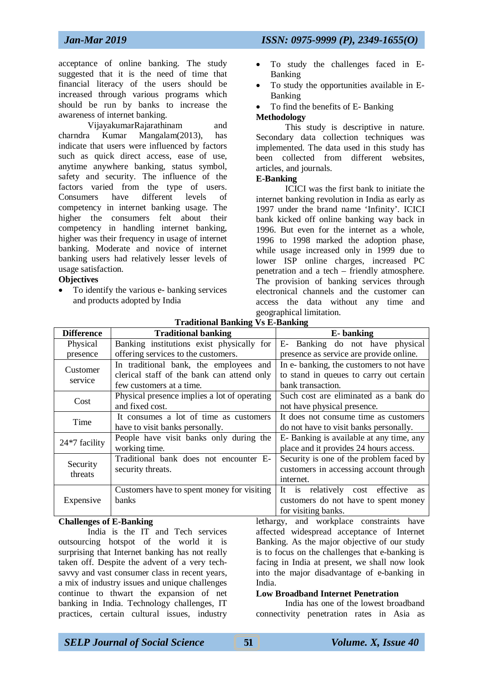acceptance of online banking. The study suggested that it is the need of time that financial literacy of the users should be increased through various programs which should be run by banks to increase the awareness of internet banking.

VijayakumarRajarathinam and charndra Kumar Mangalam(2013), has indicate that users were influenced by factors such as quick direct access, ease of use, anytime anywhere banking, status symbol, safety and security. The influence of the factors varied from the type of users. Consumers have different levels of competency in internet banking usage. The higher the consumers felt about their competency in handling internet banking, higher was their frequency in usage of internet banking. Moderate and novice of internet banking users had relatively lesser levels of usage satisfaction.

## **Objectives**

 To identify the various e- banking services and products adopted by India

- To study the challenges faced in E-Banking
- To study the opportunities available in E-Banking
- To find the benefits of E- Banking

#### **Methodology**

This study is descriptive in nature. Secondary data collection techniques was implemented. The data used in this study has been collected from different websites, articles, and journals.

#### **E-Banking**

ICICI was the first bank to initiate the internet banking revolution in India as early as 1997 under the brand name 'Infinity'. ICICI bank kicked off online banking way back in 1996. But even for the internet as a whole, 1996 to 1998 marked the adoption phase, while usage increased only in 1999 due to lower ISP online charges, increased PC penetration and a tech – friendly atmosphere. The provision of banking services through electronical channels and the customer can access the data without any time and geographical limitation.

| <b>Difference</b>   | <b>Traditional banking</b>                                                                                          | E-banking                                                                                                            |
|---------------------|---------------------------------------------------------------------------------------------------------------------|----------------------------------------------------------------------------------------------------------------------|
| Physical            | Banking institutions exist physically for                                                                           | E- Banking do not have physical                                                                                      |
| presence            | offering services to the customers.                                                                                 | presence as service are provide online.                                                                              |
| Customer<br>service | In traditional bank, the employees<br>and<br>clerical staff of the bank can attend only<br>few customers at a time. | In e- banking, the customers to not have<br>to stand in queues to carry out certain<br>bank transaction.             |
| Cost                | Physical presence implies a lot of operating<br>and fixed cost.                                                     | Such cost are eliminated as a bank do<br>not have physical presence.                                                 |
| Time                | It consumes a lot of time as customers<br>have to visit banks personally.                                           | It does not consume time as customers<br>do not have to visit banks personally.                                      |
| $24*7$ facility     | People have visit banks only during the<br>working time.                                                            | E-Banking is available at any time, any<br>place and it provides 24 hours access.                                    |
| Security<br>threats | Traditional bank does not encounter E-<br>security threats.                                                         | Security is one of the problem faced by<br>customers in accessing account through<br>internet.                       |
| Expensive           | Customers have to spent money for visiting<br>banks                                                                 | relatively<br>cost effective<br>It<br>is<br><b>as</b><br>customers do not have to spent money<br>for visiting banks. |

#### **Traditional Banking Vs E-Banking**

## **Challenges of E-Banking**

India is the IT and Tech services outsourcing hotspot of the world it is surprising that Internet banking has not really taken off. Despite the advent of a very techsavvy and vast consumer class in recent years, a mix of industry issues and unique challenges continue to thwart the expansion of net banking in India. Technology challenges, IT practices, certain cultural issues, industry

lethargy, and workplace constraints have affected widespread acceptance of Internet Banking. As the major objective of our study is to focus on the challenges that e-banking is facing in India at present, we shall now look into the major disadvantage of e-banking in India.

### **Low Broadband Internet Penetration**

India has one of the lowest broadband connectivity penetration rates in Asia as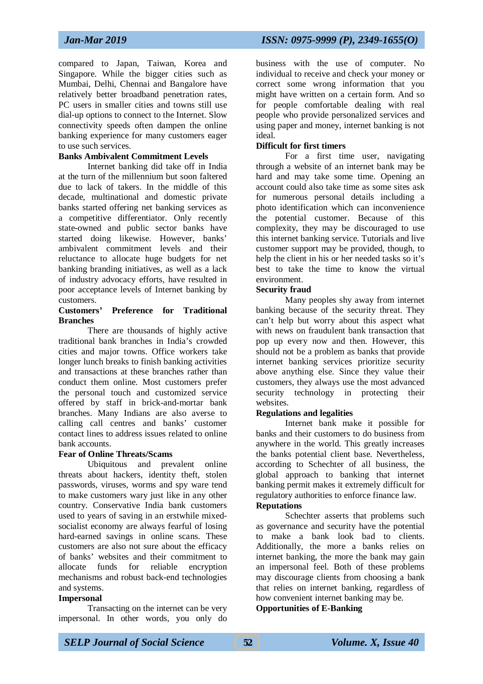compared to Japan, Taiwan, Korea and Singapore. While the bigger cities such as Mumbai, Delhi, Chennai and Bangalore have relatively better broadband penetration rates, PC users in smaller cities and towns still use dial-up options to connect to the Internet. Slow connectivity speeds often dampen the online banking experience for many customers eager to use such services.

## **Banks Ambivalent Commitment Levels**

Internet banking did take off in India at the turn of the millennium but soon faltered due to lack of takers. In the middle of this decade, multinational and domestic private banks started offering net banking services as a competitive differentiator. Only recently state-owned and public sector banks have started doing likewise. However, banks' ambivalent commitment levels and their reluctance to allocate huge budgets for net banking branding initiatives, as well as a lack of industry advocacy efforts, have resulted in poor acceptance levels of Internet banking by customers.

#### **Customers' Preference for Traditional Branches**

There are thousands of highly active traditional bank branches in India's crowded cities and major towns. Office workers take longer lunch breaks to finish banking activities and transactions at these branches rather than conduct them online. Most customers prefer the personal touch and customized service offered by staff in brick-and-mortar bank branches. Many Indians are also averse to calling call centres and banks' customer contact lines to address issues related to online bank accounts.

#### **Fear of Online Threats/Scams**

Ubiquitous and prevalent online threats about hackers, identity theft, stolen passwords, viruses, worms and spy ware tend to make customers wary just like in any other country. Conservative India bank customers used to years of saving in an erstwhile mixedsocialist economy are always fearful of losing hard-earned savings in online scans. These customers are also not sure about the efficacy of banks' websites and their commitment to allocate funds for reliable encryption mechanisms and robust back-end technologies and systems.

#### **Impersonal**

Transacting on the internet can be very impersonal. In other words, you only do business with the use of computer. No individual to receive and check your money or correct some wrong information that you might have written on a certain form. And so for people comfortable dealing with real people who provide personalized services and using paper and money, internet banking is not ideal.

## **Difficult for first timers**

For a first time user, navigating through a website of an internet bank may be hard and may take some time. Opening an account could also take time as some sites ask for numerous personal details including a photo identification which can inconvenience the potential customer. Because of this complexity, they may be discouraged to use this internet banking service. Tutorials and live customer support may be provided, though, to help the client in his or her needed tasks so it's best to take the time to know the virtual environment.

## **Security fraud**

Many peoples shy away from internet banking because of the security threat. They can't help but worry about this aspect what with news on fraudulent bank transaction that pop up every now and then. However, this should not be a problem as banks that provide internet banking services prioritize security above anything else. Since they value their customers, they always use the most advanced security technology in protecting their websites.

#### **Regulations and legalities**

Internet bank make it possible for banks and their customers to do business from anywhere in the world. This greatly increases the banks potential client base. Nevertheless, according to Schechter of all business, the global approach to banking that internet banking permit makes it extremely difficult for regulatory authorities to enforce finance law.

#### **Reputations**

Schechter asserts that problems such as governance and security have the potential to make a bank look bad to clients. Additionally, the more a banks relies on internet banking, the more the bank may gain an impersonal feel. Both of these problems may discourage clients from choosing a bank that relies on internet banking, regardless of how convenient internet banking may be.

**Opportunities of E-Banking**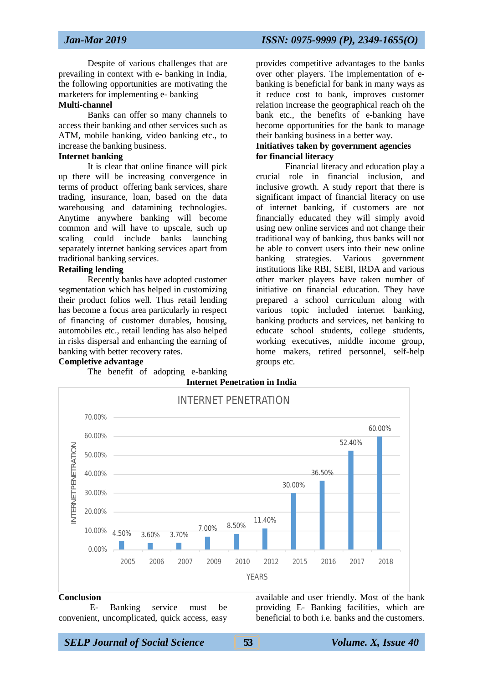Despite of various challenges that are prevailing in context with e- banking in India, the following opportunities are motivating the marketers for implementing e- banking

## **Multi-channel**

Banks can offer so many channels to access their banking and other services such as ATM, mobile banking, video banking etc., to increase the banking business.

## **Internet banking**

It is clear that online finance will pick up there will be increasing convergence in terms of product offering bank services, share trading, insurance, loan, based on the data warehousing and datamining technologies. Anytime anywhere banking will become common and will have to upscale, such up scaling could include banks launching separately internet banking services apart from traditional banking services.

#### **Retailing lending**

Recently banks have adopted customer segmentation which has helped in customizing their product folios well. Thus retail lending has become a focus area particularly in respect of financing of customer durables, housing, automobiles etc., retail lending has also helped in risks dispersal and enhancing the earning of banking with better recovery rates.

## **Completive advantage**

The benefit of adopting e-banking

provides competitive advantages to the banks over other players. The implementation of ebanking is beneficial for bank in many ways as it reduce cost to bank, improves customer relation increase the geographical reach oh the bank etc., the benefits of e-banking have become opportunities for the bank to manage their banking business in a better way.

## **Initiatives taken by government agencies for financial literacy**

Financial literacy and education play a crucial role in financial inclusion, and inclusive growth. A study report that there is significant impact of financial literacy on use of internet banking, if customers are not financially educated they will simply avoid using new online services and not change their traditional way of banking, thus banks will not be able to convert users into their new online banking strategies. Various government institutions like RBI, SEBI, IRDA and various other marker players have taken number of initiative on financial education. They have prepared a school curriculum along with various topic included internet banking, banking products and services, net banking to educate school students, college students, working executives, middle income group, home makers, retired personnel, self-help groups etc.



#### **Conclusion**

E- Banking service must be convenient, uncomplicated, quick access, easy available and user friendly. Most of the bank providing E- Banking facilities, which are beneficial to both i.e. banks and the customers.

*SELP Journal of Social Science* **53** *Volume. X, Issue 40*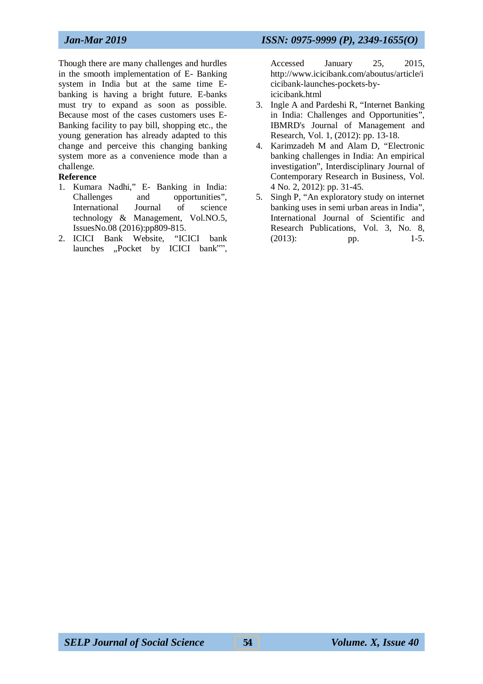Though there are many challenges and hurdles in the smooth implementation of E- Banking system in India but at the same time Ebanking is having a bright future. E-banks must try to expand as soon as possible. Because most of the cases customers uses E-Banking facility to pay bill, shopping etc., the young generation has already adapted to this change and perceive this changing banking system more as a convenience mode than a challenge.

## **Reference**

- 1. Kumara Nadhi," E- Banking in India: Challenges and opportunities", International Journal of science technology & Management, Vol.NO.5, IssuesNo.08 (2016):pp809-815.
- 2. ICICI Bank Website, "ICICI bank launches "Pocket by ICICI bank"",

Accessed January 25, 2015, <http://www.icicibank.com/aboutus/article/i> cicibank-launches-pockets-byicicibank.html

- 3. Ingle A and Pardeshi R, "Internet Banking in India: Challenges and Opportunities", IBMRD's Journal of Management and Research, Vol. 1, (2012): pp. 13-18.
- 4. Karimzadeh M and Alam D, "Electronic banking challenges in India: An empirical investigation", Interdisciplinary Journal of Contemporary Research in Business, Vol. 4 No. 2, 2012): pp. 31-45.
- 5. Singh P, "An exploratory study on internet banking uses in semi urban areas in India", International Journal of Scientific and Research Publications, Vol. 3, No. 8,  $(2013):$  pp.  $1-5.$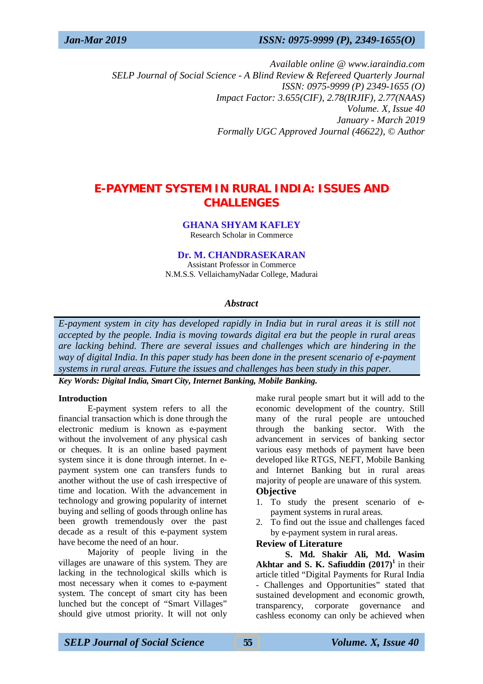# **E-PAYMENT SYSTEM IN RURAL INDIA: ISSUES AND CHALLENGES**

#### **GHANA SHYAM KAFLEY**

Research Scholar in Commerce

#### **Dr. M. CHANDRASEKARAN**

Assistant Professor in Commerce N.M.S.S. VellaichamyNadar College, Madurai

#### *Abstract*

*E-payment system in city has developed rapidly in India but in rural areas it is still not accepted by the people. India is moving towards digital era but the people in rural areas are lacking behind. There are several issues and challenges which are hindering in the way of digital India. In this paper study has been done in the present scenario of e-payment systems in rural areas. Future the issues and challenges has been study in this paper.*

*Key Words: Digital India, Smart City, Internet Banking, Mobile Banking.*

#### **Introduction**

E-payment system refers to all the financial transaction which is done through the electronic medium is known as e-payment without the involvement of any physical cash or cheques. It is an online based payment system since it is done through internet. In epayment system one can transfers funds to another without the use of cash irrespective of time and location. With the advancement in technology and growing popularity of internet buying and selling of goods through online has been growth tremendously over the past decade as a result of this e-payment system have become the need of an hour.

Majority of people living in the villages are unaware of this system. They are lacking in the technological skills which is most necessary when it comes to e-payment system. The concept of smart city has been lunched but the concept of "Smart Villages" should give utmost priority. It will not only

make rural people smart but it will add to the economic development of the country. Still many of the rural people are untouched through the banking sector. With the advancement in services of banking sector various easy methods of payment have been developed like RTGS, NEFT, Mobile Banking and Internet Banking but in rural areas majority of people are unaware of this system.

#### **Objective**

- 1. To study the present scenario of epayment systems in rural areas.
- 2. To find out the issue and challenges faced by e-payment system in rural areas.

#### **Review of Literature**

**S. Md. Shakir Ali, Md. Wasim Akhtar and S. K. Safiuddin**  $(2017)^1$  **in their** article titled "Digital Payments for Rural India - Challenges and Opportunities" stated that sustained development and economic growth, transparency, corporate governance and cashless economy can only be achieved when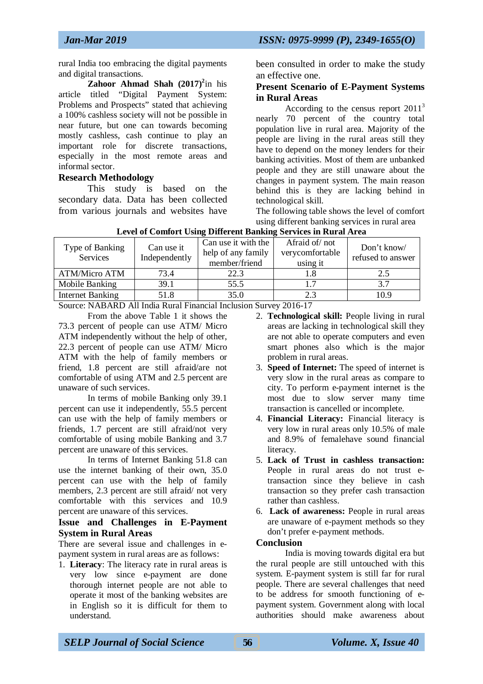rural India too embracing the digital payments and digital transactions.

**Zahoor Ahmad Shah (2017)<sup>2</sup>**in his article titled "Digital Payment System: Problems and Prospects" stated that achieving a 100% cashless society will not be possible in near future, but one can towards becoming mostly cashless, cash continue to play an important role for discrete transactions, especially in the most remote areas and informal sector.

## **Research Methodology**

This study is based on the secondary data. Data has been collected from various journals and websites have

been consulted in order to make the study an effective one.

## **Present Scenario of E-Payment Systems in Rural Areas**

According to the census report  $2011<sup>3</sup>$ nearly 70 percent of the country total population live in rural area. Majority of the people are living in the rural areas still they have to depend on the money lenders for their banking activities. Most of them are unbanked people and they are still unaware about the changes in payment system. The main reason behind this is they are lacking behind in technological skill.

The following table shows the level of comfort using different banking services in rural area

| Type of Banking<br>Services | Can use it<br>Independently | Can use it with the<br>help of any family<br>member/friend | Afraid of/not<br>verycomfortable<br>using it | Don't know/<br>refused to answer |
|-----------------------------|-----------------------------|------------------------------------------------------------|----------------------------------------------|----------------------------------|
| <b>ATM/Micro ATM</b>        | 73.4                        | 22.3                                                       | 1.8                                          | 2.5                              |
| Mobile Banking              | 39.1                        | 55.5                                                       | 1.7                                          | 3.7                              |
| <b>Internet Banking</b>     | 51.8                        | 35.0                                                       | 2.3                                          | 10.9                             |

**Level of Comfort Using Different Banking Services in Rural Area**

Source: NABARD All India Rural Financial Inclusion Survey 2016-17

From the above Table 1 it shows the 73.3 percent of people can use ATM/ Micro ATM independently without the help of other, 22.3 percent of people can use ATM/ Micro ATM with the help of family members or friend, 1.8 percent are still afraid/are not comfortable of using ATM and 2.5 percent are unaware of such services.

In terms of mobile Banking only 39.1 percent can use it independently, 55.5 percent can use with the help of family members or friends, 1.7 percent are still afraid/not very comfortable of using mobile Banking and 3.7 percent are unaware of this services.

In terms of Internet Banking 51.8 can use the internet banking of their own, 35.0 percent can use with the help of family members, 2.3 percent are still afraid/ not very comfortable with this services and 10.9 percent are unaware of this services.

## **Issue and Challenges in E-Payment System in Rural Areas**

There are several issue and challenges in epayment system in rural areas are as follows:

1. **Literacy**: The literacy rate in rural areas is very low since e-payment are done thorough internet people are not able to operate it most of the banking websites are in English so it is difficult for them to understand.

- 2. **Technological skill:** People living in rural areas are lacking in technological skill they are not able to operate computers and even smart phones also which is the major problem in rural areas.
- 3. **Speed of Internet:** The speed of internet is very slow in the rural areas as compare to city. To perform e-payment internet is the most due to slow server many time transaction is cancelled or incomplete.
- 4. **Financial Literacy:** Financial literacy is very low in rural areas only 10.5% of male and 8.9% of femalehave sound financial literacy.
- 5. **Lack of Trust in cashless transaction:**  People in rural areas do not trust etransaction since they believe in cash transaction so they prefer cash transaction rather than cashless.
- 6. **Lack of awareness:** People in rural areas are unaware of e-payment methods so they don't prefer e-payment methods.

## **Conclusion**

India is moving towards digital era but the rural people are still untouched with this system. E-payment system is still far for rural people. There are several challenges that need to be address for smooth functioning of epayment system. Government along with local authorities should make awareness about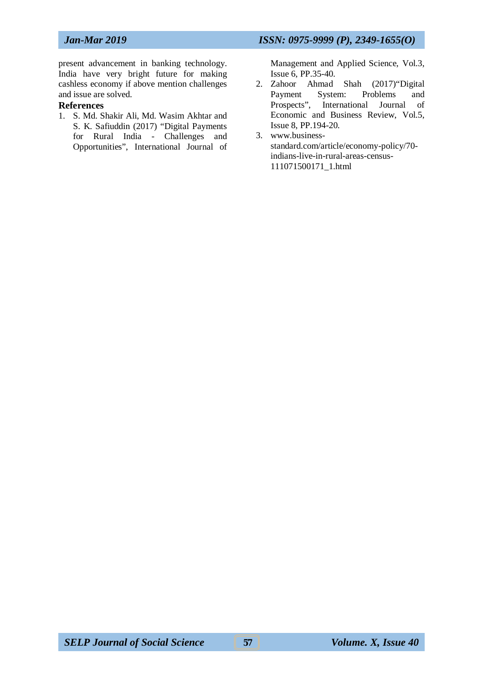present advancement in banking technology. India have very bright future for making cashless economy if above mention challenges and issue are solved.

## **References**

1. S. Md. Shakir Ali, Md. Wasim Akhtar and S. K. Safiuddin (2017) "Digital Payments for Rural India - Challenges and Opportunities", International Journal of Management and Applied Science, Vol.3, Issue 6, PP.35-40.

- 2. Zahoor Ahmad Shah (2017)"Digital Payment System: Problems and Prospects", International Journal of Economic and Business Review, Vol.5, Issue 8, PP.194-20.
- 3. www.businessstandard.com/article/economy-policy/70 indians-live-in-rural-areas-census-111071500171\_1.html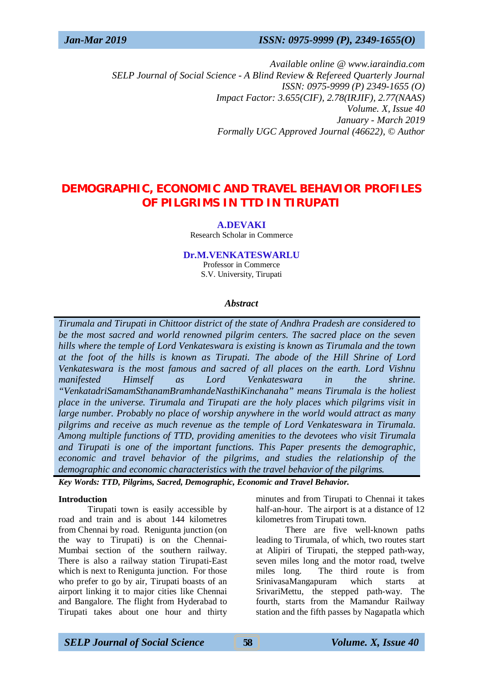# **DEMOGRAPHIC, ECONOMIC AND TRAVEL BEHAVIOR PROFILES OF PILGRIMS IN TTD IN TIRUPATI**

## **A.DEVAKI**

Research Scholar in Commerce

#### **Dr.M.VENKATESWARLU**

Professor in Commerce S.V. University, Tirupati

#### *Abstract*

*Tirumala and Tirupati in Chittoor district of the state of Andhra Pradesh are considered to*  be the most sacred and world renowned pilgrim centers. The sacred place on the seven *hills where the temple of Lord Venkateswara is existing is known as Tirumala and the town at the foot of the hills is known as Tirupati. The abode of the Hill Shrine of Lord Venkateswara is the most famous and sacred of all places on the earth. Lord Vishnu manifested Himself as Lord Venkateswara in the shrine. "VenkatadriSamamSthanamBramhandeNasthiKinchanaha" means Tirumala is the holiest place in the universe. Tirumala and Tirupati are the holy places which pilgrims visit in large number. Probably no place of worship anywhere in the world would attract as many pilgrims and receive as much revenue as the temple of Lord Venkateswara in Tirumala. Among multiple functions of TTD, providing amenities to the devotees who visit Tirumala and Tirupati is one of the important functions. This Paper presents the demographic, economic and travel behavior of the pilgrims, and studies the relationship of the demographic and economic characteristics with the travel behavior of the pilgrims.*

*Key Words: TTD, Pilgrims, Sacred, Demographic, Economic and Travel Behavior.*

#### **Introduction**

Tirupati town is easily accessible by road and train and is about 144 kilometres from Chennai by road. Renigunta junction (on the way to Tirupati) is on the Chennai-Mumbai section of the southern railway. There is also a railway station Tirupati-East which is next to Renigunta junction. For those who prefer to go by air, Tirupati boasts of an airport linking it to major cities like Chennai and Bangalore. The flight from Hyderabad to Tirupati takes about one hour and thirty

minutes and from Tirupati to Chennai it takes half-an-hour. The airport is at a distance of 12 kilometres from Tirupati town.

There are five well-known paths leading to Tirumala, of which, two routes start at Alipiri of Tirupati, the stepped path-way, seven miles long and the motor road, twelve miles long. The third route is from SrinivasaMangapuram which starts at SrivariMettu, the stepped path-way. The fourth, starts from the Mamandur Railway station and the fifth passes by Nagapatla which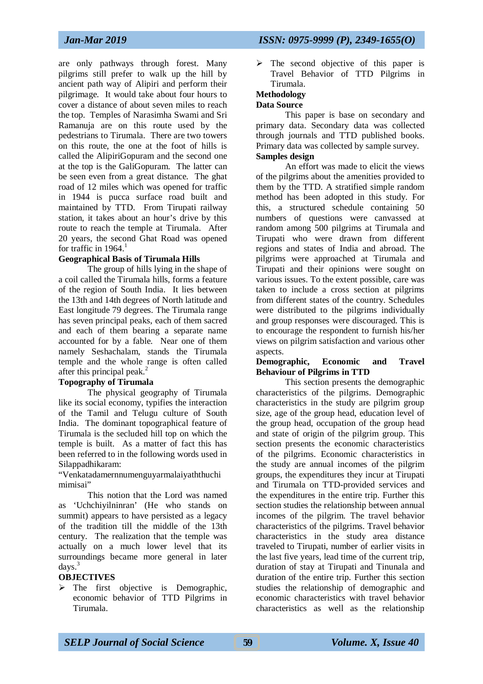are only pathways through forest. Many pilgrims still prefer to walk up the hill by ancient path way of Alipiri and perform their pilgrimage. It would take about four hours to cover a distance of about seven miles to reach the top. Temples of Narasimha Swami and Sri Ramanuja are on this route used by the pedestrians to Tirumala. There are two towers on this route, the one at the foot of hills is called the AlipiriGopuram and the second one at the top is the GaliGopuram. The latter can be seen even from a great distance. The ghat road of 12 miles which was opened for traffic in 1944 is pucca surface road built and maintained by TTD. From Tirupati railway station, it takes about an hour's drive by this route to reach the temple at Tirumala. After 20 years, the second Ghat Road was opened for traffic in  $1964$ <sup>1</sup>

#### **Geographical Basis of Tirumala Hills**

The group of hills lying in the shape of a coil called the Tirumala hills, forms a feature of the region of South India. It lies between the 13th and 14th degrees of North latitude and East longitude 79 degrees. The Tirumala range has seven principal peaks, each of them sacred and each of them bearing a separate name accounted for by a fable. Near one of them namely Seshachalam, stands the Tirumala temple and the whole range is often called after this principal peak.<sup>2</sup>

## **Topography of Tirumala**

The physical geography of Tirumala like its social economy, typifies the interaction of the Tamil and Telugu culture of South India. The dominant topographical feature of Tirumala is the secluded hill top on which the temple is built. As a matter of fact this has been referred to in the following words used in Silappadhikaram:

"Venkatadamernnumenguyarmalaiyaththuchi mimisai"

This notion that the Lord was named as 'Uchchiyilninran' (He who stands on summit) appears to have persisted as a legacy of the tradition till the middle of the 13th century. The realization that the temple was actually on a much lower level that its surroundings became more general in later  $d$ ays.<sup>3</sup>

## **OBJECTIVES**

 $\triangleright$  The first objective is Demographic, economic behavior of TTD Pilgrims in Tirumala.

 $\triangleright$  The second objective of this paper is Travel Behavior of TTD Pilgrims in Tirumala.

## **Methodology**

## **Data Source**

This paper is base on secondary and primary data. Secondary data was collected through journals and TTD published books. Primary data was collected by sample survey. **Samples design** 

An effort was made to elicit the views of the pilgrims about the amenities provided to them by the TTD. A stratified simple random method has been adopted in this study. For this, a structured schedule containing 50 numbers of questions were canvassed at random among 500 pilgrims at Tirumala and Tirupati who were drawn from different regions and states of India and abroad. The pilgrims were approached at Tirumala and Tirupati and their opinions were sought on various issues. To the extent possible, care was taken to include a cross section at pilgrims from different states of the country. Schedules were distributed to the pilgrims individually and group responses were discouraged. This is to encourage the respondent to furnish his/her views on pilgrim satisfaction and various other aspects.

#### **Demographic, Economic and Travel Behaviour of Pilgrims in TTD**

This section presents the demographic characteristics of the pilgrims. Demographic characteristics in the study are pilgrim group size, age of the group head, education level of the group head, occupation of the group head and state of origin of the pilgrim group. This section presents the economic characteristics of the pilgrims. Economic characteristics in the study are annual incomes of the pilgrim groups, the expenditures they incur at Tirupati and Tirumala on TTD-provided services and the expenditures in the entire trip. Further this section studies the relationship between annual incomes of the pilgrim. The travel behavior characteristics of the pilgrims. Travel behavior characteristics in the study area distance traveled to Tirupati, number of earlier visits in the last five years, lead time of the current trip, duration of stay at Tirupati and Tinunala and duration of the entire trip. Further this section studies the relationship of demographic and economic characteristics with travel behavior characteristics as well as the relationship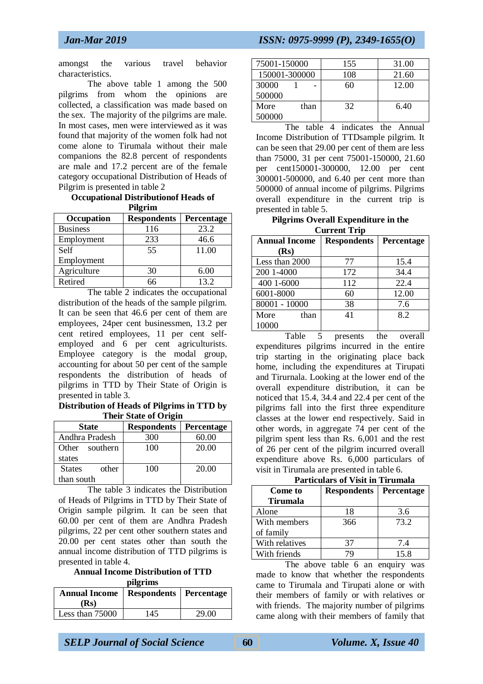amongst the various travel behavior characteristics.

The above table 1 among the 500 pilgrims from whom the opinions are collected, a classification was made based on the sex. The majority of the pilgrims are male. In most cases, men were interviewed as it was found that majority of the women folk had not come alone to Tirumala without their male companions the 82.8 percent of respondents are male and 17.2 percent are of the female category occupational Distribution of Heads of Pilgrim is presented in table 2

#### **Occupational Distributionof Heads of Pilgrim**

| т петни            |            |  |  |  |  |
|--------------------|------------|--|--|--|--|
| <b>Respondents</b> | Percentage |  |  |  |  |
| 116                | 23.2       |  |  |  |  |
| 233                | 46.6       |  |  |  |  |
| 55                 | 11.00      |  |  |  |  |
|                    |            |  |  |  |  |
| 30                 | 6.00       |  |  |  |  |
| 66                 | 13.2       |  |  |  |  |
|                    |            |  |  |  |  |

The table 2 indicates the occupational distribution of the heads of the sample pilgrim. It can be seen that 46.6 per cent of them are employees, 24per cent businessmen, 13.2 per cent retired employees, 11 per cent selfemployed and 6 per cent agriculturists. Employee category is the modal group, accounting for about 50 per cent of the sample respondents the distribution of heads of pilgrims in TTD by Their State of Origin is presented in table 3.

#### **Distribution of Heads of Pilgrims in TTD by Their State of Origin**

| <b>State</b>           | <b>Respondents</b> | Percentage |
|------------------------|--------------------|------------|
| Andhra Pradesh         | 300                | 60.00      |
| southern<br>Other      | 100                | 20.00      |
| states                 |                    |            |
| other<br><b>States</b> | 100                | 20.00      |
| than south             |                    |            |

The table 3 indicates the Distribution of Heads of Pilgrims in TTD by Their State of Origin sample pilgrim. It can be seen that 60.00 per cent of them are Andhra Pradesh pilgrims, 22 per cent other southern states and 20.00 per cent states other than south the annual income distribution of TTD pilgrims is presented in table 4.

**Annual Income Distribution of TTD pilgrims**

| ридины               |                                 |       |
|----------------------|---------------------------------|-------|
| <b>Annual Income</b> | <b>Respondents   Percentage</b> |       |
| (Rs)                 |                                 |       |
| Less than 75000      | 145                             | 29.00 |

# *Jan-Mar 2019 ISSN: 0975-9999 (P), 2349-1655(O)*

| 75001-150000  | 155 | 31.00 |
|---------------|-----|-------|
| 150001-300000 | 108 | 21.60 |
| 30000         | 60  | 12.00 |
| 500000        |     |       |
| More<br>than  | 32  | 6.40  |
| 500000        |     |       |

The table 4 indicates the Annual Income Distribution of TTDsample pilgrim. It can be seen that 29.00 per cent of them are less than 75000, 31 per cent 75001-150000, 21.60 per cent150001-300000, 12.00 per cent 300001-500000, and 6.40 per cent more than 500000 of annual income of pilgrims. Pilgrims overall expenditure in the current trip is presented in table 5.

**Pilgrims Overall Expenditure in the Current Trip**

| <b>Annual Income</b> | <b>Respondents</b> | Percentage |
|----------------------|--------------------|------------|
| (Rs)                 |                    |            |
| Less than 2000       | 77                 | 15.4       |
| 200 1-4000           | 172                | 34.4       |
| 400 1-6000           | 112                | 22.4       |
| 6001-8000            | 60                 | 12.00      |
| 80001 - 10000        | 38                 | 7.6        |
| More<br>than         | 41                 | 82         |
| 10000                |                    |            |

Table 5 presents the overall expenditures pilgrims incurred in the entire trip starting in the originating place back home, including the expenditures at Tirupati and Tirurnala. Looking at the lower end of the overall expenditure distribution, it can be noticed that 15.4, 34.4 and 22.4 per cent of the pilgrims fall into the first three expenditure classes at the lower end respectively. Said in other words, in aggregate 74 per cent of the pilgrim spent less than Rs. 6,001 and the rest of 26 per cent of the pilgrim incurred overall expenditure above Rs. 6,000 particulars of visit in Tirumala are presented in table 6.

#### **Particulars of Visit in Tirumala**

| <b>Come to</b>  | <b>Respondents</b> | Percentage |
|-----------------|--------------------|------------|
| <b>Tirumala</b> |                    |            |
| Alone           | 18                 | 3.6        |
| With members    | 366                | 73.2       |
| of family       |                    |            |
| With relatives  | 37                 | 7.4        |
| With friends    |                    | 15.8       |

The above table 6 an enquiry was made to know that whether the respondents came to Tirumala and Tirupati alone or with their members of family or with relatives or with friends. The majority number of pilgrims came along with their members of family that